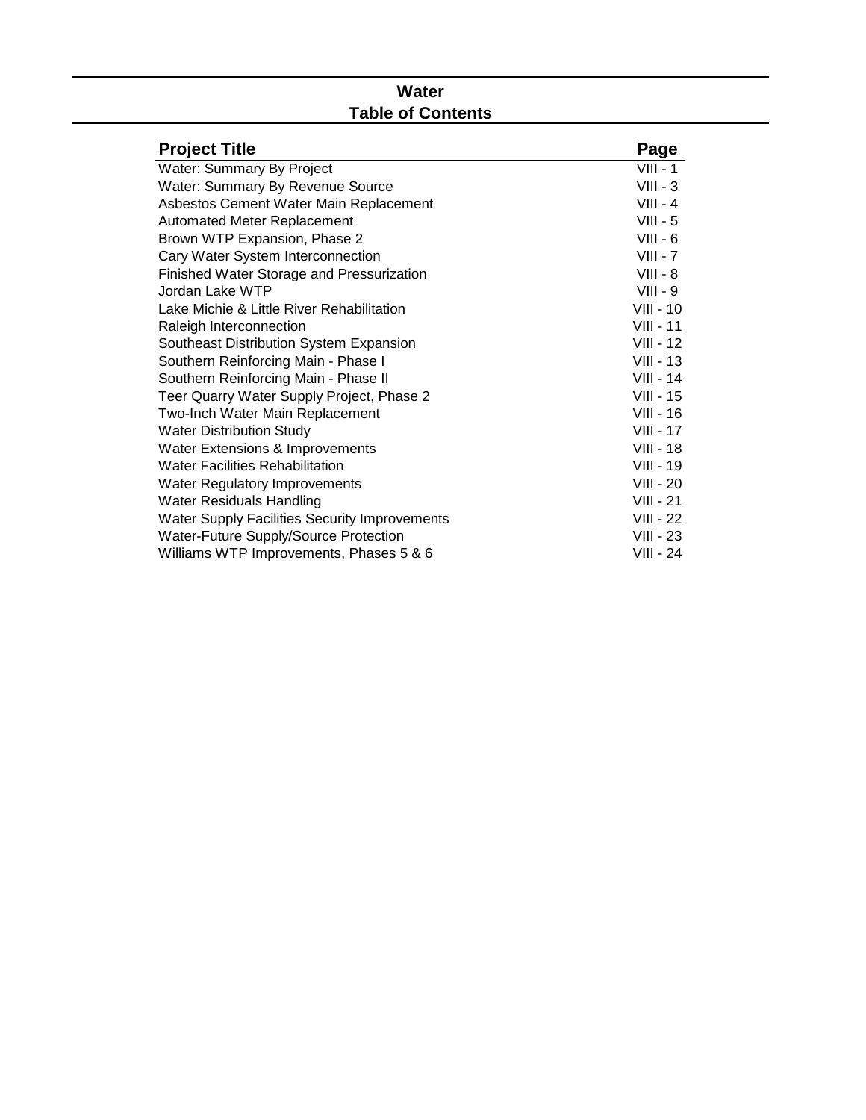# **Water Table of Contents**

| <b>Project Title</b>                          | Page             |
|-----------------------------------------------|------------------|
| Water: Summary By Project                     | $VIII - 1$       |
| Water: Summary By Revenue Source              | $VIII - 3$       |
| Asbestos Cement Water Main Replacement        | $VIII - 4$       |
| <b>Automated Meter Replacement</b>            | $VIII - 5$       |
| Brown WTP Expansion, Phase 2                  | $VIII - 6$       |
| Cary Water System Interconnection             | $VIII - 7$       |
| Finished Water Storage and Pressurization     | $VIII - 8$       |
| Jordan Lake WTP                               | $VIII - 9$       |
| Lake Michie & Little River Rehabilitation     | <b>VIII - 10</b> |
| Raleigh Interconnection                       | $VIII - 11$      |
| Southeast Distribution System Expansion       | $VIII - 12$      |
| Southern Reinforcing Main - Phase I           | $VIII - 13$      |
| Southern Reinforcing Main - Phase II          | $VIII - 14$      |
| Teer Quarry Water Supply Project, Phase 2     | <b>VIII - 15</b> |
| Two-Inch Water Main Replacement               | <b>VIII - 16</b> |
| <b>Water Distribution Study</b>               | <b>VIII - 17</b> |
| Water Extensions & Improvements               | <b>VIII - 18</b> |
| <b>Water Facilities Rehabilitation</b>        | <b>VIII - 19</b> |
| Water Regulatory Improvements                 | <b>VIII - 20</b> |
| <b>Water Residuals Handling</b>               | $VIII - 21$      |
| Water Supply Facilities Security Improvements | $VIII - 22$      |
| Water-Future Supply/Source Protection         | $VIII - 23$      |
| Williams WTP Improvements, Phases 5 & 6       | VIII - 24        |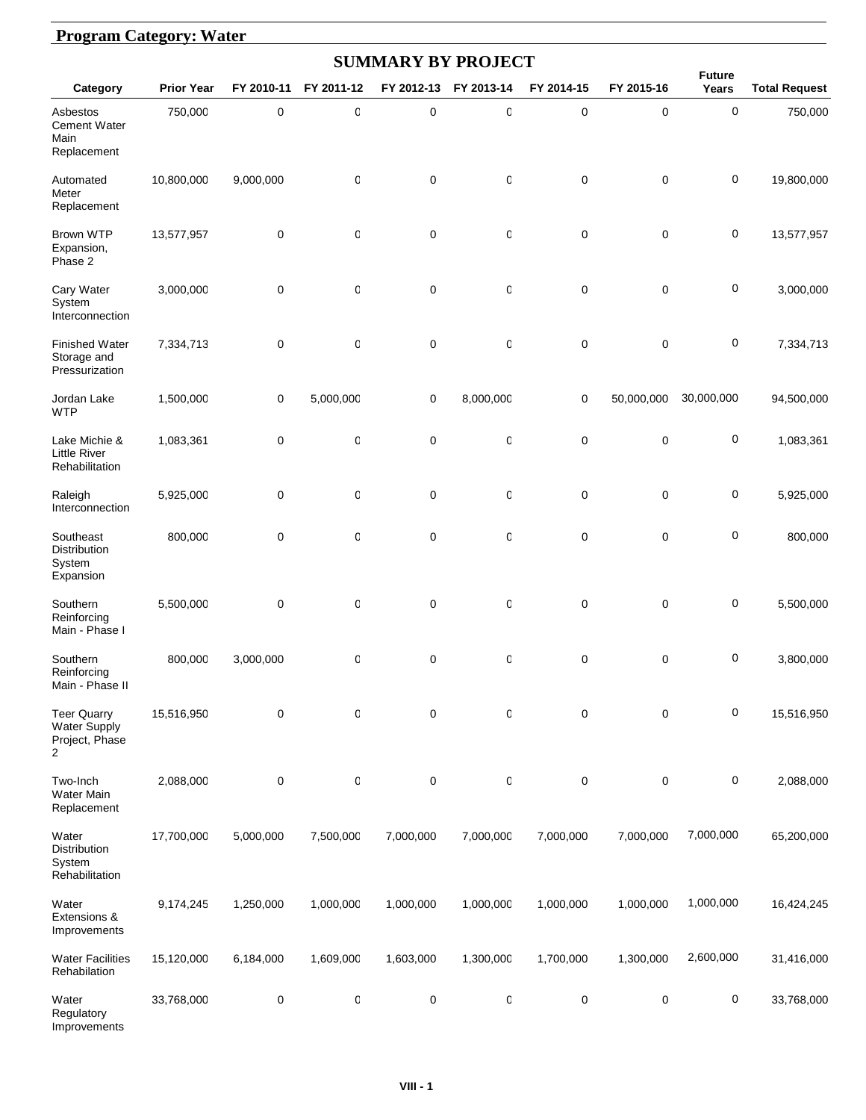#### **Program Category: Water**

| <b>SUMMARY BY PROJECT</b>                                              |                   |             |              |                  |            |            |             |                        |                      |  |  |  |
|------------------------------------------------------------------------|-------------------|-------------|--------------|------------------|------------|------------|-------------|------------------------|----------------------|--|--|--|
| Category                                                               | <b>Prior Year</b> | FY 2010-11  | FY 2011-12   | FY 2012-13       | FY 2013-14 | FY 2014-15 | FY 2015-16  | <b>Future</b><br>Years | <b>Total Request</b> |  |  |  |
| Asbestos<br><b>Cement Water</b><br>Main<br>Replacement                 | 750,000           | $\pmb{0}$   | $\mathbb{C}$ | $\pmb{0}$        | 0          | 0          | 0           | 0                      | 750,000              |  |  |  |
| Automated<br>Meter<br>Replacement                                      | 10,800,000        | 9,000,000   | 0            | $\mathbf 0$      | 0          | 0          | 0           | 0                      | 19,800,000           |  |  |  |
| <b>Brown WTP</b><br>Expansion,<br>Phase 2                              | 13,577,957        | 0           | 0            | $\mathbf 0$      | 0          | 0          | $\mathbf 0$ | 0                      | 13,577,957           |  |  |  |
| Cary Water<br>System<br>Interconnection                                | 3,000,000         | 0           | 0            | $\mathbf 0$      | 0          | 0          | $\mathbf 0$ | 0                      | 3,000,000            |  |  |  |
| <b>Finished Water</b><br>Storage and<br>Pressurization                 | 7,334,713         | 0           | 0            | $\mathbf 0$      | 0          | 0          | $\mathbf 0$ | 0                      | 7,334,713            |  |  |  |
| Jordan Lake<br><b>WTP</b>                                              | 1,500,000         | 0           | 5,000,000    | $\mathbf 0$      | 8,000,000  | 0          | 50,000,000  | 30,000,000             | 94,500,000           |  |  |  |
| Lake Michie &<br><b>Little River</b><br>Rehabilitation                 | 1,083,361         | 0           | O            | $\mathbf 0$      | 0          | 0          | $\mathbf 0$ | 0                      | 1,083,361            |  |  |  |
| Raleigh<br>Interconnection                                             | 5,925,000         | 0           | 0            | $\mathbf 0$      | 0          | 0          | 0           | 0                      | 5,925,000            |  |  |  |
| Southeast<br>Distribution<br>System<br>Expansion                       | 800,000           | $\mathbf 0$ | 0            | $\mathbf 0$      | 0          | 0          | 0           | 0                      | 800,000              |  |  |  |
| Southern<br>Reinforcing<br>Main - Phase I                              | 5,500,000         | $\mathbf 0$ | 0            | $\mathbf 0$      | 0          | 0          | $\pmb{0}$   | 0                      | 5,500,000            |  |  |  |
| Southern<br>Reinforcing<br>Main - Phase II                             | 800,000           | 3,000,000   | 0            | $\mathbf 0$      | 0          | 0          | 0           | 0                      | 3,800,000            |  |  |  |
| <b>Teer Quarry</b><br>Water Supply<br>Project, Phase<br>$\overline{2}$ | 15,516,950        | 0           | 0            | $\mathbf 0$      | 0          | 0          | 0           | 0                      | 15,516,950           |  |  |  |
| Two-Inch<br>Water Main<br>Replacement                                  | 2,088,000         | 0           | 0            | $\pmb{0}$        | 0          | 0          | 0           | 0                      | 2,088,000            |  |  |  |
| Water<br>Distribution<br>System<br>Rehabilitation                      | 17,700,000        | 5,000,000   | 7,500,000    | 7,000,000        | 7,000,000  | 7,000,000  | 7,000,000   | 7,000,000              | 65,200,000           |  |  |  |
| Water<br>Extensions &<br>Improvements                                  | 9,174,245         | 1,250,000   | 1,000,000    | 1,000,000        | 1,000,000  | 1,000,000  | 1,000,000   | 1,000,000              | 16,424,245           |  |  |  |
| <b>Water Facilities</b><br>Rehabilation                                | 15,120,000        | 6,184,000   | 1,609,000    | 1,603,000        | 1,300,000  | 1,700,000  | 1,300,000   | 2,600,000              | 31,416,000           |  |  |  |
| Water<br>Regulatory<br>Improvements                                    | 33,768,000        | 0           | 0            | $\boldsymbol{0}$ | 0          | 0          | $\pmb{0}$   | 0                      | 33,768,000           |  |  |  |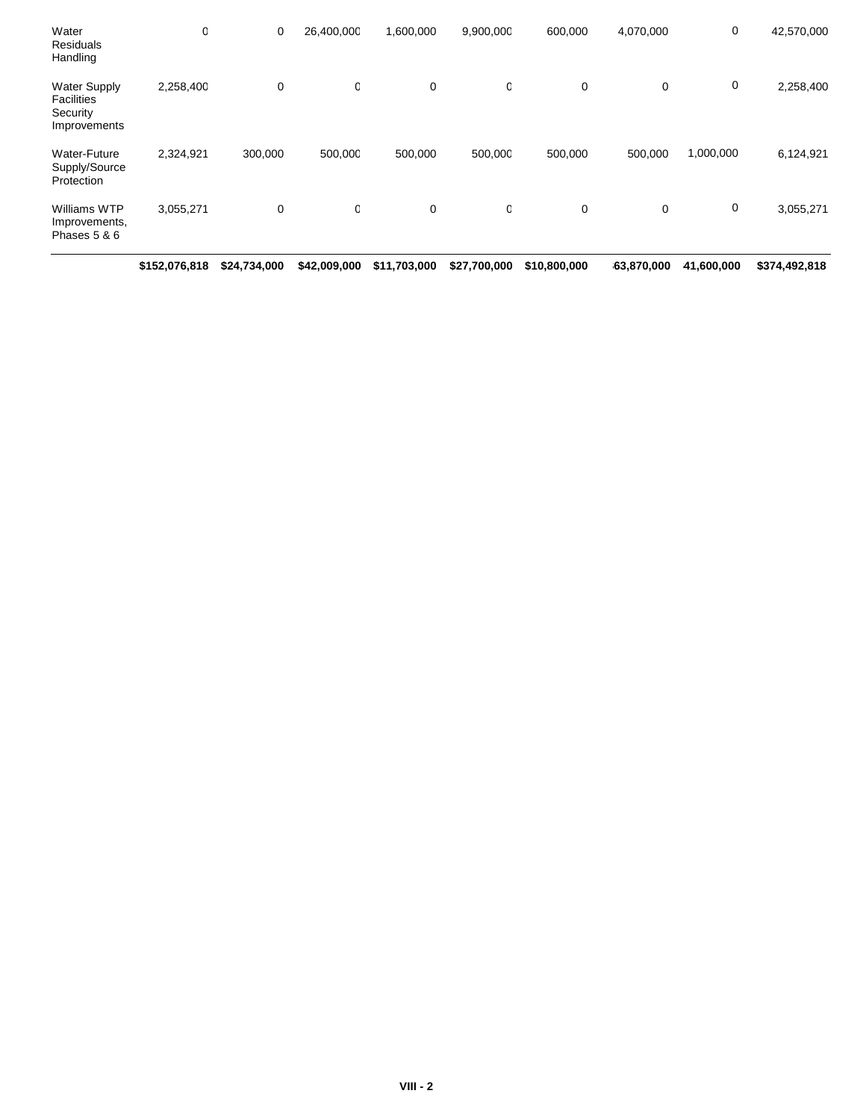|                                                                      | \$152,076,818 | \$24,734,000 | \$42,009,000 | \$11,703,000 | \$27,700,000 | \$10,800,000 | 63,870,000  | 41,600,000 | \$374,492,818 |
|----------------------------------------------------------------------|---------------|--------------|--------------|--------------|--------------|--------------|-------------|------------|---------------|
| Williams WTP<br>Improvements,<br>Phases 5 & 6                        | 3,055,271     | 0            | O            | 0            | 0            | 0            | $\mathbf 0$ | 0          | 3,055,271     |
| Water-Future<br>Supply/Source<br>Protection                          | 2,324,921     | 300,000      | 500,000      | 500,000      | 500,000      | 500,000      | 500,000     | 1,000,000  | 6,124,921     |
| <b>Water Supply</b><br><b>Facilities</b><br>Security<br>Improvements | 2,258,400     | 0            | C            | 0            | 0            | 0            | $\mathbf 0$ | 0          | 2,258,400     |
| Water<br>Residuals<br>Handling                                       | O             | 0            | 26,400,000   | 1,600,000    | 9,900,000    | 600,000      | 4,070,000   | 0          | 42,570,000    |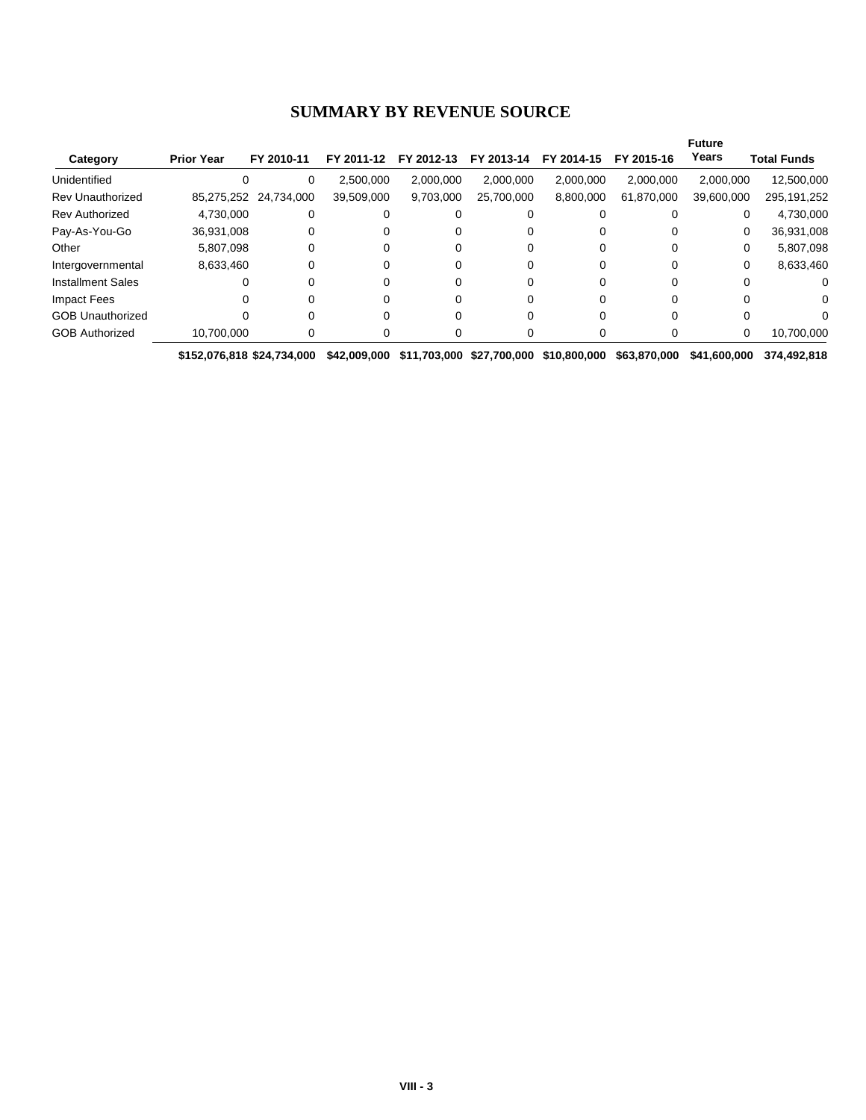#### **SUMMARY BY REVENUE SOURCE**

|                          |                   |                       |            |            |            |            |            | <b>Future</b> |                    |
|--------------------------|-------------------|-----------------------|------------|------------|------------|------------|------------|---------------|--------------------|
| Category                 | <b>Prior Year</b> | FY 2010-11            | FY 2011-12 | FY 2012-13 | FY 2013-14 | FY 2014-15 | FY 2015-16 | Years         | <b>Total Funds</b> |
| Unidentified             |                   | 0                     | 2,500,000  | 2,000,000  | 2.000.000  | 2,000,000  | 2,000,000  | 2,000,000     | 12,500,000         |
| <b>Rev Unauthorized</b>  |                   | 85,275,252 24,734,000 | 39,509,000 | 9,703,000  | 25,700,000 | 8,800,000  | 61,870,000 | 39,600,000    | 295, 191, 252      |
| <b>Rev Authorized</b>    | 4,730,000         | 0                     | 0          |            |            |            |            |               | 4,730,000          |
| Pay-As-You-Go            | 36,931,008        |                       | 0          |            |            |            |            | 0             | 36,931,008         |
| Other                    | 5,807,098         |                       | 0          |            |            |            |            |               | 5,807,098<br>0     |
| Intergovernmental        | 8,633,460         |                       | 0          |            |            |            |            | 0             | 8,633,460          |
| <b>Installment Sales</b> | $\Omega$          |                       | 0          |            |            |            |            |               |                    |
| Impact Fees              |                   |                       | 0          |            |            |            |            |               |                    |
| <b>GOB Unauthorized</b>  |                   |                       | 0          |            |            |            |            |               |                    |
| <b>GOB Authorized</b>    | 10,700,000        |                       | O          |            |            |            |            | 0             | 10,700,000         |

**\$152,076,818 \$24,734,000 \$42,009,000 \$11,703,000 \$27,700,000 \$10,800,000 \$63,870,000 \$41,600,000 \$374,492,818**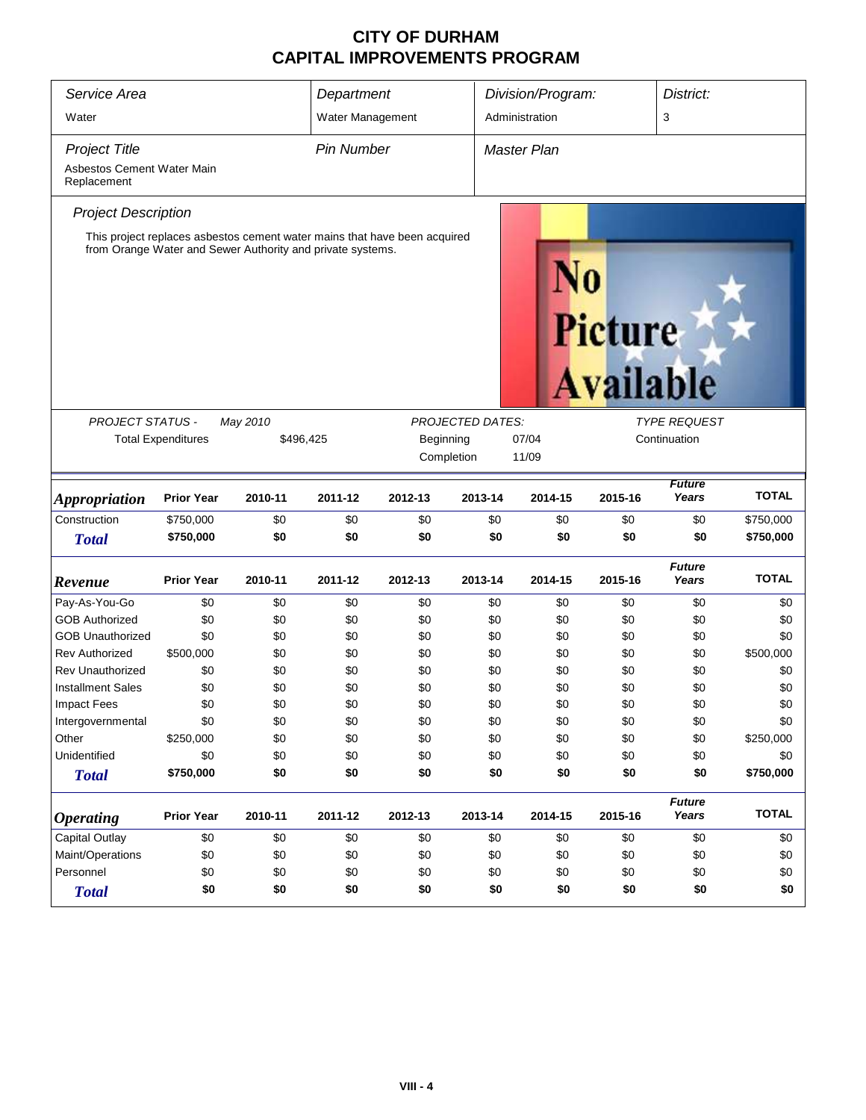| Service Area                                                      |                                                      |                                                            | Department        |                                                                           |                         | Division/Program:  |                             |                                     | District:    |  |
|-------------------------------------------------------------------|------------------------------------------------------|------------------------------------------------------------|-------------------|---------------------------------------------------------------------------|-------------------------|--------------------|-----------------------------|-------------------------------------|--------------|--|
| Water                                                             |                                                      |                                                            | Water Management  |                                                                           |                         | Administration     |                             | 3                                   |              |  |
| <b>Project Title</b><br>Asbestos Cement Water Main<br>Replacement |                                                      |                                                            | <b>Pin Number</b> |                                                                           |                         | <b>Master Plan</b> |                             |                                     |              |  |
| <b>Project Description</b>                                        |                                                      | from Orange Water and Sewer Authority and private systems. |                   | This project replaces asbestos cement water mains that have been acquired |                         |                    | Picture<br><b>Available</b> |                                     |              |  |
| <b>PROJECT STATUS -</b>                                           | <b>Total Expenditures</b>                            | May 2010<br>\$496,425                                      |                   | Beginning<br>Completion                                                   | <b>PROJECTED DATES:</b> | 07/04<br>11/09     |                             | <b>TYPE REQUEST</b><br>Continuation |              |  |
| <b>Appropriation</b>                                              | <b>Prior Year</b>                                    | 2010-11                                                    | 2011-12           | 2012-13                                                                   | 2013-14                 | 2014-15            | 2015-16                     | <b>Future</b><br>Years              | <b>TOTAL</b> |  |
| Construction                                                      | \$750,000                                            | \$0                                                        | \$0               | \$0                                                                       | \$0                     | \$0                | \$0                         | \$0                                 | \$750,000    |  |
| <b>Total</b>                                                      | \$750,000                                            | \$0                                                        | \$0               | \$0                                                                       | \$0                     | \$0                | \$0                         | \$0                                 | \$750,000    |  |
| Revenue                                                           | <b>Prior Year</b>                                    | 2010-11                                                    | 2011-12           | 2012-13                                                                   | 2013-14                 | 2014-15            | 2015-16                     | <b>Future</b><br>Years              | <b>TOTAL</b> |  |
| Pay-As-You-Go                                                     | \$0                                                  | \$0                                                        | \$0               | \$0                                                                       | \$0                     | \$0                | \$0                         | \$0                                 | \$0          |  |
| <b>GOB Authorized</b>                                             | \$0                                                  | \$0                                                        | \$0               | \$0                                                                       | \$0                     | \$0                | \$0                         | \$0                                 | \$0          |  |
| <b>GOB Unauthorized</b>                                           | \$0                                                  | \$0                                                        | \$0               | \$0                                                                       | \$0                     | \$0                | \$0                         | \$0                                 | \$0          |  |
| <b>Rev Authorized</b>                                             | \$500,000                                            | \$0                                                        | \$0               | \$0                                                                       | \$0                     | \$0                | \$0                         | \$0                                 | \$500,000    |  |
| <b>Rev Unauthorized</b>                                           | \$0                                                  | \$0                                                        | \$0               | \$0                                                                       | \$0                     | \$0                | \$0                         | \$0                                 | \$0          |  |
| <b>Installment Sales</b>                                          | \$0                                                  | \$0                                                        | \$0               | \$0                                                                       | \$0                     | \$0                | \$0                         | \$0                                 | \$0          |  |
| <b>Impact Fees</b>                                                | \$0                                                  | \$0                                                        | \$0               | \$0                                                                       | \$0                     | \$0                | \$0                         | \$0                                 | \$0          |  |
| Intergovernmental                                                 | \$0                                                  | \$0                                                        | \$0               | \$0                                                                       | \$0                     | \$0                | \$0                         | \$0                                 | \$0          |  |
| Other                                                             | \$250,000                                            | \$0                                                        | \$0               | \$0                                                                       | \$0                     | \$0                | \$0                         | \$0                                 | \$250,000    |  |
| Unidentified                                                      | \$0                                                  | \$0                                                        | \$0               | \$0                                                                       | \$0                     | \$0                | \$0                         | \$0                                 | \$0          |  |
| <b>Total</b>                                                      | \$750,000                                            | \$0                                                        | \$0               | \$0                                                                       | \$0                     | \$0                | \$0                         | \$0                                 | \$750,000    |  |
| <i><b>Operating</b></i>                                           | <b>Prior Year</b>                                    | 2010-11                                                    | 2011-12           | 2012-13                                                                   | 2013-14                 | 2014-15            | 2015-16                     | <b>Future</b><br>Years              | <b>TOTAL</b> |  |
| Capital Outlay                                                    | \$0                                                  | \$0                                                        | \$0               | \$0                                                                       | \$0                     | \$0                | \$0                         | \$0                                 | \$0          |  |
| Maint/Operations                                                  | \$0                                                  | \$0                                                        | \$0               | \$0                                                                       | \$0                     | \$0                | \$0                         | \$0                                 | \$0          |  |
| Personnel                                                         | \$0<br>\$0<br>\$0<br>\$0<br>\$0<br>\$0<br>\$0<br>\$0 |                                                            |                   |                                                                           |                         |                    |                             | \$0                                 |              |  |
| <b>Total</b>                                                      | \$0                                                  | \$0                                                        | \$0               | \$0                                                                       | \$0                     | \$0                | \$0                         | \$0                                 | \$0          |  |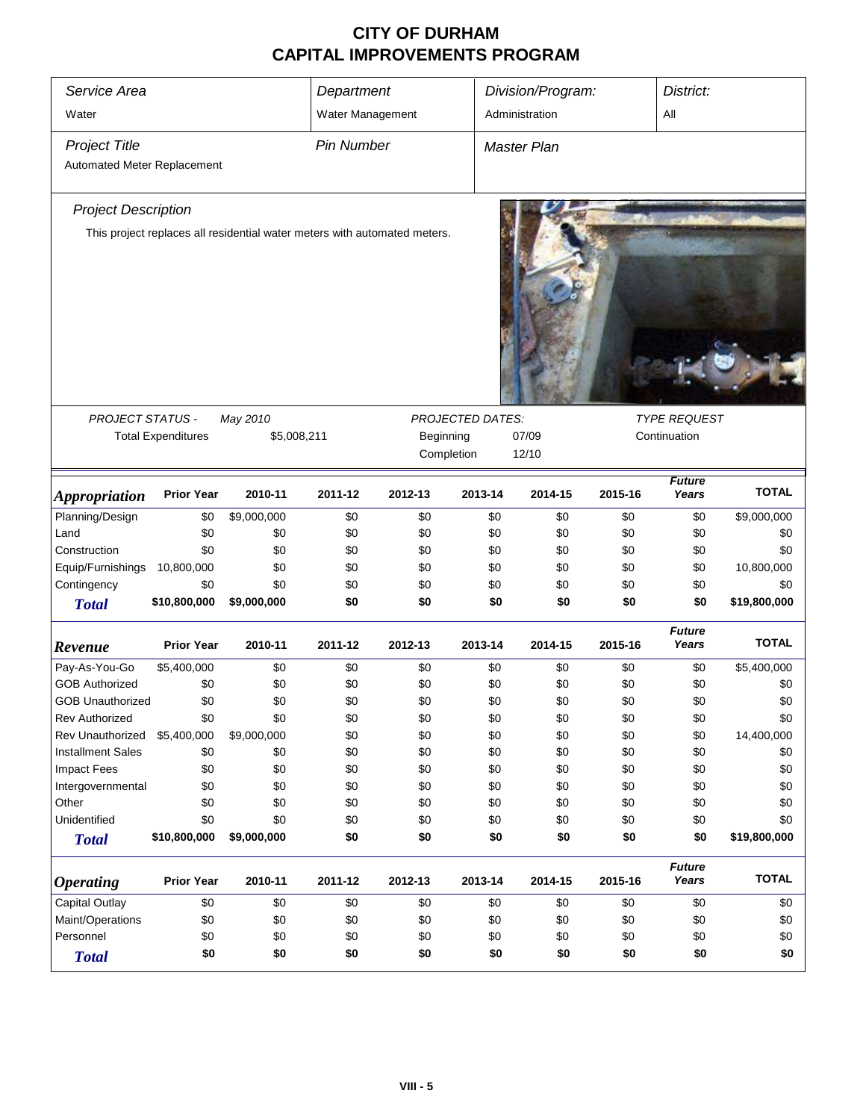| Service Area                |                           | Department                                                                |                   |            | Division/Program:       | District:          |         |                        |              |
|-----------------------------|---------------------------|---------------------------------------------------------------------------|-------------------|------------|-------------------------|--------------------|---------|------------------------|--------------|
|                             |                           |                                                                           |                   |            |                         |                    |         |                        |              |
| Water                       |                           |                                                                           | Water Management  |            |                         | Administration     |         | All                    |              |
| <b>Project Title</b>        |                           |                                                                           | <b>Pin Number</b> |            |                         | <b>Master Plan</b> |         |                        |              |
| Automated Meter Replacement |                           |                                                                           |                   |            |                         |                    |         |                        |              |
|                             |                           |                                                                           |                   |            |                         |                    |         |                        |              |
| <b>Project Description</b>  |                           |                                                                           |                   |            |                         |                    |         |                        |              |
|                             |                           | This project replaces all residential water meters with automated meters. |                   |            |                         |                    |         |                        |              |
|                             |                           |                                                                           |                   |            |                         |                    |         |                        |              |
|                             |                           |                                                                           |                   |            |                         |                    |         |                        |              |
|                             |                           |                                                                           |                   |            |                         |                    |         |                        |              |
|                             |                           |                                                                           |                   |            |                         |                    |         |                        |              |
|                             |                           |                                                                           |                   |            |                         |                    |         |                        |              |
|                             |                           |                                                                           |                   |            |                         |                    |         |                        |              |
|                             |                           |                                                                           |                   |            |                         |                    |         |                        |              |
|                             |                           |                                                                           |                   |            |                         |                    |         |                        |              |
|                             |                           |                                                                           |                   |            |                         |                    |         | <b>TYPE REQUEST</b>    |              |
| PROJECT STATUS -            | <b>Total Expenditures</b> | May 2010<br>\$5,008,211                                                   |                   | Beginning  | <b>PROJECTED DATES:</b> | 07/09              |         | Continuation           |              |
|                             |                           |                                                                           |                   | Completion |                         | 12/10              |         |                        |              |
|                             |                           |                                                                           |                   |            |                         |                    |         |                        |              |
| <b>Appropriation</b>        | <b>Prior Year</b>         | 2010-11                                                                   | 2011-12           | 2012-13    | 2013-14                 | 2014-15            | 2015-16 | <b>Future</b><br>Years | <b>TOTAL</b> |
| Planning/Design             | \$0                       | \$9,000,000                                                               | \$0               | \$0        | \$0                     | \$0                | \$0     | \$0                    | \$9,000,000  |
| Land                        | \$0                       | \$0                                                                       | \$0               | \$0        | \$0                     | \$0                | \$0     | \$0                    | \$0          |
| Construction                | \$0                       | \$0                                                                       | \$0               | \$0        | \$0                     | \$0                | \$0     | \$0                    | \$0          |
| Equip/Furnishings           | 10,800,000                | \$0                                                                       | \$0               | \$0        | \$0                     | \$0                | \$0     | \$0                    | 10,800,000   |
| Contingency                 | \$0                       | \$0                                                                       | \$0               | \$0        | \$0                     | \$0                | \$0     | \$0                    | \$0          |
| <b>Total</b>                | \$10,800,000              | \$9,000,000                                                               | \$0               | \$0        | \$0                     | \$0                | \$0     | \$0                    | \$19,800,000 |
|                             |                           |                                                                           |                   |            |                         |                    |         | <b>Future</b>          |              |
| Revenue                     | <b>Prior Year</b>         | 2010-11                                                                   | 2011-12           | 2012-13    | 2013-14                 | 2014-15            | 2015-16 | Years                  | <b>TOTAL</b> |
| Pay-As-You-Go               | \$5,400,000               | \$0                                                                       | \$0               | \$0        | \$0                     | \$0                | \$0     | \$0                    | \$5,400,000  |
| <b>GOB Authorized</b>       | \$0                       | \$0                                                                       | \$0               | \$0        | \$0                     | \$0                | \$0     | \$0                    | \$0          |
| <b>GOB Unauthorized</b>     | \$0                       | \$0                                                                       | \$0               | \$0        | \$0                     | \$0                | \$0     | \$0                    | \$0          |
| <b>Rev Authorized</b>       | \$0                       | \$0                                                                       | \$0               | \$0        | \$0                     | \$0                | \$0     | \$0                    | \$0          |
| Rev Unauthorized            | \$5,400,000               | \$9,000,000                                                               | \$0               | \$0        | \$0                     | \$0                | \$0     | \$0                    | 14,400,000   |
| <b>Installment Sales</b>    | \$0                       | \$0                                                                       | \$0               | \$0        | \$0                     | \$0                | \$0     | \$0                    | \$0          |
| <b>Impact Fees</b>          | \$0                       | \$0                                                                       | \$0               | \$0        | \$0                     | \$0                | \$0     | \$0                    | \$0          |
| Intergovernmental           | \$0                       | \$0                                                                       | \$0               | \$0        | \$0                     | \$0                | \$0     | \$0                    | \$0          |
| Other                       | \$0                       | \$0                                                                       | \$0               | \$0        | \$0                     | \$0                | \$0     | \$0                    | \$0          |
| Unidentified                | \$0                       | \$0                                                                       | \$0               | \$0        | \$0                     | \$0                | \$0     | \$0                    | \$0          |
| <b>Total</b>                | \$10,800,000              | \$9,000,000                                                               | \$0               | \$0        | \$0                     | \$0                | \$0     | \$0                    | \$19,800,000 |
|                             |                           |                                                                           |                   |            |                         |                    |         | <b>Future</b>          |              |
| <b>Operating</b>            | <b>Prior Year</b>         | 2010-11                                                                   | 2011-12           | 2012-13    | 2013-14                 | 2014-15            | 2015-16 | Years                  | <b>TOTAL</b> |
| Capital Outlay              | \$0                       | \$0                                                                       | \$0               | \$0        | \$0                     | \$0                | \$0     | \$0                    | \$0          |
| Maint/Operations            | \$0                       | \$0                                                                       | \$0               | \$0        | \$0                     | \$0                | \$0     | \$0                    | \$0          |
| Personnel                   | \$0                       | \$0                                                                       | \$0               | \$0        | \$0                     | \$0                | \$0     | \$0                    | \$0          |
| <b>Total</b>                | \$0                       | \$0                                                                       | \$0               | \$0        | \$0                     | \$0                | \$0     | \$0                    | \$0          |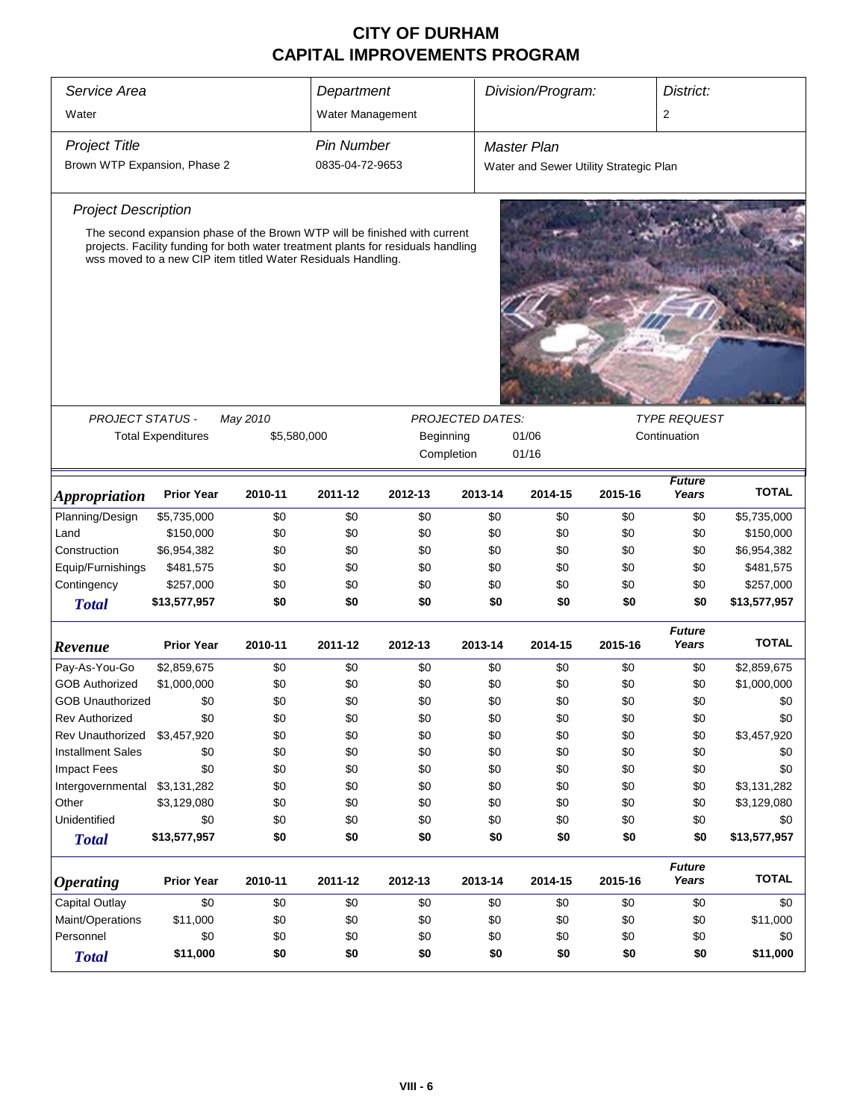| Service Area<br>Division/Program:<br>Department |                                                                                                                                                   |             |                   | District:                                                      |         |                                        |         |                        |              |  |
|-------------------------------------------------|---------------------------------------------------------------------------------------------------------------------------------------------------|-------------|-------------------|----------------------------------------------------------------|---------|----------------------------------------|---------|------------------------|--------------|--|
| Water                                           |                                                                                                                                                   |             | Water Management  |                                                                |         |                                        |         | 2                      |              |  |
|                                                 |                                                                                                                                                   |             |                   |                                                                |         |                                        |         |                        |              |  |
| <b>Project Title</b>                            |                                                                                                                                                   |             | <b>Pin Number</b> |                                                                |         | <b>Master Plan</b>                     |         |                        |              |  |
| Brown WTP Expansion, Phase 2                    |                                                                                                                                                   |             | 0835-04-72-9653   |                                                                |         | Water and Sewer Utility Strategic Plan |         |                        |              |  |
| <b>Project Description</b>                      |                                                                                                                                                   |             |                   |                                                                |         |                                        |         |                        |              |  |
|                                                 | The second expansion phase of the Brown WTP will be finished with current                                                                         |             |                   |                                                                |         |                                        |         |                        |              |  |
|                                                 | projects. Facility funding for both water treatment plants for residuals handling<br>wss moved to a new CIP item titled Water Residuals Handling. |             |                   |                                                                |         |                                        |         |                        |              |  |
|                                                 |                                                                                                                                                   |             |                   |                                                                |         |                                        |         |                        |              |  |
|                                                 |                                                                                                                                                   |             |                   |                                                                |         |                                        |         |                        |              |  |
|                                                 |                                                                                                                                                   |             |                   |                                                                |         |                                        |         |                        |              |  |
|                                                 |                                                                                                                                                   |             |                   |                                                                |         |                                        |         |                        |              |  |
|                                                 |                                                                                                                                                   |             |                   |                                                                |         |                                        |         |                        |              |  |
| <b>PROJECT STATUS -</b>                         |                                                                                                                                                   | May 2010    |                   | <b>TYPE REQUEST</b><br><b>PROJECTED DATES:</b><br>Continuation |         |                                        |         |                        |              |  |
|                                                 | <b>Total Expenditures</b>                                                                                                                         | \$5,580,000 |                   | Beginning                                                      |         | 01/06                                  |         |                        |              |  |
|                                                 |                                                                                                                                                   |             |                   | Completion                                                     |         | 01/16                                  |         |                        |              |  |
| <i><b>Appropriation</b></i>                     | <b>Prior Year</b>                                                                                                                                 | 2010-11     | 2011-12           | 2012-13                                                        | 2013-14 | 2014-15                                | 2015-16 | <b>Future</b><br>Years | <b>TOTAL</b> |  |
| Planning/Design                                 | \$5,735,000                                                                                                                                       | \$0         | \$0               | \$0                                                            | \$0     | \$0                                    | \$0     | \$0                    | \$5,735,000  |  |
| Land                                            | \$150,000                                                                                                                                         | \$0         | \$0               | \$0                                                            | \$0     | \$0                                    | \$0     | \$0                    | \$150,000    |  |
| Construction                                    | \$6,954,382                                                                                                                                       | \$0         | \$0               | \$0                                                            | \$0     | \$0                                    | \$0     | \$0                    | \$6,954,382  |  |
| Equip/Furnishings                               | \$481,575                                                                                                                                         | \$0         | \$0               | \$0                                                            | \$0     | \$0                                    | \$0     | \$0                    | \$481,575    |  |
| Contingency                                     | \$257,000                                                                                                                                         | \$0         | \$0               | \$0                                                            | \$0     | \$0                                    | \$0     | \$0                    | \$257,000    |  |
| <b>Total</b>                                    | \$13,577,957                                                                                                                                      | \$0         | \$0               | \$0                                                            | \$0     | \$0                                    | \$0     | \$0                    | \$13,577,957 |  |
| Revenue                                         | <b>Prior Year</b>                                                                                                                                 | 2010-11     | 2011-12           | 2012-13                                                        | 2013-14 | 2014-15                                | 2015-16 | <b>Future</b><br>Years | <b>TOTAL</b> |  |
| Pay-As-You-Go                                   | \$2,859,675                                                                                                                                       | \$0         | \$0               | \$0                                                            | \$0     | \$0                                    | \$0     | \$0                    | \$2,859,675  |  |
| <b>GOB Authorized</b>                           | \$1,000,000                                                                                                                                       | \$0         | \$0               | \$0                                                            | \$0     | \$0                                    | \$0     | \$0                    | \$1,000,000  |  |
| <b>GOB Unauthorized</b>                         | \$0                                                                                                                                               | \$0         | \$0               | \$0                                                            | \$0     | \$0                                    | \$0     | \$0                    | \$0          |  |
| <b>Rev Authorized</b>                           | \$0                                                                                                                                               | \$0         | \$0               | \$0                                                            | \$0     | \$0                                    | \$0     | \$0                    | \$0          |  |
| Rev Unauthorized                                | \$3,457,920                                                                                                                                       | \$0         | \$0               | \$0                                                            | \$0     | \$0                                    | \$0     | \$0                    | \$3,457,920  |  |
| <b>Installment Sales</b>                        | \$0                                                                                                                                               | \$0         | \$0               | \$0                                                            | \$0     | \$0                                    | \$0     | \$0                    | \$0          |  |
| <b>Impact Fees</b>                              | \$0                                                                                                                                               | \$0         | \$0               | \$0                                                            | \$0     | \$0                                    | \$0     | \$0                    | \$0          |  |
| Intergovernmental                               | \$3,131,282                                                                                                                                       | \$0         | \$0               | \$0                                                            | \$0     | \$0                                    | \$0     | \$0                    | \$3,131,282  |  |
| Other                                           | \$3,129,080                                                                                                                                       | \$0         | \$0               | \$0                                                            | \$0     | \$0                                    | \$0     | \$0                    | \$3,129,080  |  |
| Unidentified                                    | \$0                                                                                                                                               | \$0         | \$0               | \$0                                                            | \$0     | \$0                                    | \$0     | \$0                    | \$0          |  |
| <b>Total</b>                                    | \$13,577,957                                                                                                                                      | \$0         | \$0               | \$0                                                            | \$0     | \$0                                    | \$0     | \$0                    | \$13,577,957 |  |
| <b>Operating</b>                                | <b>Prior Year</b>                                                                                                                                 | 2010-11     | 2011-12           | 2012-13                                                        | 2013-14 | 2014-15                                | 2015-16 | <b>Future</b><br>Years | <b>TOTAL</b> |  |
| Capital Outlay                                  | \$0                                                                                                                                               | \$0         | \$0               | \$0                                                            | \$0     | \$0                                    | \$0     | \$0                    | \$0          |  |
| Maint/Operations                                | \$11,000                                                                                                                                          | \$0         | \$0               | \$0                                                            | \$0     | \$0                                    | \$0     | \$0                    | \$11,000     |  |
| Personnel                                       | \$0                                                                                                                                               | \$0         | \$0               | \$0                                                            | \$0     | \$0                                    | \$0     | \$0                    | \$0          |  |
| <b>Total</b>                                    | \$11,000                                                                                                                                          | \$0         | \$0               | \$0                                                            | \$0     | \$0                                    | \$0     | \$0                    | \$11,000     |  |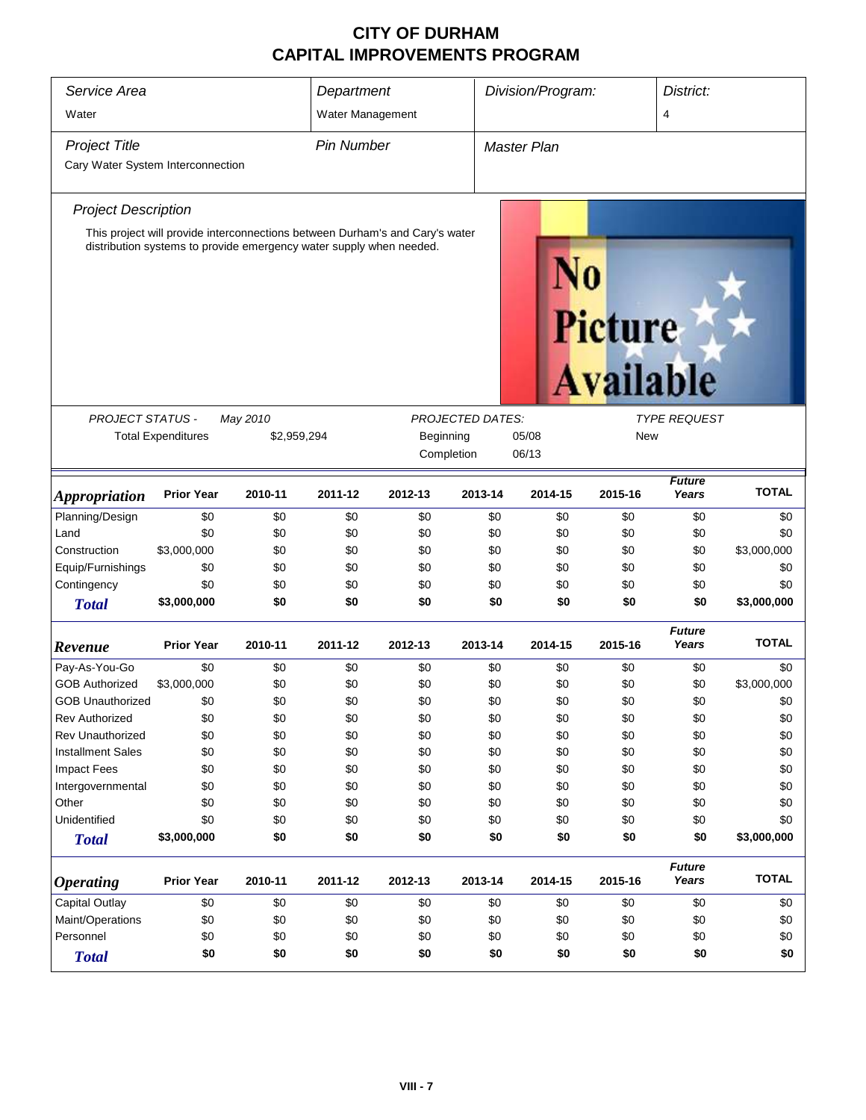| Service Area<br>Water             |                                                                                                                                                     |             | Department<br>Water Management |            |                         | Division/Program:  |                             |                        | District:<br>4 |  |
|-----------------------------------|-----------------------------------------------------------------------------------------------------------------------------------------------------|-------------|--------------------------------|------------|-------------------------|--------------------|-----------------------------|------------------------|----------------|--|
| <b>Project Title</b>              |                                                                                                                                                     |             | <b>Pin Number</b>              |            |                         | <b>Master Plan</b> |                             |                        |                |  |
| Cary Water System Interconnection |                                                                                                                                                     |             |                                |            |                         |                    |                             |                        |                |  |
| <b>Project Description</b>        |                                                                                                                                                     |             |                                |            |                         |                    |                             |                        |                |  |
|                                   | This project will provide interconnections between Durham's and Cary's water<br>distribution systems to provide emergency water supply when needed. |             |                                |            |                         |                    | Picture<br><b>Available</b> |                        |                |  |
| <b>PROJECT STATUS -</b>           |                                                                                                                                                     | May 2010    |                                |            | <b>PROJECTED DATES:</b> |                    |                             | <b>TYPE REQUEST</b>    |                |  |
|                                   | <b>Total Expenditures</b>                                                                                                                           | \$2,959,294 |                                | Beginning  |                         | 05/08              | <b>New</b>                  |                        |                |  |
|                                   |                                                                                                                                                     |             |                                | Completion |                         | 06/13              |                             |                        |                |  |
| <i><b>Appropriation</b></i>       | <b>Prior Year</b>                                                                                                                                   | 2010-11     | 2011-12                        | 2012-13    | 2013-14                 | 2014-15            | 2015-16                     | <b>Future</b><br>Years | <b>TOTAL</b>   |  |
| Planning/Design                   | \$0                                                                                                                                                 | \$0         | \$0                            | \$0        | \$0                     | \$0                | \$0                         | \$0                    | \$0            |  |
| Land                              | \$0                                                                                                                                                 | \$0         | \$0                            | \$0        | \$0                     | \$0                | \$0                         | \$0                    | \$0            |  |
| Construction                      | \$3,000,000                                                                                                                                         | \$0         | \$0                            | \$0        | \$0                     | \$0                | \$0                         | \$0                    | \$3,000,000    |  |
| Equip/Furnishings                 | \$0                                                                                                                                                 | \$0         | \$0                            | \$0        | \$0                     | \$0                | \$0                         | \$0                    | \$0            |  |
| Contingency                       | \$0                                                                                                                                                 | \$0         | \$0                            | \$0        | \$0                     | \$0                | \$0                         | \$0                    | \$0            |  |
| <b>Total</b>                      | \$3,000,000                                                                                                                                         | \$0         | \$0                            | \$0        | \$0                     | \$0                | \$0                         | \$0                    | \$3,000,000    |  |
| Revenue                           | <b>Prior Year</b>                                                                                                                                   | 2010-11     | 2011-12                        | 2012-13    | 2013-14                 | 2014-15            | 2015-16                     | <b>Future</b><br>Years | <b>TOTAL</b>   |  |
| Pay-As-You-Go                     | \$0                                                                                                                                                 | \$0         | \$0                            | \$0        | \$0                     | \$0                | \$0                         | \$0                    | \$0            |  |
| <b>GOB Authorized</b>             | \$3,000,000                                                                                                                                         | \$0         | \$0                            | \$0        | \$0                     | \$0                | \$0                         | \$0                    | \$3,000,000    |  |
| <b>GOB Unauthorized</b>           | \$0                                                                                                                                                 | \$0         | \$0                            | \$0        | \$0                     | \$0                | \$0                         | \$0                    | \$0            |  |
| <b>Rev Authorized</b>             | \$0                                                                                                                                                 | \$0         | \$0                            | \$0        | \$0                     | \$0                | \$0                         | \$0                    | \$0            |  |
| <b>Rev Unauthorized</b>           | \$0                                                                                                                                                 | \$0         | \$0                            | \$0        | \$0                     | \$0                | \$0                         | \$0                    | \$0            |  |
| <b>Installment Sales</b>          | \$0                                                                                                                                                 | \$0         | \$0                            | \$0        | \$0                     | \$0                | \$0                         | \$0                    | \$0            |  |
| <b>Impact Fees</b>                | \$0                                                                                                                                                 | \$0         | \$0                            | \$0        | \$0                     | \$0                | \$0                         | \$0                    | \$0            |  |
| Intergovernmental                 | \$0                                                                                                                                                 | \$0         | \$0                            | \$0        | \$0                     | \$0                | \$0                         | \$0                    | \$0            |  |
| Other                             | \$0                                                                                                                                                 | \$0         | \$0                            | \$0        | \$0                     | \$0                | \$0                         | \$0                    | \$0            |  |
| Unidentified                      | \$0                                                                                                                                                 | \$0         | \$0                            | \$0        | \$0                     | \$0                | \$0                         | \$0                    | \$0            |  |
| <b>Total</b>                      | \$3,000,000                                                                                                                                         | \$0         | \$0                            | \$0        | \$0                     | \$0                | \$0                         | \$0                    | \$3,000,000    |  |
| <b>Operating</b>                  | <b>Prior Year</b>                                                                                                                                   | 2010-11     | 2011-12                        | 2012-13    | 2013-14                 | 2014-15            | 2015-16                     | <b>Future</b><br>Years | <b>TOTAL</b>   |  |
| Capital Outlay                    | \$0                                                                                                                                                 | \$0         | \$0                            | \$0        | \$0                     | \$0                | \$0                         | \$0                    | \$0            |  |
| Maint/Operations                  | \$0                                                                                                                                                 | \$0         | \$0                            | \$0        | \$0                     | \$0                | \$0                         | \$0                    | \$0            |  |
| Personnel                         | \$0                                                                                                                                                 | \$0         | \$0                            | \$0        | \$0                     | \$0                | \$0                         | \$0                    | \$0            |  |
| <b>Total</b>                      | \$0                                                                                                                                                 | \$0         | \$0                            | \$0        | \$0                     | \$0                | \$0                         | \$0                    | \$0            |  |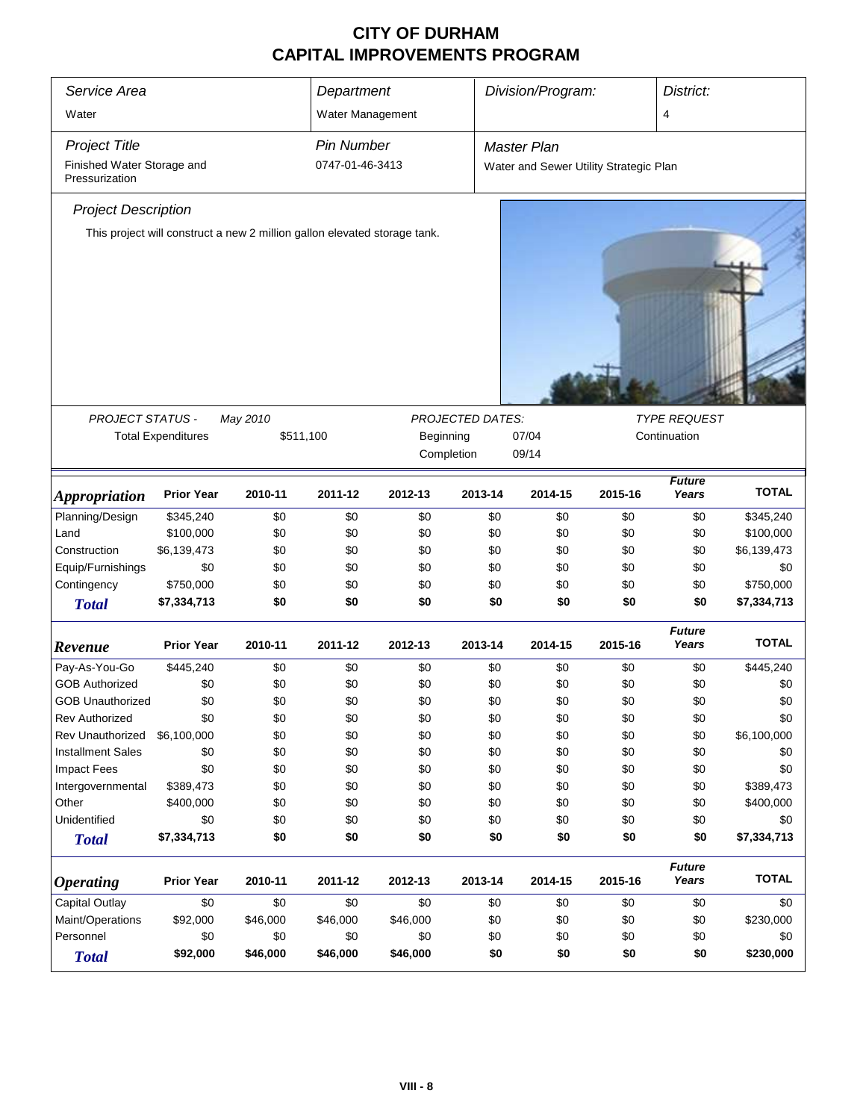| Division/Program:<br>Service Area<br>District:<br>Department |                           |                                                                           |                   |                                    |                  |                                        |         |                        |              |
|--------------------------------------------------------------|---------------------------|---------------------------------------------------------------------------|-------------------|------------------------------------|------------------|----------------------------------------|---------|------------------------|--------------|
| Water                                                        |                           |                                                                           | Water Management  |                                    |                  |                                        |         | 4                      |              |
| <b>Project Title</b>                                         |                           |                                                                           | <b>Pin Number</b> |                                    |                  | <b>Master Plan</b>                     |         |                        |              |
| Finished Water Storage and<br>Pressurization                 |                           |                                                                           | 0747-01-46-3413   |                                    |                  | Water and Sewer Utility Strategic Plan |         |                        |              |
| <b>Project Description</b>                                   |                           |                                                                           |                   |                                    |                  |                                        |         |                        |              |
|                                                              |                           | This project will construct a new 2 million gallon elevated storage tank. |                   |                                    |                  |                                        |         |                        |              |
|                                                              |                           |                                                                           |                   |                                    |                  |                                        |         |                        |              |
|                                                              |                           |                                                                           |                   |                                    |                  |                                        |         |                        |              |
|                                                              |                           |                                                                           |                   |                                    |                  |                                        |         |                        |              |
|                                                              |                           |                                                                           |                   |                                    |                  |                                        |         |                        |              |
|                                                              |                           |                                                                           |                   |                                    |                  |                                        |         |                        |              |
|                                                              |                           |                                                                           |                   |                                    |                  |                                        |         |                        |              |
| PROJECT STATUS -                                             |                           | May 2010                                                                  |                   |                                    | PROJECTED DATES: |                                        |         | <b>TYPE REQUEST</b>    |              |
|                                                              | <b>Total Expenditures</b> | \$511,100                                                                 |                   | Beginning<br>07/04<br>Continuation |                  |                                        |         |                        |              |
|                                                              |                           |                                                                           |                   | Completion                         |                  | 09/14                                  |         |                        |              |
|                                                              |                           |                                                                           |                   |                                    |                  |                                        |         | <b>Future</b>          |              |
| <b>Appropriation</b>                                         | <b>Prior Year</b>         | 2010-11                                                                   | 2011-12           | 2012-13                            | 2013-14          | 2014-15                                | 2015-16 | Years                  | <b>TOTAL</b> |
| Planning/Design                                              | \$345,240                 | \$0                                                                       | \$0               | \$0                                | \$0              | \$0                                    | \$0     | \$0                    | \$345,240    |
| Land                                                         | \$100,000                 | \$0                                                                       | \$0               | \$0                                | \$0              | \$0                                    | \$0     | \$0                    | \$100,000    |
| Construction                                                 | \$6,139,473               | \$0                                                                       | \$0               | \$0                                | \$0              | \$0                                    | \$0     | \$0                    | \$6,139,473  |
| Equip/Furnishings                                            | \$0                       | \$0                                                                       | \$0               | \$0                                | \$0              | \$0                                    | \$0     | \$0                    | \$0          |
| Contingency                                                  | \$750,000                 | \$0                                                                       | \$0               | \$0                                | \$0              | \$0                                    | \$0     | \$0                    | \$750,000    |
| <b>Total</b>                                                 | \$7,334,713               | \$0                                                                       | \$0               | \$0                                | \$0              | \$0                                    | \$0     | \$0                    | \$7,334,713  |
| Revenue                                                      | <b>Prior Year</b>         | 2010-11                                                                   | 2011-12           | 2012-13                            | 2013-14          | 2014-15                                | 2015-16 | <b>Future</b><br>Years | <b>TOTAL</b> |
| Pay-As-You-Go                                                | \$445,240                 | \$0                                                                       | \$0               | \$0                                | \$0              | \$0                                    | \$0     | \$0                    | \$445,240    |
| <b>GOB Authorized</b>                                        | \$0                       | \$0                                                                       | \$0               | \$0                                | \$0              | \$0                                    | \$0     | \$0                    | \$0          |
| <b>GOB Unauthorized</b>                                      | \$0                       | \$0                                                                       | \$0               | \$0                                | \$0              | \$0                                    | \$0     | \$0                    | \$0          |
| Rev Authorized                                               | \$0                       | \$0                                                                       | \$0               | \$0                                | \$0              | \$0                                    | \$0     | \$0                    | \$0          |
| <b>Rev Unauthorized</b>                                      | \$6,100,000               | \$0                                                                       | \$0               | \$0                                | \$0              | \$0                                    | \$0     | \$0                    | \$6,100,000  |
| <b>Installment Sales</b>                                     | \$0                       | \$0                                                                       | \$0               | \$0                                | \$0              | \$0                                    | \$0     | \$0                    | \$0          |
| <b>Impact Fees</b>                                           | \$0                       | \$0                                                                       | \$0               | \$0                                | \$0              | \$0                                    | \$0     | \$0                    | \$0          |
| Intergovernmental                                            | \$389,473                 | \$0                                                                       | \$0               | \$0                                | \$0              | \$0                                    | \$0     | \$0                    | \$389,473    |
| Other                                                        | \$400,000                 | \$0                                                                       | \$0               | \$0                                | \$0              | \$0                                    | \$0     | \$0                    | \$400,000    |
| Unidentified                                                 | \$0                       | \$0                                                                       | \$0               | \$0                                | \$0              | \$0                                    | \$0     | \$0                    | \$0          |
| <b>Total</b>                                                 | \$7,334,713               | \$0                                                                       | \$0               | \$0                                | \$0              | \$0                                    | \$0     | \$0                    | \$7,334,713  |
|                                                              |                           |                                                                           |                   |                                    |                  |                                        |         | <b>Future</b>          |              |
| <b>Operating</b>                                             | <b>Prior Year</b>         | 2010-11                                                                   | 2011-12           | 2012-13                            | 2013-14          | 2014-15                                | 2015-16 | Years                  | <b>TOTAL</b> |
| <b>Capital Outlay</b>                                        | \$0                       | \$0                                                                       | \$0               | \$0                                | \$0              | \$0                                    | \$0     | \$0                    | \$0          |
| Maint/Operations                                             | \$92,000                  | \$46,000                                                                  | \$46,000          | \$46,000                           | \$0              | \$0                                    | \$0     | \$0                    | \$230,000    |
| Personnel                                                    | \$0                       | \$0                                                                       | \$0               | \$0                                | \$0              | \$0                                    | \$0     | \$0                    | \$0          |
| <b>Total</b>                                                 | \$92,000                  | \$46,000                                                                  | \$46,000          | \$46,000                           | \$0              | \$0                                    | \$0     | \$0                    | \$230,000    |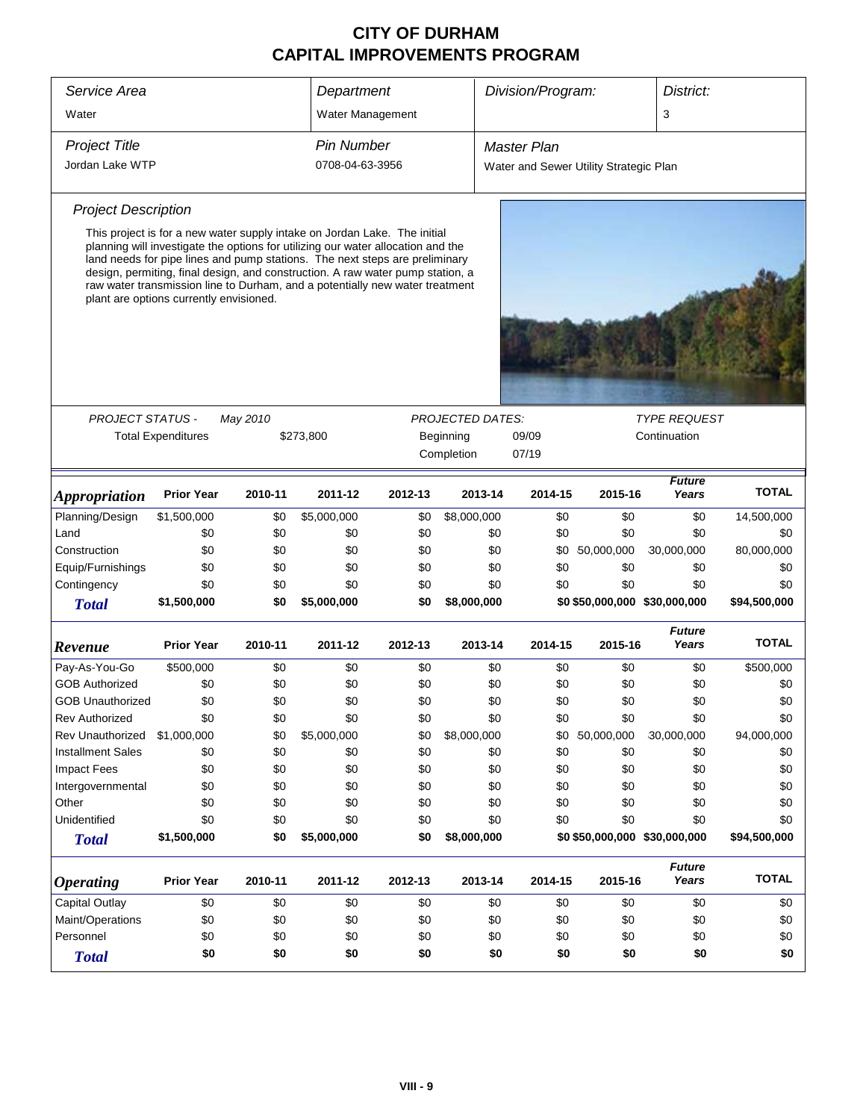| Service Area               |                                                                                                                                                                                                                                                                                                                                                                                                                                                           |          | Department        |         |                         | Division/Program:<br>District: |                                        |                        |              |
|----------------------------|-----------------------------------------------------------------------------------------------------------------------------------------------------------------------------------------------------------------------------------------------------------------------------------------------------------------------------------------------------------------------------------------------------------------------------------------------------------|----------|-------------------|---------|-------------------------|--------------------------------|----------------------------------------|------------------------|--------------|
| Water                      |                                                                                                                                                                                                                                                                                                                                                                                                                                                           |          | Water Management  |         |                         |                                |                                        | 3                      |              |
| <b>Project Title</b>       |                                                                                                                                                                                                                                                                                                                                                                                                                                                           |          | <b>Pin Number</b> |         |                         | <b>Master Plan</b>             |                                        |                        |              |
| Jordan Lake WTP            |                                                                                                                                                                                                                                                                                                                                                                                                                                                           |          | 0708-04-63-3956   |         |                         |                                | Water and Sewer Utility Strategic Plan |                        |              |
|                            |                                                                                                                                                                                                                                                                                                                                                                                                                                                           |          |                   |         |                         |                                |                                        |                        |              |
| <b>Project Description</b> |                                                                                                                                                                                                                                                                                                                                                                                                                                                           |          |                   |         |                         |                                |                                        |                        |              |
|                            | This project is for a new water supply intake on Jordan Lake. The initial<br>planning will investigate the options for utilizing our water allocation and the<br>land needs for pipe lines and pump stations. The next steps are preliminary<br>design, permiting, final design, and construction. A raw water pump station, a<br>raw water transmission line to Durham, and a potentially new water treatment<br>plant are options currently envisioned. |          |                   |         |                         |                                |                                        |                        |              |
|                            |                                                                                                                                                                                                                                                                                                                                                                                                                                                           |          |                   |         |                         |                                |                                        |                        |              |
| <b>PROJECT STATUS -</b>    |                                                                                                                                                                                                                                                                                                                                                                                                                                                           | May 2010 |                   |         | <b>PROJECTED DATES:</b> |                                |                                        | <b>TYPE REQUEST</b>    |              |
|                            | <b>Total Expenditures</b>                                                                                                                                                                                                                                                                                                                                                                                                                                 |          | \$273,800         |         | Beginning               | 09/09                          |                                        | Continuation           |              |
|                            |                                                                                                                                                                                                                                                                                                                                                                                                                                                           |          |                   |         | Completion              | 07/19                          |                                        |                        |              |
| <b>Appropriation</b>       | <b>Prior Year</b>                                                                                                                                                                                                                                                                                                                                                                                                                                         | 2010-11  | 2011-12           | 2012-13 | 2013-14                 | 2014-15                        | 2015-16                                | <b>Future</b><br>Years | <b>TOTAL</b> |
| Planning/Design            | \$1,500,000                                                                                                                                                                                                                                                                                                                                                                                                                                               | \$0      | \$5,000,000       | \$0     | \$8,000,000             | \$0                            | \$0                                    | \$0                    | 14,500,000   |
| Land                       | \$0                                                                                                                                                                                                                                                                                                                                                                                                                                                       | \$0      | \$0               | \$0     | \$0                     | \$0                            | \$0                                    | \$0                    | \$0          |
| Construction               | \$0                                                                                                                                                                                                                                                                                                                                                                                                                                                       | \$0      | \$0               | \$0     | \$0                     | \$0                            | 50,000,000                             | 30,000,000             | 80,000,000   |
| Equip/Furnishings          | \$0                                                                                                                                                                                                                                                                                                                                                                                                                                                       | \$0      | \$0               | \$0     | \$0                     | \$0                            | \$0                                    | \$0                    | \$0          |
| Contingency                | \$0                                                                                                                                                                                                                                                                                                                                                                                                                                                       | \$0      | \$0               | \$0     | \$0                     | \$0                            | \$0                                    | \$0                    | \$0          |
| <b>Total</b>               | \$1,500,000                                                                                                                                                                                                                                                                                                                                                                                                                                               | \$0      | \$5,000,000       | \$0     | \$8,000,000             |                                | \$0 \$50,000,000 \$30,000,000          |                        | \$94,500,000 |
| Revenue                    | <b>Prior Year</b>                                                                                                                                                                                                                                                                                                                                                                                                                                         | 2010-11  | 2011-12           | 2012-13 | 2013-14                 | 2014-15                        | 2015-16                                | <b>Future</b><br>Years | <b>TOTAL</b> |
| Pay-As-You-Go              | \$500,000                                                                                                                                                                                                                                                                                                                                                                                                                                                 | \$0      | \$0               | \$0     | \$0                     | \$0                            | \$0                                    | \$0                    | \$500,000    |
| <b>GOB Authorized</b>      | \$0                                                                                                                                                                                                                                                                                                                                                                                                                                                       | \$0      | \$0               | \$0     | \$0                     | \$0                            | \$0                                    | \$0                    | \$0          |
| <b>GOB Unauthorized</b>    | \$0                                                                                                                                                                                                                                                                                                                                                                                                                                                       | \$0      | \$0               | \$0     | \$0                     | \$0                            | \$0                                    | \$0                    | \$0          |
| <b>Rev Authorized</b>      | \$0                                                                                                                                                                                                                                                                                                                                                                                                                                                       | \$0      | \$0               | \$0     | \$0                     | \$0                            | \$0                                    | \$0                    | \$0          |
| <b>Rev Unauthorized</b>    | \$1,000,000                                                                                                                                                                                                                                                                                                                                                                                                                                               | \$0      | \$5,000,000       | \$0     | \$8,000,000             | \$0                            | 50,000,000                             | 30,000,000             | 94,000,000   |
| <b>Installment Sales</b>   | \$0                                                                                                                                                                                                                                                                                                                                                                                                                                                       | \$0      | \$0               | \$0     | \$0                     | \$0                            | \$0                                    | \$0                    | \$0          |
| <b>Impact Fees</b>         | \$0                                                                                                                                                                                                                                                                                                                                                                                                                                                       | \$0      | \$0               | \$0     | \$0                     | \$0                            | \$0                                    | \$0                    | \$0          |
| Intergovernmental          | \$0                                                                                                                                                                                                                                                                                                                                                                                                                                                       | \$0      | \$0               | \$0     | \$0                     | \$0                            | \$0                                    | \$0                    | \$0          |
| Other                      | \$0                                                                                                                                                                                                                                                                                                                                                                                                                                                       | \$0      | \$0               | \$0     | \$0                     | \$0                            | \$0                                    | \$0                    | \$0          |
| Unidentified               | \$0                                                                                                                                                                                                                                                                                                                                                                                                                                                       | \$0      | \$0               | \$0     | \$0                     | \$0                            | \$0                                    | \$0                    | \$0          |
| <b>Total</b>               | \$1,500,000                                                                                                                                                                                                                                                                                                                                                                                                                                               | \$0      | \$5,000,000       | \$0     | \$8,000,000             |                                | \$0 \$50,000,000 \$30,000,000          |                        | \$94,500,000 |
| <b>Operating</b>           | <b>Prior Year</b>                                                                                                                                                                                                                                                                                                                                                                                                                                         | 2010-11  | 2011-12           | 2012-13 | 2013-14                 | 2014-15                        | 2015-16                                | <b>Future</b><br>Years | <b>TOTAL</b> |
| Capital Outlay             | \$0                                                                                                                                                                                                                                                                                                                                                                                                                                                       | \$0      | \$0               | \$0     | \$0                     | \$0                            | \$0                                    | \$0                    | \$0          |
| Maint/Operations           | \$0                                                                                                                                                                                                                                                                                                                                                                                                                                                       | \$0      | \$0               | \$0     | \$0                     | \$0                            | \$0                                    | \$0                    | \$0          |
| Personnel                  | \$0                                                                                                                                                                                                                                                                                                                                                                                                                                                       | \$0      | \$0               | \$0     | \$0                     | \$0                            | \$0                                    | \$0                    | \$0          |
| <b>Total</b>               | \$0                                                                                                                                                                                                                                                                                                                                                                                                                                                       | \$0      | \$0               | \$0     | \$0                     | \$0                            | \$0                                    | \$0                    | \$0          |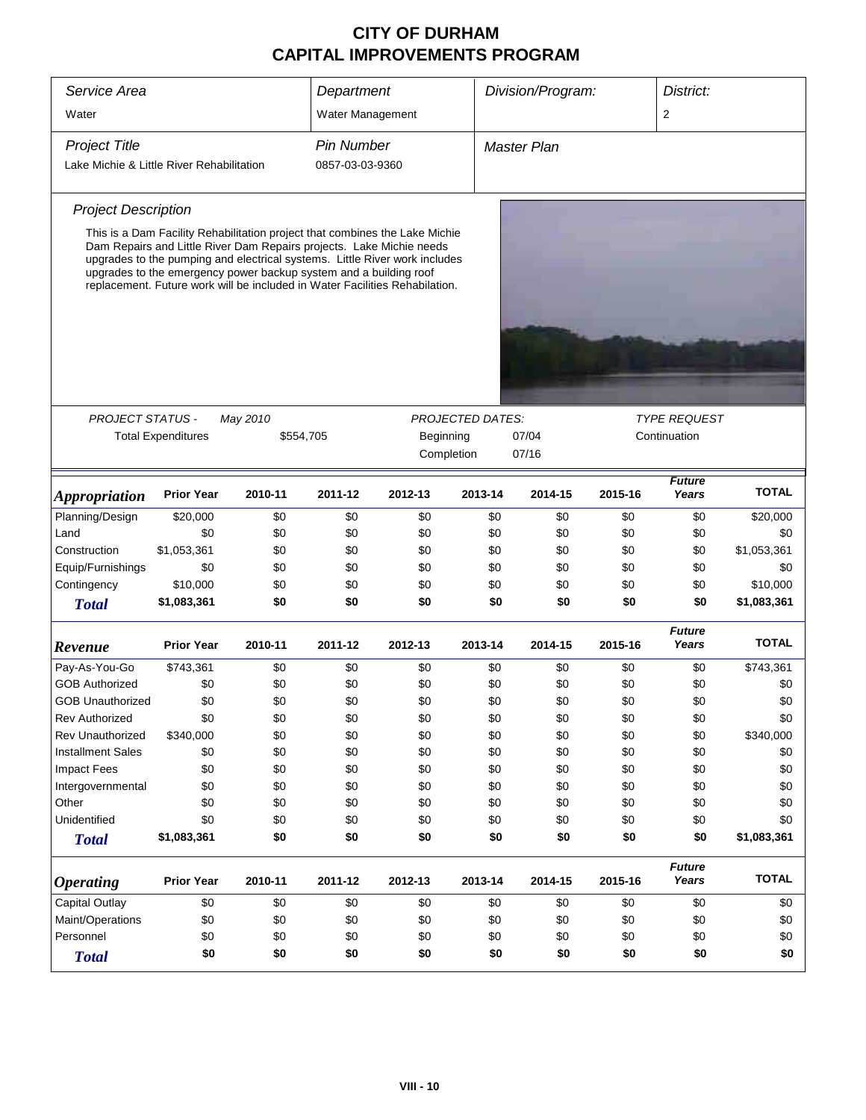| Service Area                              |                                                                                                                                                                                                                                                                                                                                                                                       |                       | Department        |           |                         | Division/Program: |         | District:                           |              |
|-------------------------------------------|---------------------------------------------------------------------------------------------------------------------------------------------------------------------------------------------------------------------------------------------------------------------------------------------------------------------------------------------------------------------------------------|-----------------------|-------------------|-----------|-------------------------|-------------------|---------|-------------------------------------|--------------|
| Water                                     |                                                                                                                                                                                                                                                                                                                                                                                       |                       | Water Management  |           |                         |                   |         | $\overline{2}$                      |              |
| <b>Project Title</b>                      |                                                                                                                                                                                                                                                                                                                                                                                       |                       | <b>Pin Number</b> |           |                         | Master Plan       |         |                                     |              |
| Lake Michie & Little River Rehabilitation |                                                                                                                                                                                                                                                                                                                                                                                       |                       | 0857-03-03-9360   |           |                         |                   |         |                                     |              |
| <b>Project Description</b>                |                                                                                                                                                                                                                                                                                                                                                                                       |                       |                   |           |                         |                   |         |                                     |              |
|                                           | This is a Dam Facility Rehabilitation project that combines the Lake Michie<br>Dam Repairs and Little River Dam Repairs projects. Lake Michie needs<br>upgrades to the pumping and electrical systems. Little River work includes<br>upgrades to the emergency power backup system and a building roof<br>replacement. Future work will be included in Water Facilities Rehabilation. |                       |                   |           |                         |                   |         |                                     |              |
|                                           |                                                                                                                                                                                                                                                                                                                                                                                       |                       |                   |           |                         |                   |         |                                     |              |
|                                           |                                                                                                                                                                                                                                                                                                                                                                                       |                       |                   |           |                         |                   |         |                                     |              |
| <b>PROJECT STATUS -</b>                   | <b>Total Expenditures</b>                                                                                                                                                                                                                                                                                                                                                             | May 2010<br>\$554,705 |                   | Beginning | <b>PROJECTED DATES:</b> | 07/04             |         | <b>TYPE REQUEST</b><br>Continuation |              |
|                                           |                                                                                                                                                                                                                                                                                                                                                                                       |                       |                   |           | Completion              | 07/16             |         |                                     |              |
|                                           |                                                                                                                                                                                                                                                                                                                                                                                       |                       |                   |           |                         |                   |         | <b>Future</b>                       | <b>TOTAL</b> |
| <i><b>Appropriation</b></i>               | <b>Prior Year</b>                                                                                                                                                                                                                                                                                                                                                                     | 2010-11               | 2011-12           | 2012-13   | 2013-14                 | 2014-15           | 2015-16 | Years                               |              |
| Planning/Design                           | \$20,000                                                                                                                                                                                                                                                                                                                                                                              | \$0                   | \$0               | \$0       | \$0                     | \$0               | \$0     | \$0                                 | \$20,000     |
| Land                                      | \$0                                                                                                                                                                                                                                                                                                                                                                                   | \$0                   | \$0               | \$0       | \$0                     | \$0               | \$0     | \$0                                 | \$0          |
| Construction                              | \$1,053,361                                                                                                                                                                                                                                                                                                                                                                           | \$0                   | \$0               | \$0       | \$0                     | \$0               | \$0     | \$0                                 | \$1,053,361  |
| Equip/Furnishings                         | \$0                                                                                                                                                                                                                                                                                                                                                                                   | \$0                   | \$0               | \$0       | \$0                     | \$0               | \$0     | \$0                                 | \$0          |
| Contingency                               | \$10,000                                                                                                                                                                                                                                                                                                                                                                              | \$0                   | \$0               | \$0       | \$0                     | \$0               | \$0     | \$0                                 | \$10,000     |
| <b>Total</b>                              | \$1,083,361                                                                                                                                                                                                                                                                                                                                                                           | \$0                   | \$0               | \$0       | \$0                     | \$0               | \$0     | \$0                                 | \$1,083,361  |
| Revenue                                   | <b>Prior Year</b>                                                                                                                                                                                                                                                                                                                                                                     | 2010-11               | 2011-12           | 2012-13   | 2013-14                 | 2014-15           | 2015-16 | <b>Future</b><br>Years              | <b>TOTAL</b> |
| Pay-As-You-Go                             | \$743,361                                                                                                                                                                                                                                                                                                                                                                             | \$0                   | \$0               | \$0       | \$0                     | \$0               | \$0     | \$0                                 | \$743,361    |
| <b>GOB Authorized</b>                     | \$0                                                                                                                                                                                                                                                                                                                                                                                   | \$0                   | \$0               | \$0       | \$0                     | \$0               | \$0     | \$0                                 | \$0          |
| <b>GOB Unauthorized</b>                   | \$0                                                                                                                                                                                                                                                                                                                                                                                   | \$0                   | \$0               | \$0       | \$0                     | \$0               | \$0     | \$0                                 | \$0          |
| <b>Rev Authorized</b>                     | \$0                                                                                                                                                                                                                                                                                                                                                                                   | \$0                   | \$0               | \$0       | \$0                     | \$0               | \$0     | \$0                                 | \$0          |
| <b>Rev Unauthorized</b>                   | \$340,000                                                                                                                                                                                                                                                                                                                                                                             | \$0                   | \$0               | \$0       | \$0                     | \$0               | \$0     | \$0                                 | \$340,000    |
| <b>Installment Sales</b>                  | \$0                                                                                                                                                                                                                                                                                                                                                                                   | \$0                   | \$0               | \$0       | \$0                     | \$0               | \$0     | \$0                                 | \$0          |
| <b>Impact Fees</b>                        | \$0                                                                                                                                                                                                                                                                                                                                                                                   | \$0                   | \$0               | \$0       | \$0                     | \$0               | \$0     | \$0                                 | \$0          |
| Intergovernmental                         | \$0                                                                                                                                                                                                                                                                                                                                                                                   | \$0                   | \$0               | \$0       | \$0                     | \$0               | \$0     | \$0                                 | \$0          |
| Other                                     | \$0                                                                                                                                                                                                                                                                                                                                                                                   | \$0                   | \$0               | \$0       | \$0                     | \$0               | \$0     | \$0                                 | \$0          |
| Unidentified                              | \$0                                                                                                                                                                                                                                                                                                                                                                                   | \$0                   | \$0               | \$0       | \$0                     | \$0               | \$0     | \$0                                 | \$0          |
| <b>Total</b>                              | \$1,083,361                                                                                                                                                                                                                                                                                                                                                                           | \$0                   | \$0               | \$0       | \$0                     | \$0               | \$0     | \$0                                 | \$1,083,361  |
| <b>Operating</b>                          | <b>Prior Year</b>                                                                                                                                                                                                                                                                                                                                                                     | 2010-11               | 2011-12           | 2012-13   | 2013-14                 | 2014-15           | 2015-16 | <b>Future</b><br>Years              | <b>TOTAL</b> |
| Capital Outlay                            | \$0                                                                                                                                                                                                                                                                                                                                                                                   | \$0                   | \$0               | \$0       | \$0                     | \$0               | \$0     | \$0                                 | \$0          |
| Maint/Operations                          | \$0                                                                                                                                                                                                                                                                                                                                                                                   | \$0                   | \$0               | \$0       | \$0                     | \$0               | \$0     | \$0                                 | \$0          |
| Personnel                                 | \$0                                                                                                                                                                                                                                                                                                                                                                                   | \$0                   | \$0               | \$0       | \$0                     | \$0               | \$0     | \$0                                 | \$0          |
| <b>Total</b>                              | \$0                                                                                                                                                                                                                                                                                                                                                                                   | \$0                   | \$0               | \$0       | \$0                     | \$0               | \$0     | \$0                                 | \$0          |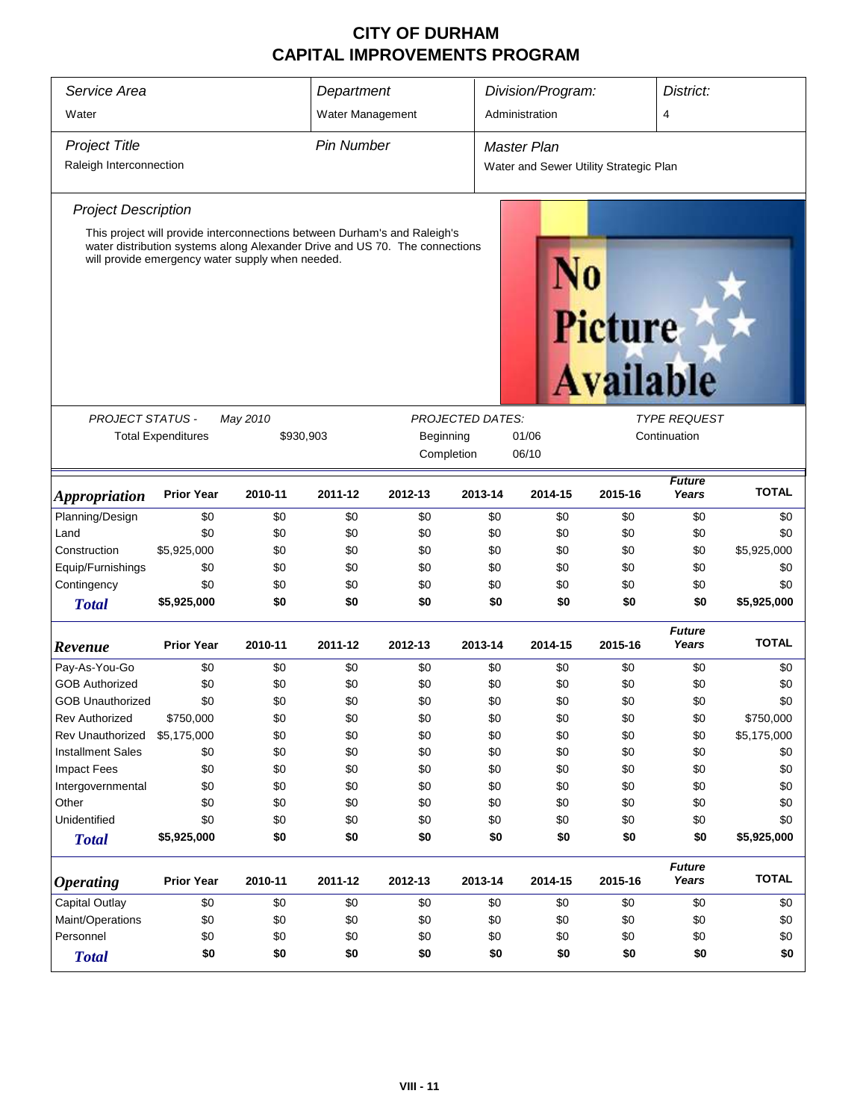| Service Area               | Department                                                                                                                                                                                                   |          |                                                                                                   | Division/Program: |         | District:          |                                        |                        |              |
|----------------------------|--------------------------------------------------------------------------------------------------------------------------------------------------------------------------------------------------------------|----------|---------------------------------------------------------------------------------------------------|-------------------|---------|--------------------|----------------------------------------|------------------------|--------------|
| Water                      |                                                                                                                                                                                                              |          | Water Management                                                                                  |                   |         | Administration     |                                        | 4                      |              |
| <b>Project Title</b>       |                                                                                                                                                                                                              |          | <b>Pin Number</b>                                                                                 |                   |         | <b>Master Plan</b> |                                        |                        |              |
| Raleigh Interconnection    |                                                                                                                                                                                                              |          |                                                                                                   |                   |         |                    | Water and Sewer Utility Strategic Plan |                        |              |
| <b>Project Description</b> |                                                                                                                                                                                                              |          |                                                                                                   |                   |         |                    |                                        |                        |              |
| <b>PROJECT STATUS -</b>    | This project will provide interconnections between Durham's and Raleigh's<br>water distribution systems along Alexander Drive and US 70. The connections<br>will provide emergency water supply when needed. | May 2010 |                                                                                                   |                   |         |                    | Picture<br><b>Available</b>            | <b>TYPE REQUEST</b>    |              |
|                            | <b>Total Expenditures</b>                                                                                                                                                                                    |          | <b>PROJECTED DATES:</b><br>Beginning<br>01/06<br>Continuation<br>\$930,903<br>Completion<br>06/10 |                   |         |                    |                                        |                        |              |
| <b>Appropriation</b>       | <b>Prior Year</b>                                                                                                                                                                                            | 2010-11  | 2011-12                                                                                           | 2012-13           | 2013-14 | 2014-15            | 2015-16                                | <b>Future</b><br>Years | <b>TOTAL</b> |
| Planning/Design            | \$0                                                                                                                                                                                                          | \$0      | \$0                                                                                               | \$0               | \$0     | \$0                | \$0                                    | \$0                    | \$0          |
| Land                       | \$0                                                                                                                                                                                                          | \$0      | \$0                                                                                               | \$0               | \$0     | \$0                | \$0                                    | \$0                    | \$0          |
| Construction               | \$5,925,000                                                                                                                                                                                                  | \$0      | \$0                                                                                               | \$0               | \$0     | \$0                | \$0                                    | \$0                    | \$5,925,000  |
| Equip/Furnishings          | \$0                                                                                                                                                                                                          | \$0      | \$0                                                                                               | \$0               | \$0     | \$0                | \$0                                    | \$0                    | \$0          |
| Contingency                | \$0                                                                                                                                                                                                          | \$0      | \$0                                                                                               | \$0               | \$0     | \$0                | \$0                                    | \$0                    | \$0          |
| <b>Total</b>               | \$5,925,000                                                                                                                                                                                                  | \$0      | \$0                                                                                               | \$0               | \$0     | \$0                | \$0                                    | \$0                    | \$5,925,000  |
| Revenue                    | <b>Prior Year</b>                                                                                                                                                                                            | 2010-11  | 2011-12                                                                                           | 2012-13           | 2013-14 | 2014-15            | 2015-16                                | <b>Future</b><br>Years | <b>TOTAL</b> |
| Pay-As-You-Go              | \$0                                                                                                                                                                                                          | \$0      | \$0                                                                                               | \$0               | \$0     | \$0                | \$0                                    | \$0                    | \$0          |
| <b>GOB Authorized</b>      | \$0                                                                                                                                                                                                          | \$0      | \$0                                                                                               | \$0               | \$0     | \$0                | \$0                                    | \$0                    | \$0          |
| <b>GOB Unauthorized</b>    | \$0                                                                                                                                                                                                          | \$0      | \$0                                                                                               | \$0               | \$0     | \$0                | \$0                                    | \$0                    | \$0          |
| <b>Rev Authorized</b>      | \$750,000                                                                                                                                                                                                    | \$0      | \$0                                                                                               | \$0               | \$0     | \$0                | \$0                                    | \$0                    | \$750,000    |
| Rev Unauthorized           | \$5,175,000                                                                                                                                                                                                  | \$0      | \$0                                                                                               | \$0               | \$0     | \$0                | \$0                                    | \$0                    | \$5,175,000  |
| <b>Installment Sales</b>   | \$0                                                                                                                                                                                                          | \$0      | \$0                                                                                               | \$0               | \$0     | \$0                | \$0                                    | \$0                    | \$0          |
| <b>Impact Fees</b>         | \$0                                                                                                                                                                                                          | \$0      | \$0                                                                                               | \$0               | \$0     | \$0                | \$0                                    | \$0                    | \$0          |
| Intergovernmental          | \$0                                                                                                                                                                                                          | \$0      | \$0                                                                                               | \$0               | \$0     | \$0                | \$0                                    | \$0                    | \$0          |
| Other                      | \$0                                                                                                                                                                                                          | \$0      | \$0                                                                                               | \$0               | \$0     | \$0                | \$0                                    | \$0                    | \$0          |
| Unidentified               | \$0                                                                                                                                                                                                          | \$0      | \$0                                                                                               | \$0               | \$0     | \$0                | \$0                                    | \$0                    | \$0          |
| <b>Total</b>               | \$5,925,000                                                                                                                                                                                                  | \$0      | \$0                                                                                               | \$0               | \$0     | \$0                | \$0                                    | \$0                    | \$5,925,000  |
| <b>Operating</b>           | <b>Prior Year</b>                                                                                                                                                                                            | 2010-11  | 2011-12                                                                                           | 2012-13           | 2013-14 | 2014-15            | 2015-16                                | <b>Future</b><br>Years | <b>TOTAL</b> |
| Capital Outlay             | \$0                                                                                                                                                                                                          | \$0      | \$0                                                                                               | \$0               | \$0     | \$0                | \$0                                    | \$0                    | \$0          |
| Maint/Operations           | \$0                                                                                                                                                                                                          | \$0      | \$0                                                                                               | \$0               | \$0     | \$0                | \$0                                    | \$0                    | \$0          |
| Personnel                  | \$0                                                                                                                                                                                                          | \$0      | \$0                                                                                               | \$0               | \$0     | \$0                | \$0                                    | \$0                    | \$0          |
| <b>Total</b>               | \$0                                                                                                                                                                                                          | \$0      | \$0                                                                                               | \$0               | \$0     | \$0                | \$0                                    | \$0                    | \$0          |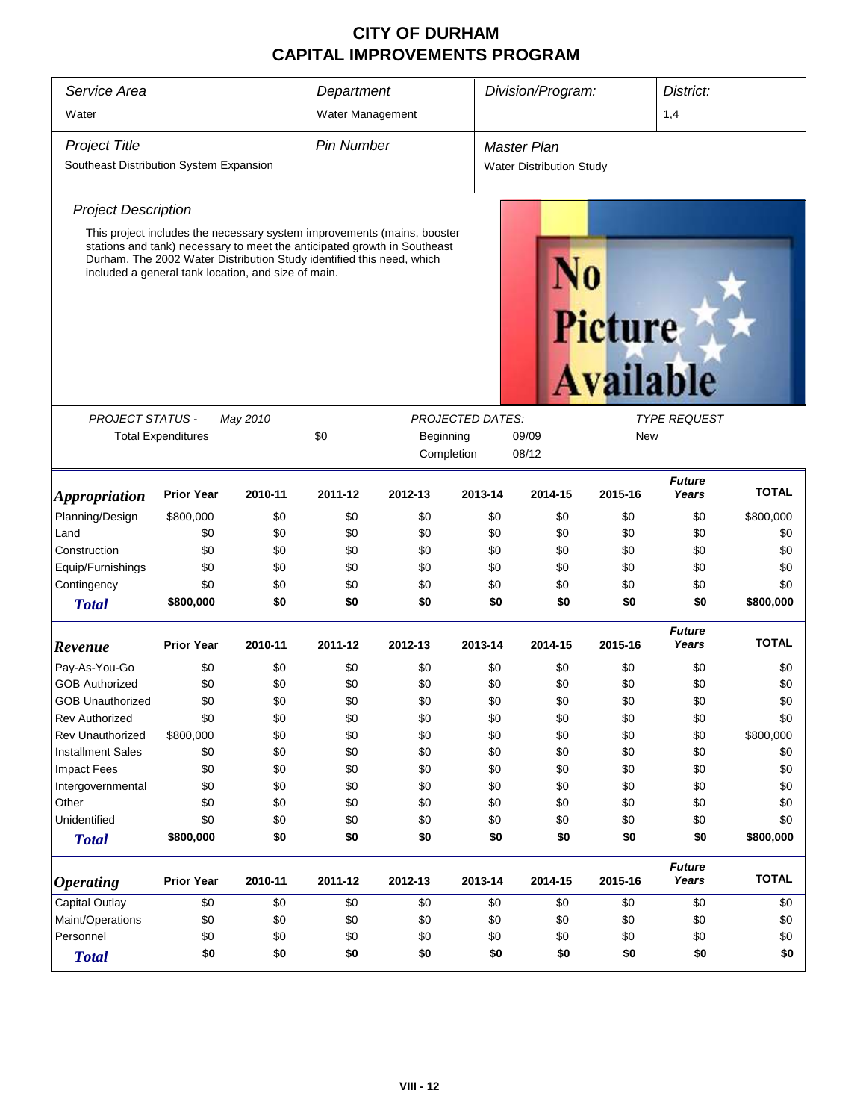| Service Area                                                                          |                                                                                                                                                                                                                                                                                     |         | Department        |           |            | Division/Program:               |         | District:              |              |
|---------------------------------------------------------------------------------------|-------------------------------------------------------------------------------------------------------------------------------------------------------------------------------------------------------------------------------------------------------------------------------------|---------|-------------------|-----------|------------|---------------------------------|---------|------------------------|--------------|
| Water                                                                                 |                                                                                                                                                                                                                                                                                     |         | Water Management  |           |            |                                 |         | 1,4                    |              |
| <b>Project Title</b>                                                                  |                                                                                                                                                                                                                                                                                     |         | <b>Pin Number</b> |           |            | <b>Master Plan</b>              |         |                        |              |
| Southeast Distribution System Expansion                                               |                                                                                                                                                                                                                                                                                     |         |                   |           |            | <b>Water Distribution Study</b> |         |                        |              |
| <b>Project Description</b>                                                            |                                                                                                                                                                                                                                                                                     |         |                   |           |            |                                 |         |                        |              |
|                                                                                       | This project includes the necessary system improvements (mains, booster<br>stations and tank) necessary to meet the anticipated growth in Southeast<br>Durham. The 2002 Water Distribution Study identified this need, which<br>included a general tank location, and size of main. |         |                   |           |            |                                 | Picture | <b>Available</b>       |              |
| <b>PROJECT STATUS -</b><br><b>PROJECTED DATES:</b><br><b>TYPE REQUEST</b><br>May 2010 |                                                                                                                                                                                                                                                                                     |         |                   |           |            |                                 |         |                        |              |
|                                                                                       | <b>Total Expenditures</b>                                                                                                                                                                                                                                                           |         | \$0               | Beginning | New        |                                 |         |                        |              |
|                                                                                       |                                                                                                                                                                                                                                                                                     |         |                   |           | Completion | 09/09<br>08/12                  |         |                        |              |
| <b>Appropriation</b>                                                                  | <b>Prior Year</b>                                                                                                                                                                                                                                                                   | 2010-11 | 2011-12           | 2012-13   | 2013-14    | 2014-15                         | 2015-16 | <b>Future</b><br>Years | <b>TOTAL</b> |
| Planning/Design                                                                       | \$800,000                                                                                                                                                                                                                                                                           | \$0     | \$0               | \$0       | \$0        | \$0                             | \$0     | \$0                    | \$800,000    |
| Land                                                                                  | \$0                                                                                                                                                                                                                                                                                 | \$0     | \$0               | \$0       | \$0        | \$0                             | \$0     | \$0                    | \$0          |
| Construction                                                                          | \$0                                                                                                                                                                                                                                                                                 | \$0     | \$0               | \$0       | \$0        | \$0                             | \$0     | \$0                    | \$0          |
| Equip/Furnishings                                                                     | \$0                                                                                                                                                                                                                                                                                 | \$0     | \$0               | \$0       | \$0        | \$0                             | \$0     | \$0                    | \$0          |
| Contingency                                                                           | \$0                                                                                                                                                                                                                                                                                 | \$0     | \$0               | \$0       | \$0        | \$0                             | \$0     | \$0                    | \$0          |
| <b>Total</b>                                                                          | \$800,000                                                                                                                                                                                                                                                                           | \$0     | \$0               | \$0       | \$0        | \$0                             | \$0     | \$0                    | \$800,000    |
| Revenue                                                                               | <b>Prior Year</b>                                                                                                                                                                                                                                                                   | 2010-11 | 2011-12           | 2012-13   | 2013-14    | 2014-15                         | 2015-16 | <b>Future</b><br>Years | <b>TOTAL</b> |
| Pay-As-You-Go                                                                         | \$0                                                                                                                                                                                                                                                                                 | \$0     | \$0               | \$0       | \$0        | \$0                             | \$0     | \$0                    | \$0          |
| <b>GOB Authorized</b>                                                                 | \$0                                                                                                                                                                                                                                                                                 | \$0     | \$0               | \$0       | \$0        | \$0                             | \$0     | \$0                    | \$0          |
| <b>GOB Unauthorized</b>                                                               | \$0                                                                                                                                                                                                                                                                                 | \$0     | \$0               | \$0       | \$0        | \$0                             | \$0     | \$0                    | \$0          |
| <b>Rev Authorized</b>                                                                 | \$0                                                                                                                                                                                                                                                                                 | \$0     | \$0               | \$0       | \$0        | \$0                             | \$0     | \$0                    | \$0          |
| <b>Rev Unauthorized</b>                                                               | \$800,000                                                                                                                                                                                                                                                                           | \$0     | \$0               | \$0       | \$0        | \$0                             | \$0     | \$0                    | \$800,000    |
| <b>Installment Sales</b>                                                              | \$0                                                                                                                                                                                                                                                                                 | \$0     | \$0               | \$0       | \$0        | \$0                             | \$0     | \$0                    | \$0          |
| Impact Fees                                                                           | \$0                                                                                                                                                                                                                                                                                 | \$0     | \$0               | \$0       | \$0        | \$0                             | \$0     | \$0                    | \$0          |
| Intergovernmental                                                                     | \$0                                                                                                                                                                                                                                                                                 | \$0     | \$0               | \$0       | \$0        | \$0                             | \$0     | \$0                    | \$0          |
| Other                                                                                 | \$0                                                                                                                                                                                                                                                                                 | \$0     | \$0               | \$0       | \$0        | \$0                             | \$0     | \$0                    | \$0          |
| Unidentified                                                                          | \$0                                                                                                                                                                                                                                                                                 | \$0     | \$0               | \$0       | \$0        | \$0                             | \$0     | \$0                    | \$0          |
| <b>Total</b>                                                                          | \$800,000                                                                                                                                                                                                                                                                           | \$0     | \$0               | \$0       | \$0        | \$0                             | \$0     | \$0                    | \$800,000    |
| <b>Operating</b>                                                                      | <b>Prior Year</b>                                                                                                                                                                                                                                                                   | 2010-11 | 2011-12           | 2012-13   | 2013-14    | 2014-15                         | 2015-16 | <b>Future</b><br>Years | <b>TOTAL</b> |
| Capital Outlay<br>\$0<br>\$0<br>\$0<br>\$0<br>\$0<br>\$0<br>\$0<br>\$0                |                                                                                                                                                                                                                                                                                     |         |                   |           |            | \$0                             |         |                        |              |
| Maint/Operations                                                                      | \$0                                                                                                                                                                                                                                                                                 | \$0     | \$0               | \$0       | \$0        | \$0                             | \$0     | \$0                    | \$0          |
| Personnel                                                                             | \$0                                                                                                                                                                                                                                                                                 | \$0     | \$0               | \$0       | \$0        | \$0                             | \$0     | \$0                    | \$0          |
| <b>Total</b>                                                                          | \$0<br>\$0<br>\$0<br>\$0<br>\$0<br>\$0<br>\$0<br>\$0                                                                                                                                                                                                                                |         |                   |           |            |                                 |         |                        | \$0          |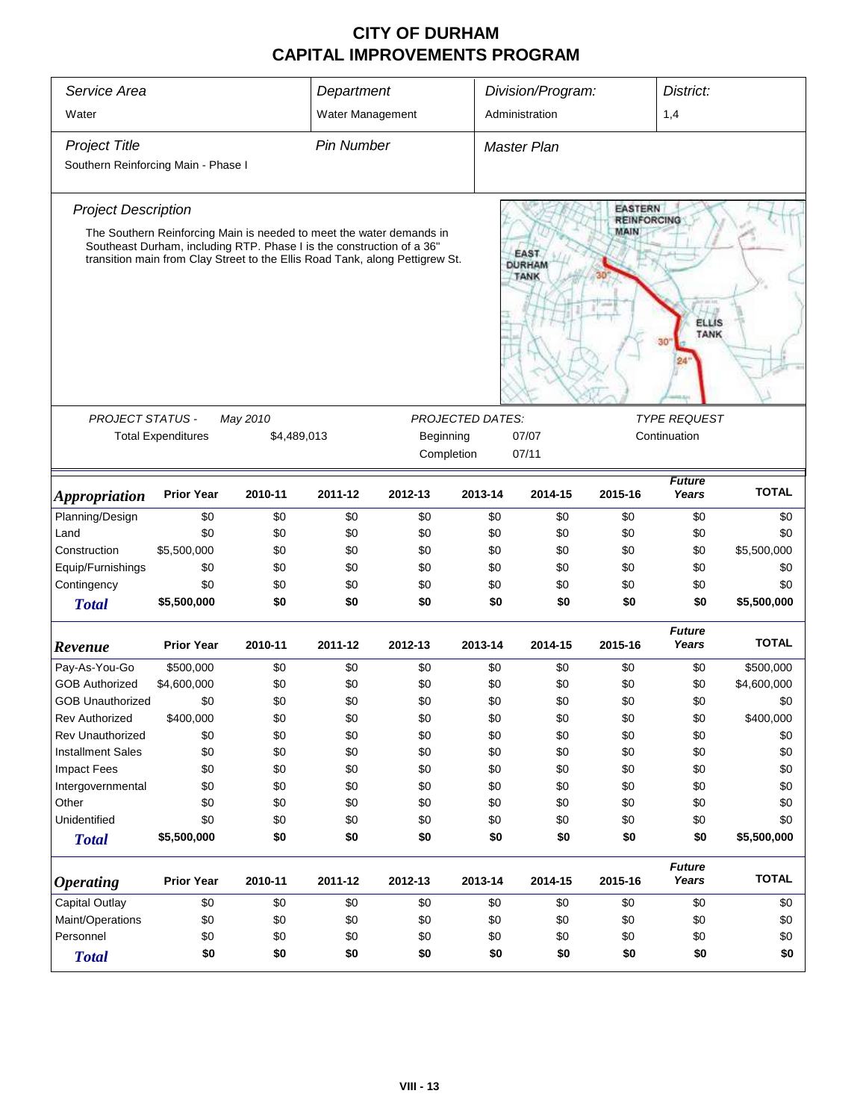| Service Area                        |                                                                                                                                                                                                                               |          | Department                                        |            |                         | Division/Program:<br>District:              |                                      |                             |              |
|-------------------------------------|-------------------------------------------------------------------------------------------------------------------------------------------------------------------------------------------------------------------------------|----------|---------------------------------------------------|------------|-------------------------|---------------------------------------------|--------------------------------------|-----------------------------|--------------|
| Water                               |                                                                                                                                                                                                                               |          | Water Management                                  |            |                         | Administration                              |                                      | 1,4                         |              |
| <b>Project Title</b>                |                                                                                                                                                                                                                               |          | <b>Pin Number</b>                                 |            |                         | <b>Master Plan</b>                          |                                      |                             |              |
| Southern Reinforcing Main - Phase I |                                                                                                                                                                                                                               |          |                                                   |            |                         |                                             |                                      |                             |              |
| <b>Project Description</b>          |                                                                                                                                                                                                                               |          |                                                   |            |                         |                                             | <b>EASTERN</b><br><b>REINFORCING</b> |                             |              |
|                                     | The Southern Reinforcing Main is needed to meet the water demands in<br>Southeast Durham, including RTP. Phase I is the construction of a 36"<br>transition main from Clay Street to the Ellis Road Tank, along Pettigrew St. |          |                                                   |            |                         | <b>EAST</b><br><b>DURHAM</b><br><b>TANK</b> | MAIN                                 | <b>ELLIS</b><br><b>TANK</b> |              |
| <b>PROJECT STATUS -</b>             |                                                                                                                                                                                                                               | May 2010 |                                                   |            | <b>PROJECTED DATES:</b> |                                             |                                      | <b>TYPE REQUEST</b>         |              |
|                                     | <b>Total Expenditures</b>                                                                                                                                                                                                     |          | \$4,489,013<br>Beginning<br>07/07<br>Continuation |            |                         |                                             |                                      |                             |              |
|                                     |                                                                                                                                                                                                                               |          |                                                   | Completion |                         |                                             |                                      |                             |              |
| <b>Appropriation</b>                | <b>Prior Year</b>                                                                                                                                                                                                             | 2010-11  | 2011-12                                           | 2012-13    | 2013-14                 | 2014-15                                     | 2015-16                              | <b>Future</b><br>Years      | <b>TOTAL</b> |
| Planning/Design                     | \$0                                                                                                                                                                                                                           | \$0      | \$0                                               | \$0        | \$0                     | \$0                                         | \$0                                  | \$0                         | \$0          |
| Land                                | \$0                                                                                                                                                                                                                           | \$0      | \$0                                               | \$0        | \$0                     | \$0                                         | \$0                                  | \$0                         | \$0          |
| Construction                        | \$5,500,000                                                                                                                                                                                                                   | \$0      | \$0                                               | \$0        | \$0                     | \$0                                         | \$0                                  | \$0                         | \$5,500,000  |
| Equip/Furnishings                   | \$0                                                                                                                                                                                                                           | \$0      | \$0                                               | \$0        | \$0                     | \$0                                         | \$0                                  | \$0                         | \$0          |
| Contingency                         | \$0                                                                                                                                                                                                                           | \$0      | \$0                                               | \$0        | \$0                     | \$0                                         | \$0                                  | \$0                         | \$0          |
| <b>Total</b>                        | \$5,500,000                                                                                                                                                                                                                   | \$0      | \$0                                               | \$0        | \$0                     | \$0                                         | \$0                                  | \$0                         | \$5,500,000  |
| Revenue                             | <b>Prior Year</b>                                                                                                                                                                                                             | 2010-11  | 2011-12                                           | 2012-13    | 2013-14                 | 2014-15                                     | 2015-16                              | <b>Future</b><br>Years      | <b>TOTAL</b> |
| Pay-As-You-Go                       | \$500,000                                                                                                                                                                                                                     | \$0      | \$0                                               | \$0        | \$0                     | \$0                                         | \$0                                  | \$0                         | \$500,000    |
| <b>GOB Authorized</b>               | \$4,600,000                                                                                                                                                                                                                   | \$0      | \$0                                               | \$0        | \$0                     | \$0                                         | \$0                                  | \$0                         | \$4,600,000  |
| <b>GOB Unauthorized</b>             | \$0                                                                                                                                                                                                                           | \$0      | \$0                                               | \$0        | \$0                     | \$0                                         | \$0                                  | \$0                         | \$0          |
| <b>Rev Authorized</b>               | \$400,000                                                                                                                                                                                                                     | \$0      | \$0                                               | \$0        | \$0                     | \$0                                         | \$0                                  | \$0                         | \$400,000    |
| <b>Rev Unauthorized</b>             | \$0                                                                                                                                                                                                                           | \$0      | \$0                                               | \$0        | \$0                     | \$0                                         | \$0                                  | \$0                         | \$0          |
| <b>Installment Sales</b>            | \$0                                                                                                                                                                                                                           | \$0      | \$0                                               | \$0        | \$0                     | \$0                                         | \$0                                  | \$0                         | \$0          |
| <b>Impact Fees</b>                  | \$0                                                                                                                                                                                                                           | \$0      | \$0                                               | \$0        | \$0                     | \$0                                         | \$0                                  | \$0                         | \$0          |
| Intergovernmental                   | \$0                                                                                                                                                                                                                           | \$0      | \$0                                               | \$0        | \$0                     | \$0                                         | \$0                                  | \$0                         | \$0          |
| Other                               | \$0                                                                                                                                                                                                                           | \$0      | \$0                                               | \$0        | \$0                     | \$0                                         | \$0                                  | \$0                         | \$0          |
| Unidentified                        | \$0                                                                                                                                                                                                                           | \$0      | \$0                                               | \$0        | \$0                     | \$0                                         | \$0                                  | \$0                         | \$0          |
| <b>Total</b>                        | \$5,500,000                                                                                                                                                                                                                   | \$0      | \$0                                               | \$0        | \$0                     | \$0                                         | \$0                                  | \$0                         | \$5,500,000  |
| <b>Operating</b>                    | <b>Prior Year</b>                                                                                                                                                                                                             | 2010-11  | 2011-12                                           | 2012-13    | 2013-14                 | 2014-15                                     | 2015-16                              | <b>Future</b><br>Years      | <b>TOTAL</b> |
| Capital Outlay                      | \$0                                                                                                                                                                                                                           | \$0      | \$0                                               | \$0        | \$0                     | \$0                                         | \$0                                  | \$0                         | \$0          |
| Maint/Operations                    | \$0                                                                                                                                                                                                                           | \$0      | \$0                                               | \$0        | \$0                     | \$0                                         | \$0                                  | \$0                         | \$0          |
| Personnel                           | \$0                                                                                                                                                                                                                           | \$0      | \$0                                               | \$0        | \$0                     | \$0                                         | \$0                                  | \$0                         | \$0          |
| <b>Total</b>                        | \$0                                                                                                                                                                                                                           | \$0      | \$0                                               | \$0        | \$0                     | \$0                                         | \$0                                  | \$0                         | \$0          |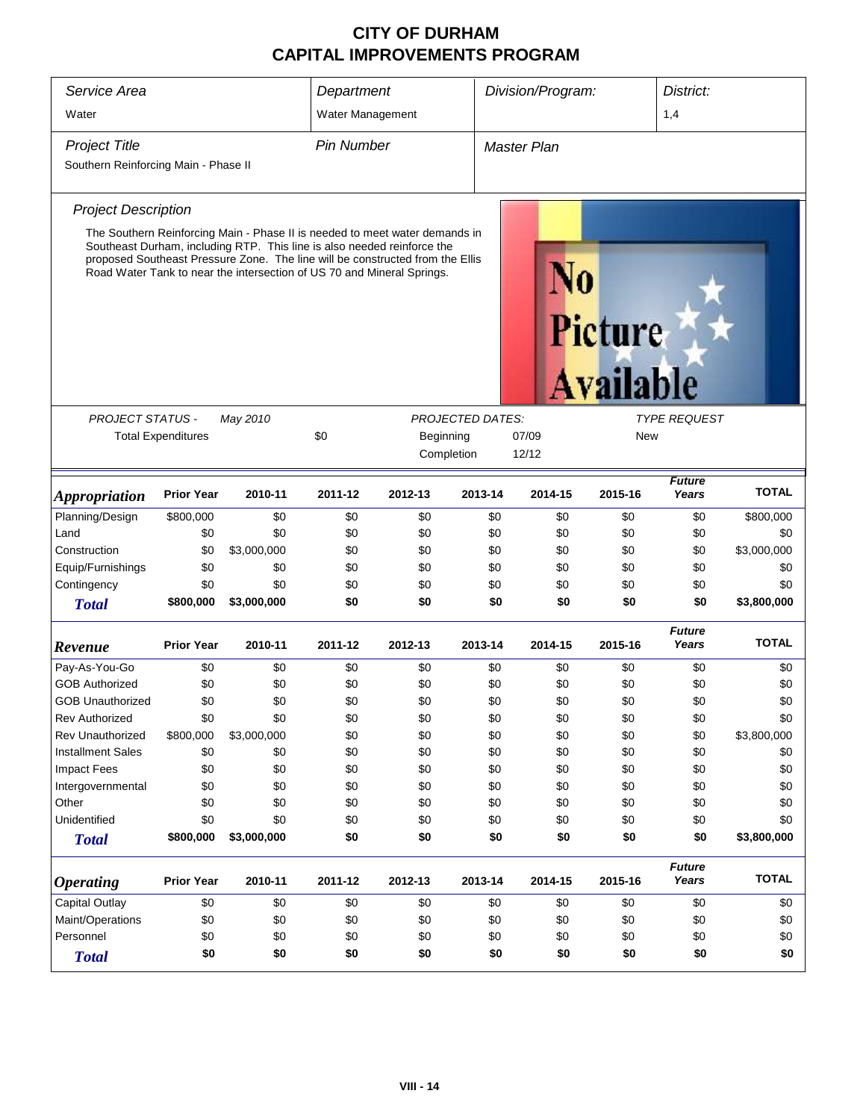| Service Area<br>Water                |                           |                                                                                                                                                                                                                                                                                                                   | Department<br>Water Management                                                     |         |            | Division/Program:  |                             | District:<br>1,4       |              |
|--------------------------------------|---------------------------|-------------------------------------------------------------------------------------------------------------------------------------------------------------------------------------------------------------------------------------------------------------------------------------------------------------------|------------------------------------------------------------------------------------|---------|------------|--------------------|-----------------------------|------------------------|--------------|
| <b>Project Title</b>                 |                           |                                                                                                                                                                                                                                                                                                                   | <b>Pin Number</b>                                                                  |         |            | <b>Master Plan</b> |                             |                        |              |
| Southern Reinforcing Main - Phase II |                           |                                                                                                                                                                                                                                                                                                                   |                                                                                    |         |            |                    |                             |                        |              |
| <b>Project Description</b>           |                           |                                                                                                                                                                                                                                                                                                                   |                                                                                    |         |            |                    |                             |                        |              |
|                                      |                           | The Southern Reinforcing Main - Phase II is needed to meet water demands in<br>Southeast Durham, including RTP. This line is also needed reinforce the<br>proposed Southeast Pressure Zone. The line will be constructed from the Ellis<br>Road Water Tank to near the intersection of US 70 and Mineral Springs. |                                                                                    |         |            |                    | Picture<br><b>Available</b> |                        |              |
|                                      |                           |                                                                                                                                                                                                                                                                                                                   |                                                                                    |         |            |                    |                             |                        |              |
| PROJECT STATUS -                     | <b>Total Expenditures</b> | May 2010                                                                                                                                                                                                                                                                                                          | <b>PROJECTED DATES:</b><br><b>TYPE REQUEST</b><br>\$0<br>Beginning<br>07/09<br>New |         |            |                    |                             |                        |              |
|                                      |                           |                                                                                                                                                                                                                                                                                                                   |                                                                                    |         | Completion | 12/12              |                             |                        |              |
| <i><b>Appropriation</b></i>          | <b>Prior Year</b>         | 2010-11                                                                                                                                                                                                                                                                                                           | 2011-12                                                                            | 2012-13 | 2013-14    | 2014-15            | 2015-16                     | <b>Future</b><br>Years | <b>TOTAL</b> |
| Planning/Design                      | \$800,000                 | \$0                                                                                                                                                                                                                                                                                                               | \$0                                                                                | \$0     | \$0        | \$0                | \$0                         | \$0                    | \$800,000    |
| Land                                 | \$0                       | \$0                                                                                                                                                                                                                                                                                                               | \$0                                                                                | \$0     | \$0        | \$0                | \$0                         | \$0                    | \$0          |
| Construction                         | \$0                       | \$3,000,000                                                                                                                                                                                                                                                                                                       | \$0                                                                                | \$0     | \$0        | \$0                | \$0                         | \$0                    | \$3,000,000  |
| Equip/Furnishings                    | \$0                       | \$0                                                                                                                                                                                                                                                                                                               | \$0                                                                                | \$0     | \$0        | \$0                | \$0                         | \$0                    | \$0          |
| Contingency                          | \$0                       | \$0                                                                                                                                                                                                                                                                                                               | \$0                                                                                | \$0     | \$0        | \$0                | \$0                         | \$0                    | \$0          |
| <b>Total</b>                         | \$800,000                 | \$3,000,000                                                                                                                                                                                                                                                                                                       | \$0                                                                                | \$0     | \$0        | \$0                | \$0                         | \$0                    | \$3,800,000  |
| Revenue                              | <b>Prior Year</b>         | 2010-11                                                                                                                                                                                                                                                                                                           | 2011-12                                                                            | 2012-13 | 2013-14    | 2014-15            | 2015-16                     | <b>Future</b><br>Years | <b>TOTAL</b> |
| Pay-As-You-Go                        | \$0                       | \$0                                                                                                                                                                                                                                                                                                               | \$0                                                                                | \$0     | \$0        | \$0                | \$0                         | \$0                    | \$0          |
| <b>GOB Authorized</b>                | \$0                       | \$0                                                                                                                                                                                                                                                                                                               | \$0                                                                                | \$0     | \$0        | \$0                | \$0                         | \$0                    | \$0          |
| <b>GOB Unauthorized</b>              | \$0                       | \$0                                                                                                                                                                                                                                                                                                               | \$0                                                                                | \$0     | \$0        | \$0                | \$0                         | \$0                    | \$0          |
| <b>Rev Authorized</b>                | \$0                       | \$0                                                                                                                                                                                                                                                                                                               | \$0                                                                                | \$0     | \$0        | \$0                | \$0                         | \$0                    | \$0          |
| Rev Unauthorized                     | \$800,000                 | \$3,000,000                                                                                                                                                                                                                                                                                                       | \$0                                                                                | \$0     | \$0        | \$0                | \$0                         | \$0                    | \$3,800,000  |
| <b>Installment Sales</b>             | \$0                       | \$0                                                                                                                                                                                                                                                                                                               | \$0                                                                                | \$0     | \$0        | \$0                | \$0                         | \$0                    | \$0          |
| Impact Fees                          | \$0                       | \$0                                                                                                                                                                                                                                                                                                               | \$0                                                                                | \$0     | \$0        | \$0                | \$0                         | \$0                    | \$0          |
| Intergovernmental                    | \$0                       | \$0                                                                                                                                                                                                                                                                                                               | \$0                                                                                | \$0     | \$0        | \$0                | \$0                         | \$0                    | \$0          |
| Other                                | \$0                       | \$0                                                                                                                                                                                                                                                                                                               | \$0                                                                                | \$0     | \$0        | \$0                | \$0                         | \$0                    | \$0          |
| Unidentified                         | \$0                       | \$0                                                                                                                                                                                                                                                                                                               | \$0                                                                                | \$0     | \$0        | \$0                | \$0                         | \$0                    | \$0          |
| <b>Total</b>                         | \$800,000                 | \$3,000,000                                                                                                                                                                                                                                                                                                       | \$0                                                                                | \$0     | \$0        | \$0                | \$0                         | \$0                    | \$3,800,000  |
| <i><b>Operating</b></i>              | <b>Prior Year</b>         | 2010-11                                                                                                                                                                                                                                                                                                           | 2011-12                                                                            | 2012-13 | 2013-14    | 2014-15            | 2015-16                     | <b>Future</b><br>Years | <b>TOTAL</b> |
| <b>Capital Outlay</b>                | \$0                       | \$0                                                                                                                                                                                                                                                                                                               | \$0                                                                                | \$0     | \$0        | \$0                | \$0                         | \$0                    | \$0          |
| Maint/Operations                     | \$0                       | \$0                                                                                                                                                                                                                                                                                                               | \$0                                                                                | \$0     | \$0        | \$0                | \$0                         | \$0                    | \$0          |
| Personnel                            | \$0                       | \$0                                                                                                                                                                                                                                                                                                               | \$0                                                                                | \$0     | \$0        | \$0                | \$0                         | \$0                    | \$0          |
| <b>Total</b>                         | \$0                       | \$0                                                                                                                                                                                                                                                                                                               | \$0                                                                                | \$0     | \$0        | \$0                | \$0                         | \$0                    | \$0          |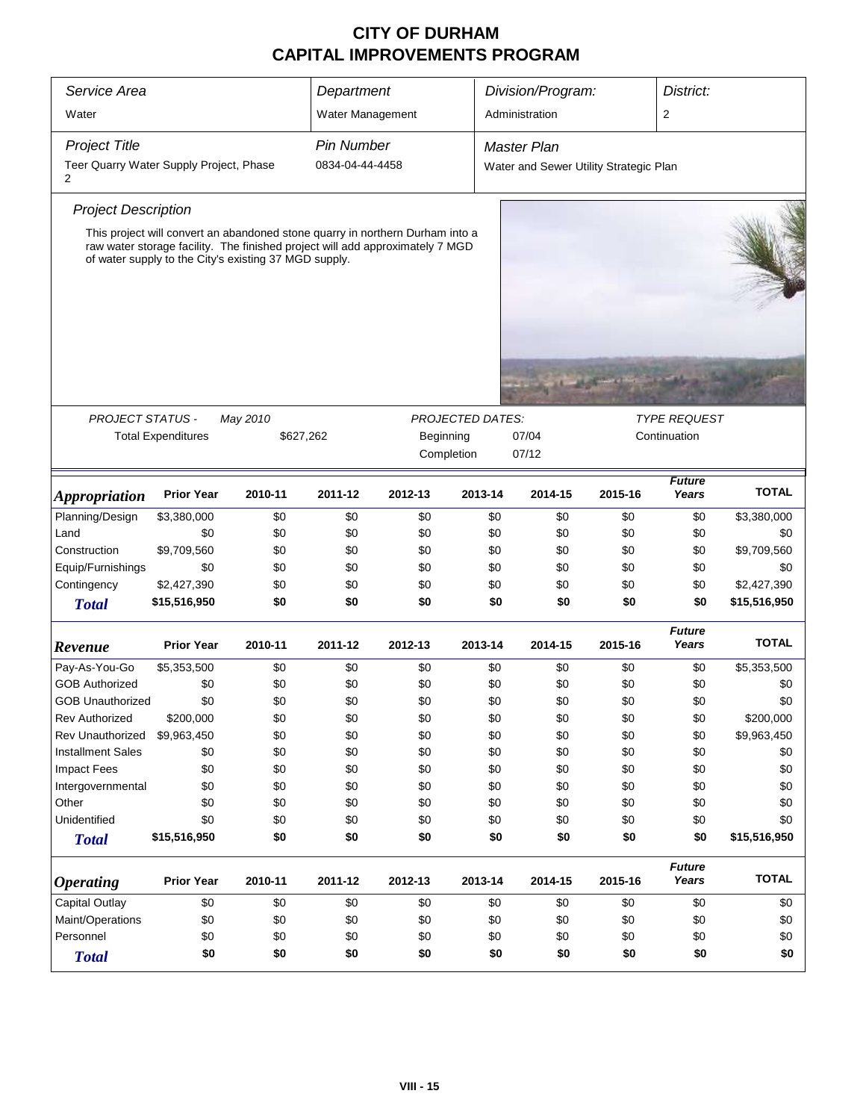| Service Area                                 |                                                                                                                                                                                                                         |          | Department        |           |                         | Division/Program:                      |         | District:              |              |
|----------------------------------------------|-------------------------------------------------------------------------------------------------------------------------------------------------------------------------------------------------------------------------|----------|-------------------|-----------|-------------------------|----------------------------------------|---------|------------------------|--------------|
| Water                                        |                                                                                                                                                                                                                         |          | Water Management  |           |                         | Administration                         |         | 2                      |              |
| <b>Project Title</b>                         |                                                                                                                                                                                                                         |          | <b>Pin Number</b> |           |                         | <b>Master Plan</b>                     |         |                        |              |
| Teer Quarry Water Supply Project, Phase<br>2 |                                                                                                                                                                                                                         |          | 0834-04-44-4458   |           |                         | Water and Sewer Utility Strategic Plan |         |                        |              |
| <b>Project Description</b>                   |                                                                                                                                                                                                                         |          |                   |           |                         |                                        |         |                        |              |
|                                              | This project will convert an abandoned stone quarry in northern Durham into a<br>raw water storage facility. The finished project will add approximately 7 MGD<br>of water supply to the City's existing 37 MGD supply. |          |                   |           |                         |                                        |         |                        |              |
|                                              |                                                                                                                                                                                                                         |          |                   |           |                         |                                        |         |                        |              |
| <b>PROJECT STATUS -</b>                      |                                                                                                                                                                                                                         | May 2010 |                   |           | <b>PROJECTED DATES:</b> |                                        |         | <b>TYPE REQUEST</b>    |              |
|                                              | <b>Total Expenditures</b>                                                                                                                                                                                               |          | \$627,262         | Beginning |                         | 07/04                                  |         | Continuation           |              |
|                                              |                                                                                                                                                                                                                         |          |                   |           | Completion              | 07/12                                  |         |                        |              |
| <i><b>Appropriation</b></i>                  | <b>Prior Year</b>                                                                                                                                                                                                       | 2010-11  | 2011-12           | 2012-13   | 2013-14                 | 2014-15                                | 2015-16 | <b>Future</b><br>Years | <b>TOTAL</b> |
| Planning/Design                              | \$3,380,000                                                                                                                                                                                                             | \$0      | \$0               | \$0       | \$0                     | \$0                                    | \$0     | \$0                    | \$3,380,000  |
| Land                                         | \$0                                                                                                                                                                                                                     | \$0      | \$0               | \$0       | \$0                     | \$0                                    | \$0     | \$0                    | \$0          |
| Construction                                 | \$9,709,560                                                                                                                                                                                                             | \$0      | \$0               | \$0       | \$0                     | \$0                                    | \$0     | \$0                    | \$9,709,560  |
| Equip/Furnishings                            | \$0                                                                                                                                                                                                                     | \$0      | \$0               | \$0       | \$0                     | \$0                                    | \$0     | \$0                    | \$0          |
| Contingency                                  | \$2,427,390                                                                                                                                                                                                             | \$0      | \$0               | \$0       | \$0                     | \$0                                    | \$0     | \$0                    | \$2,427,390  |
| <b>Total</b>                                 | \$15,516,950                                                                                                                                                                                                            | \$0      | \$0               | \$0       | \$0                     | \$0                                    | \$0     | \$0                    | \$15,516,950 |
| Revenue                                      | <b>Prior Year</b>                                                                                                                                                                                                       | 2010-11  | 2011-12           | 2012-13   | 2013-14                 | 2014-15                                | 2015-16 | <b>Future</b><br>Years | <b>TOTAL</b> |
| Pay-As-You-Go                                | \$5,353,500                                                                                                                                                                                                             | \$0      | \$0               | \$0       | \$0                     | \$0                                    | \$0     | \$0                    | \$5,353,500  |
| <b>GOB Authorized</b>                        | \$0                                                                                                                                                                                                                     | \$0      | \$0               | \$0       | \$0                     | \$0                                    | \$0     | \$0                    | \$0          |
| <b>GOB Unauthorized</b>                      | \$0                                                                                                                                                                                                                     | \$0      | \$0               | \$0       | \$0                     | \$0                                    | \$0     | \$0                    | \$0          |
| <b>Rev Authorized</b>                        | \$200,000                                                                                                                                                                                                               | \$0      | \$0               | \$0       | \$0                     | \$0                                    | \$0     | \$0                    | \$200,000    |
| Rev Unauthorized                             | \$9,963,450                                                                                                                                                                                                             | \$0      | \$0               | \$0       | \$0                     | \$0                                    | \$0     | \$0                    | \$9,963,450  |
| <b>Installment Sales</b>                     | \$0                                                                                                                                                                                                                     | \$0      | \$0               | \$0       | \$0                     | \$0                                    | \$0     | \$0                    | \$0          |
| <b>Impact Fees</b>                           | \$0                                                                                                                                                                                                                     | \$0      | \$0               | \$0       | \$0                     | \$0                                    | \$0     | \$0                    | \$0          |
| Intergovernmental                            | \$0                                                                                                                                                                                                                     | \$0      | \$0               | \$0       | \$0                     | \$0                                    | \$0     | \$0                    | \$0          |
| Other                                        | \$0                                                                                                                                                                                                                     | \$0      | \$0               | \$0       | \$0                     | \$0                                    | \$0     | \$0                    | \$0          |
| Unidentified                                 | \$0                                                                                                                                                                                                                     | \$0      | \$0               | \$0       | \$0                     | \$0                                    | \$0     | \$0                    | \$0          |
| <b>Total</b>                                 | \$15,516,950                                                                                                                                                                                                            | \$0      | \$0               | \$0       | \$0                     | \$0                                    | \$0     | \$0                    | \$15,516,950 |
| <b>Operating</b>                             | <b>Prior Year</b>                                                                                                                                                                                                       | 2010-11  | 2011-12           | 2012-13   | 2013-14                 | 2014-15                                | 2015-16 | <b>Future</b><br>Years | <b>TOTAL</b> |
| <b>Capital Outlay</b>                        | \$0                                                                                                                                                                                                                     | \$0      | \$0               | \$0       | \$0                     | \$0                                    | \$0     | \$0                    | \$0          |
| Maint/Operations                             | \$0                                                                                                                                                                                                                     | \$0      | \$0               | \$0       | \$0                     | \$0                                    | \$0     | \$0                    | \$0          |
| Personnel                                    | \$0<br>\$0<br>\$0<br>\$0                                                                                                                                                                                                |          |                   |           |                         | \$0<br>\$0                             | \$0     | \$0                    | \$0          |
| <b>Total</b>                                 | \$0                                                                                                                                                                                                                     | \$0      | \$0               | \$0       | \$0                     | \$0                                    | \$0     | \$0                    | \$0          |
|                                              |                                                                                                                                                                                                                         |          |                   |           |                         |                                        |         |                        |              |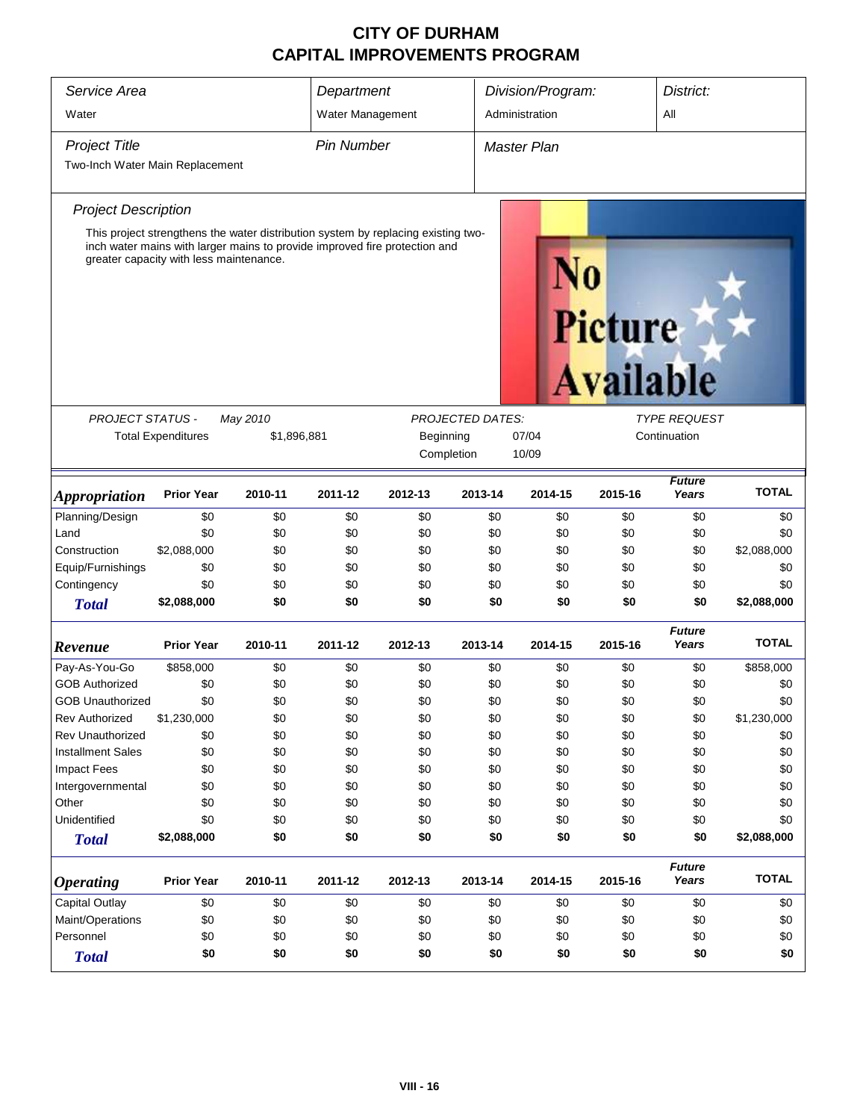| Service Area                    |                                                                                                                                                                                                            |             | Department        |              |         | Division/Program:  |                             | District:              |              |  |
|---------------------------------|------------------------------------------------------------------------------------------------------------------------------------------------------------------------------------------------------------|-------------|-------------------|--------------|---------|--------------------|-----------------------------|------------------------|--------------|--|
| Water                           |                                                                                                                                                                                                            |             | Water Management  |              |         | Administration     |                             | All                    |              |  |
| <b>Project Title</b>            |                                                                                                                                                                                                            |             | <b>Pin Number</b> |              |         | <b>Master Plan</b> |                             |                        |              |  |
| Two-Inch Water Main Replacement |                                                                                                                                                                                                            |             |                   |              |         |                    |                             |                        |              |  |
| <b>Project Description</b>      |                                                                                                                                                                                                            |             |                   |              |         |                    |                             |                        |              |  |
|                                 | This project strengthens the water distribution system by replacing existing two-<br>inch water mains with larger mains to provide improved fire protection and<br>greater capacity with less maintenance. |             |                   |              |         |                    | Picture<br><b>Available</b> |                        |              |  |
|                                 | <b>PROJECT STATUS -</b><br>May 2010<br><b>PROJECTED DATES:</b><br><b>TYPE REQUEST</b>                                                                                                                      |             |                   |              |         |                    |                             |                        |              |  |
|                                 | <b>Total Expenditures</b>                                                                                                                                                                                  | \$1,896,881 |                   | Continuation |         |                    |                             |                        |              |  |
|                                 |                                                                                                                                                                                                            |             |                   | Completion   |         | 10/09              |                             |                        |              |  |
| <i><b>Appropriation</b></i>     | <b>Prior Year</b>                                                                                                                                                                                          | 2010-11     | 2011-12           | 2012-13      | 2013-14 | 2014-15            | 2015-16                     | <b>Future</b><br>Years | <b>TOTAL</b> |  |
| Planning/Design                 | \$0                                                                                                                                                                                                        | \$0         | \$0               | \$0          | \$0     | \$0                | \$0                         | \$0                    | \$0          |  |
| Land                            | \$0                                                                                                                                                                                                        | \$0         | \$0               | \$0          | \$0     | \$0                | \$0                         | \$0                    | \$0          |  |
| Construction                    | \$2,088,000                                                                                                                                                                                                | \$0         | \$0               | \$0          | \$0     | \$0                | \$0                         | \$0                    | \$2,088,000  |  |
| Equip/Furnishings               | \$0                                                                                                                                                                                                        | \$0         | \$0               | \$0          | \$0     | \$0                | \$0                         | \$0                    | \$0          |  |
| Contingency                     | \$0                                                                                                                                                                                                        | \$0         | \$0               | \$0          | \$0     | \$0                | \$0                         | \$0                    | \$0          |  |
| <b>Total</b>                    | \$2,088,000                                                                                                                                                                                                | \$0         | \$0               | \$0          | \$0     | \$0                | \$0                         | \$0                    | \$2,088,000  |  |
| Revenue                         | <b>Prior Year</b>                                                                                                                                                                                          | 2010-11     | 2011-12           | 2012-13      | 2013-14 | 2014-15            | 2015-16                     | <b>Future</b><br>Years | <b>TOTAL</b> |  |
| Pay-As-You-Go                   | \$858,000                                                                                                                                                                                                  | \$0         | \$0               | \$0          | \$0     | \$0                | \$0                         | \$0                    | \$858,000    |  |
| <b>GOB Authorized</b>           | \$0                                                                                                                                                                                                        | \$0         | \$0               | \$0          | \$0     | \$0                | \$0                         | \$0                    | \$0          |  |
| <b>GOB Unauthorized</b>         | \$0                                                                                                                                                                                                        | \$0         | \$0               | \$0          | \$0     | \$0                | \$0                         | \$0                    | \$0          |  |
| <b>Rev Authorized</b>           | \$1,230,000                                                                                                                                                                                                | \$0         | \$0               | \$0          | \$0     | \$0                | \$0                         | \$0                    | \$1,230,000  |  |
| <b>Rev Unauthorized</b>         | \$0                                                                                                                                                                                                        | \$0         | \$0               | \$0          | \$0     | \$0                | \$0                         | \$0                    | \$0          |  |
| <b>Installment Sales</b>        | \$0                                                                                                                                                                                                        | \$0         | \$0               | \$0          | \$0     | \$0                | \$0                         | \$0                    | \$0          |  |
| <b>Impact Fees</b>              | \$0                                                                                                                                                                                                        | \$0         | \$0               | \$0          | \$0     | \$0                | \$0                         | \$0                    | \$0          |  |
| Intergovernmental               | \$0                                                                                                                                                                                                        | \$0         | \$0               | \$0          | \$0     | \$0                | \$0                         | \$0                    | \$0          |  |
| Other                           | \$0                                                                                                                                                                                                        | \$0         | \$0               | \$0          | \$0     | \$0                | \$0                         | \$0                    | \$0          |  |
| Unidentified                    | \$0                                                                                                                                                                                                        | \$0         | \$0               | \$0          | \$0     | \$0                | \$0                         | \$0                    | \$0          |  |
| <b>Total</b>                    | \$2,088,000                                                                                                                                                                                                | \$0         | \$0               | \$0          | \$0     | \$0                | \$0                         | \$0                    | \$2,088,000  |  |
| <b>Operating</b>                | <b>Prior Year</b>                                                                                                                                                                                          | 2010-11     | 2011-12           | 2012-13      | 2013-14 | 2014-15            | 2015-16                     | <b>Future</b><br>Years | <b>TOTAL</b> |  |
| Capital Outlay                  | \$0                                                                                                                                                                                                        | \$0         | \$0               | \$0          | \$0     | \$0                | \$0                         | \$0                    | \$0          |  |
| Maint/Operations                | \$0                                                                                                                                                                                                        | \$0         | \$0               | \$0          | \$0     | \$0                | \$0                         | \$0                    | \$0          |  |
| Personnel                       | \$0                                                                                                                                                                                                        | \$0         | \$0               | \$0          | \$0     | \$0                | \$0                         | \$0                    | \$0          |  |
| <b>Total</b>                    | \$0                                                                                                                                                                                                        | \$0         | \$0               | \$0          | \$0     | \$0                | \$0                         | \$0                    | \$0          |  |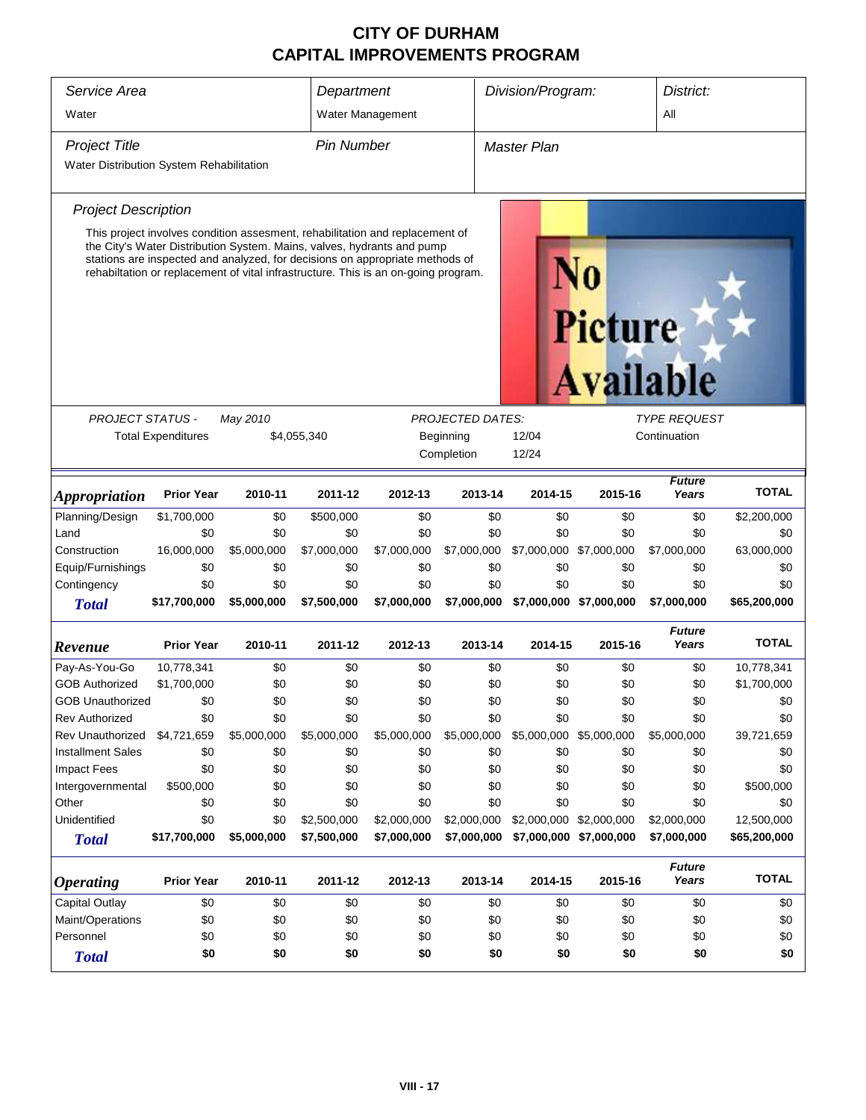| Service Area<br>Water                    |                                                                                                                                                                                                                                              |             | Department        | Water Management |                                      | Division/Program:  |                         | District:<br>All                    |              |
|------------------------------------------|----------------------------------------------------------------------------------------------------------------------------------------------------------------------------------------------------------------------------------------------|-------------|-------------------|------------------|--------------------------------------|--------------------|-------------------------|-------------------------------------|--------------|
| <b>Project Title</b>                     |                                                                                                                                                                                                                                              |             | <b>Pin Number</b> |                  |                                      | <b>Master Plan</b> |                         |                                     |              |
| Water Distribution System Rehabilitation |                                                                                                                                                                                                                                              |             |                   |                  |                                      |                    |                         |                                     |              |
| <b>Project Description</b>               |                                                                                                                                                                                                                                              |             |                   |                  |                                      |                    |                         |                                     |              |
|                                          | This project involves condition assesment, rehabilitation and replacement of                                                                                                                                                                 |             |                   |                  |                                      |                    |                         |                                     |              |
|                                          | the City's Water Distribution System. Mains, valves, hydrants and pump<br>stations are inspected and analyzed, for decisions on appropriate methods of<br>rehabiltation or replacement of vital infrastructure. This is an on-going program. |             |                   |                  |                                      |                    | <b>Picture</b>          | <b>Available</b>                    |              |
|                                          |                                                                                                                                                                                                                                              |             |                   |                  |                                      |                    |                         |                                     |              |
| PROJECT STATUS -                         | <b>Total Expenditures</b>                                                                                                                                                                                                                    | May 2010    | \$4,055,340       |                  | <b>PROJECTED DATES:</b><br>Beginning | 12/04              |                         | <b>TYPE REQUEST</b><br>Continuation |              |
|                                          |                                                                                                                                                                                                                                              |             |                   |                  | Completion                           | 12/24              |                         |                                     |              |
|                                          |                                                                                                                                                                                                                                              |             |                   |                  |                                      |                    |                         |                                     |              |
| <b>Appropriation</b>                     | <b>Prior Year</b>                                                                                                                                                                                                                            | 2010-11     | 2011-12           | 2012-13          | 2013-14                              | 2014-15            | 2015-16                 | <b>Future</b><br>Years              | <b>TOTAL</b> |
| Planning/Design                          | \$1,700,000                                                                                                                                                                                                                                  | \$0         | \$500,000         | \$0              | \$0                                  | \$0                | \$0                     | \$0                                 | \$2,200,000  |
| Land                                     | \$0                                                                                                                                                                                                                                          | \$0         | \$0               | \$0              | \$0                                  | \$0                | \$0                     | \$0                                 | \$0          |
| Construction                             | 16,000,000                                                                                                                                                                                                                                   | \$5,000,000 | \$7,000,000       | \$7,000,000      | \$7,000,000                          | \$7,000,000        | \$7,000,000             | \$7,000,000                         | 63,000,000   |
| Equip/Furnishings                        | \$0                                                                                                                                                                                                                                          | \$0         | \$0               | \$0              | \$0                                  | \$0                | \$0                     | \$0                                 | \$0          |
| Contingency                              | \$0                                                                                                                                                                                                                                          | \$0         | \$0               | \$0              | \$0                                  | \$0                | \$0                     | \$0                                 | \$0          |
| <b>Total</b>                             | \$17,700,000                                                                                                                                                                                                                                 | \$5,000,000 | \$7,500,000       | \$7,000,000      | \$7,000,000                          |                    | \$7,000,000 \$7,000,000 | \$7,000,000                         | \$65,200,000 |
| Revenue                                  | <b>Prior Year</b>                                                                                                                                                                                                                            | 2010-11     | 2011-12           | 2012-13          | 2013-14                              | 2014-15            | 2015-16                 | <b>Future</b><br>Years              | <b>TOTAL</b> |
| Pay-As-You-Go                            | 10,778,341                                                                                                                                                                                                                                   | \$0         | \$0               | \$0              | \$0                                  | \$0                | \$0                     | \$0                                 | 10,778,341   |
| <b>GOB Authorized</b>                    | \$1,700,000                                                                                                                                                                                                                                  | \$0         | \$0               | \$0              | \$0                                  | \$0                | \$0                     | \$0                                 | \$1,700,000  |
| <b>GOB Unauthorized</b>                  | \$0                                                                                                                                                                                                                                          | \$0         | \$0               | \$0              | \$0                                  | \$0                | \$0                     | \$0                                 | \$0          |
| <b>Rev Authorized</b>                    | \$0                                                                                                                                                                                                                                          | \$0         | \$0               | \$0              | \$0                                  | \$0                | \$0                     | \$0                                 | \$0          |
| Rev Unauthorized                         | \$4,721,659                                                                                                                                                                                                                                  | \$5,000,000 | \$5,000,000       | \$5,000,000      | \$5,000,000                          |                    | \$5,000,000 \$5,000,000 | \$5,000,000                         | 39,721,659   |
| <b>Installment Sales</b>                 | \$0                                                                                                                                                                                                                                          | \$0         | \$0               | \$0              | \$0                                  | \$0                | \$0                     | \$0                                 | \$0          |
| Impact Fees                              | \$0                                                                                                                                                                                                                                          | \$0         | \$0               | \$0              | \$0                                  | \$0                | \$0                     | \$0                                 | \$0          |
| Intergovernmental                        | \$500,000                                                                                                                                                                                                                                    | \$0         | \$0               | \$0              | \$0                                  | \$0                | \$0                     | \$0                                 | \$500,000    |
| Other                                    | \$0                                                                                                                                                                                                                                          | \$0         | \$0               | \$0              | \$0                                  | \$0                | \$0                     | \$0                                 | \$0          |
| Unidentified                             | \$0                                                                                                                                                                                                                                          | \$0         | \$2,500,000       | \$2,000,000      | \$2,000,000                          |                    | \$2,000,000 \$2,000,000 | \$2,000,000                         | 12,500,000   |
| <b>Total</b>                             | \$17,700,000                                                                                                                                                                                                                                 | \$5,000,000 | \$7,500,000       | \$7,000,000      | \$7,000,000                          |                    | \$7,000,000 \$7,000,000 | \$7,000,000                         | \$65,200,000 |
| <i><b>Operating</b></i>                  | <b>Prior Year</b>                                                                                                                                                                                                                            | 2010-11     | 2011-12           | 2012-13          | 2013-14                              | 2014-15            | 2015-16                 | <b>Future</b><br>Years              | <b>TOTAL</b> |
| <b>Capital Outlay</b>                    | \$0                                                                                                                                                                                                                                          | \$0         | \$0               | \$0              | \$0                                  | \$0                | \$0                     | \$0                                 | \$0          |
| Maint/Operations                         | \$0                                                                                                                                                                                                                                          | \$0         | \$0               | \$0              | \$0                                  | \$0                | \$0                     | \$0                                 | \$0          |
| Personnel                                | \$0<br>\$0<br>\$0<br>\$0<br>\$0<br>\$0<br>\$0<br>\$0<br>\$0                                                                                                                                                                                  |             |                   |                  |                                      |                    |                         |                                     |              |
| <b>Total</b>                             | \$0                                                                                                                                                                                                                                          | \$0         | \$0               | \$0              | \$0                                  | \$0                | \$0                     | \$0                                 | \$0          |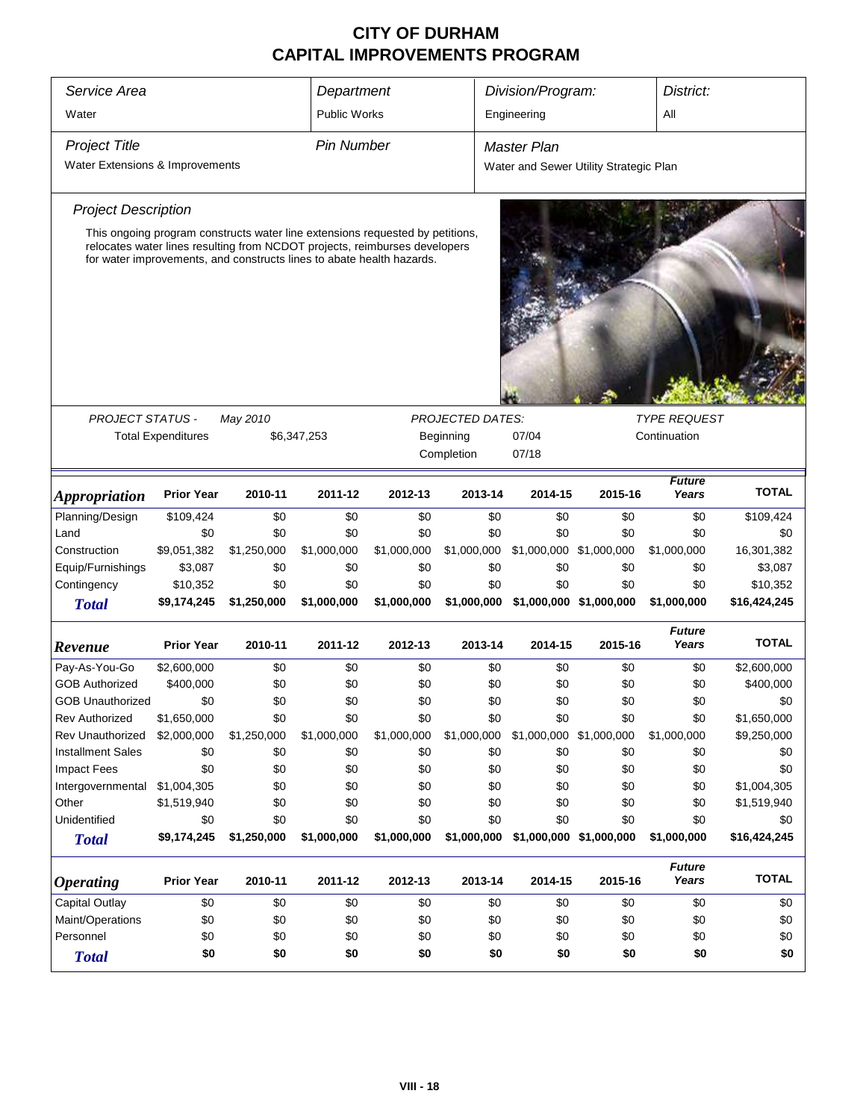| Service Area<br>Water                        |                           |             | Department<br><b>Public Works</b>                                                                                                                                                                                                    |             |                         | Division/Program:<br>Engineering       | District:               |                        |              |
|----------------------------------------------|---------------------------|-------------|--------------------------------------------------------------------------------------------------------------------------------------------------------------------------------------------------------------------------------------|-------------|-------------------------|----------------------------------------|-------------------------|------------------------|--------------|
| <b>Project Title</b>                         |                           |             | <b>Pin Number</b>                                                                                                                                                                                                                    |             |                         | <b>Master Plan</b>                     |                         |                        |              |
| Water Extensions & Improvements              |                           |             |                                                                                                                                                                                                                                      |             |                         |                                        |                         |                        |              |
|                                              |                           |             |                                                                                                                                                                                                                                      |             |                         | Water and Sewer Utility Strategic Plan |                         |                        |              |
| <b>Project Description</b>                   |                           |             |                                                                                                                                                                                                                                      |             |                         |                                        |                         |                        |              |
|                                              |                           |             | This ongoing program constructs water line extensions requested by petitions,<br>relocates water lines resulting from NCDOT projects, reimburses developers<br>for water improvements, and constructs lines to abate health hazards. |             |                         |                                        |                         |                        |              |
|                                              |                           |             |                                                                                                                                                                                                                                      |             |                         |                                        |                         |                        |              |
| <b>PROJECT STATUS -</b>                      |                           | May 2010    |                                                                                                                                                                                                                                      |             | <b>PROJECTED DATES:</b> |                                        |                         | <b>TYPE REQUEST</b>    |              |
|                                              | <b>Total Expenditures</b> |             |                                                                                                                                                                                                                                      |             | Beginning               |                                        | Continuation            |                        |              |
|                                              |                           |             | \$6,347,253<br>07/04<br>Completion<br>07/18                                                                                                                                                                                          |             |                         |                                        |                         |                        |              |
| <i><b>Appropriation</b></i>                  | <b>Prior Year</b>         | 2010-11     | 2011-12                                                                                                                                                                                                                              | 2012-13     | 2013-14                 | 2014-15                                | 2015-16                 | <b>Future</b><br>Years | <b>TOTAL</b> |
| Planning/Design                              | \$109,424                 | \$0         | \$0                                                                                                                                                                                                                                  | \$0         | \$0                     | \$0                                    | \$0                     | \$0                    | \$109,424    |
| Land                                         | \$0                       | \$0         | \$0                                                                                                                                                                                                                                  | \$0         | \$0                     | \$0                                    | \$0                     | \$0                    | \$0          |
| Construction                                 | \$9,051,382               | \$1,250,000 | \$1,000,000                                                                                                                                                                                                                          | \$1,000,000 | \$1,000,000             | \$1,000,000 \$1,000,000                |                         | \$1,000,000            | 16,301,382   |
| Equip/Furnishings                            | \$3,087                   | \$0         | \$0                                                                                                                                                                                                                                  | \$0         | \$0                     | \$0                                    | \$0                     | \$0                    | \$3,087      |
| Contingency                                  | \$10,352                  | \$0         | \$0                                                                                                                                                                                                                                  | \$0         | \$0                     | \$0                                    | \$0                     | \$0                    | \$10,352     |
| <b>Total</b>                                 | \$9,174,245               | \$1,250,000 | \$1,000,000                                                                                                                                                                                                                          | \$1,000,000 | \$1,000,000             |                                        | \$1,000,000 \$1,000,000 | \$1,000,000            | \$16,424,245 |
| Revenue                                      | <b>Prior Year</b>         | 2010-11     | 2011-12                                                                                                                                                                                                                              | 2012-13     | 2013-14                 | 2014-15                                | 2015-16                 | <b>Future</b><br>Years | <b>TOTAL</b> |
| Pay-As-You-Go                                | \$2,600,000               | \$0         | \$0                                                                                                                                                                                                                                  | \$0         | \$0                     | \$0                                    | \$0                     | \$0                    | \$2,600,000  |
| <b>GOB Authorized</b>                        | \$400,000                 | \$0         | \$0                                                                                                                                                                                                                                  | \$0         | \$0                     | \$0                                    | \$0                     | \$0                    | \$400,000    |
| <b>GOB Unauthorized</b>                      | \$0                       | \$0         | \$0                                                                                                                                                                                                                                  | \$0         | \$0                     | \$0                                    | \$0                     | \$0                    | \$0          |
| <b>Rev Authorized</b>                        | \$1,650,000               | \$0         | \$0                                                                                                                                                                                                                                  | \$0         | \$0                     | \$0                                    | \$0                     | \$0                    | \$1,650,000  |
| Rev Unauthorized                             | \$2,000,000               | \$1,250,000 | \$1,000,000                                                                                                                                                                                                                          | \$1,000,000 | \$1,000,000             | \$1,000,000 \$1,000,000                |                         | \$1,000,000            | \$9,250,000  |
| <b>Installment Sales</b>                     | \$0                       | \$0         | \$0                                                                                                                                                                                                                                  | \$0         | \$0                     | \$0                                    | \$0                     | \$0                    | \$0          |
| <b>Impact Fees</b>                           | \$0                       | \$0         | \$0                                                                                                                                                                                                                                  | \$0         | \$0                     | \$0                                    | \$0                     | \$0                    | \$0          |
| Intergovernmental                            | \$1,004,305               | \$0         | \$0                                                                                                                                                                                                                                  | \$0         | \$0                     | \$0                                    | \$0                     | \$0                    | \$1,004,305  |
| Other                                        | \$1,519,940               | \$0         | \$0                                                                                                                                                                                                                                  | \$0         | \$0                     | \$0                                    | \$0                     | \$0                    | \$1,519,940  |
| Unidentified                                 | \$0                       | \$0         | \$0                                                                                                                                                                                                                                  | \$0         | \$0                     | \$0                                    | \$0                     | \$0                    | \$0          |
| <b>Total</b>                                 | \$9,174,245               | \$1,250,000 | \$1,000,000                                                                                                                                                                                                                          | \$1,000,000 | \$1,000,000             |                                        | \$1,000,000 \$1,000,000 | \$1,000,000            | \$16,424,245 |
| <i><b>Operating</b></i>                      | <b>Prior Year</b>         | 2010-11     | 2011-12                                                                                                                                                                                                                              | 2012-13     | 2013-14                 | 2014-15                                | 2015-16                 | <b>Future</b><br>Years | <b>TOTAL</b> |
| Capital Outlay                               | \$0                       | \$0         | \$0                                                                                                                                                                                                                                  | \$0         | \$0                     | \$0                                    | \$0                     | \$0                    | \$0          |
| Maint/Operations                             | \$0                       | \$0         | \$0                                                                                                                                                                                                                                  | \$0         | \$0                     | \$0                                    | \$0                     | \$0                    | \$0          |
| \$0<br>Personnel<br>\$0<br>\$0<br>\$0<br>\$0 |                           |             |                                                                                                                                                                                                                                      |             |                         | \$0                                    | \$0                     | \$0                    | \$0          |
| <b>Total</b>                                 | \$0                       | \$0         | \$0                                                                                                                                                                                                                                  | \$0         | \$0                     | \$0                                    | \$0                     | \$0                    | \$0          |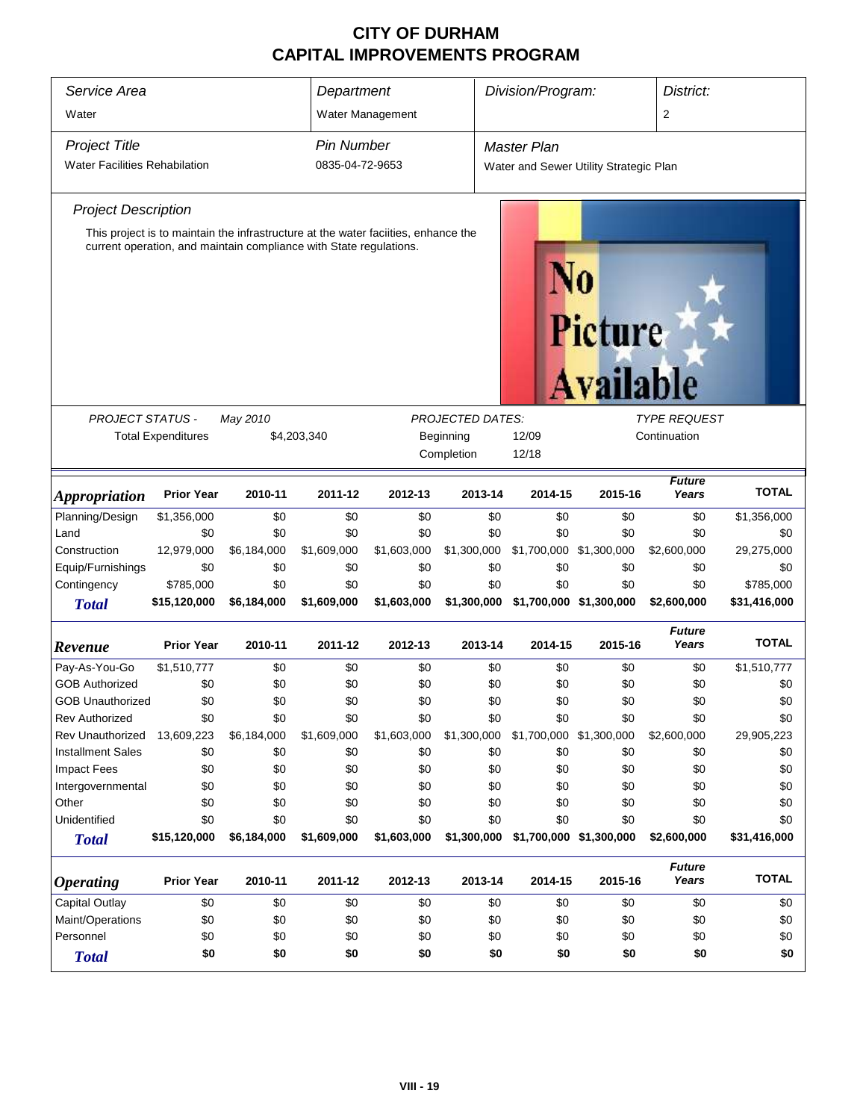| Service Area<br>Water                                                                                                                                                                                                                                                            |                                                                     |                    | Department                           | Water Management   |                    | Division/Program:                                            |                                |                        | District:           |
|----------------------------------------------------------------------------------------------------------------------------------------------------------------------------------------------------------------------------------------------------------------------------------|---------------------------------------------------------------------|--------------------|--------------------------------------|--------------------|--------------------|--------------------------------------------------------------|--------------------------------|------------------------|---------------------|
| <b>Project Title</b><br><b>Water Facilities Rehabilation</b>                                                                                                                                                                                                                     |                                                                     |                    | <b>Pin Number</b><br>0835-04-72-9653 |                    |                    | <b>Master Plan</b><br>Water and Sewer Utility Strategic Plan |                                |                        |                     |
| <b>Project Description</b>                                                                                                                                                                                                                                                       |                                                                     |                    |                                      |                    |                    |                                                              |                                |                        |                     |
| This project is to maintain the infrastructure at the water faciities, enhance the<br>current operation, and maintain compliance with State regulations.<br>Picture<br><b>Available</b><br><b>PROJECT STATUS -</b><br><b>PROJECTED DATES:</b><br><b>TYPE REQUEST</b><br>May 2010 |                                                                     |                    |                                      |                    |                    |                                                              |                                |                        |                     |
|                                                                                                                                                                                                                                                                                  |                                                                     |                    |                                      |                    |                    |                                                              |                                |                        |                     |
|                                                                                                                                                                                                                                                                                  | <b>Total Expenditures</b><br>\$4,203,340<br>Beginning<br>Completion |                    |                                      |                    |                    | 12/09<br>12/18                                               |                                | Continuation           |                     |
| <b>Appropriation</b>                                                                                                                                                                                                                                                             | <b>Prior Year</b>                                                   | 2010-11            | 2011-12                              | 2012-13            | 2013-14            | 2014-15                                                      | 2015-16                        | Future<br>Years        | <b>TOTAL</b>        |
| Planning/Design                                                                                                                                                                                                                                                                  | \$1,356,000                                                         | \$0                | \$0                                  | \$0                | \$0                | \$0                                                          | \$0                            | \$0                    | \$1,356,000         |
| Land                                                                                                                                                                                                                                                                             | \$0                                                                 | \$0                | \$0                                  | \$0                | \$0                | \$0                                                          | \$0                            | \$0                    | \$0                 |
| Construction                                                                                                                                                                                                                                                                     | 12,979,000                                                          | \$6,184,000        | \$1,609,000                          | \$1,603,000        | \$1,300,000        |                                                              | \$1,700,000 \$1,300,000        | \$2,600,000            | 29,275,000          |
| Equip/Furnishings                                                                                                                                                                                                                                                                | \$0                                                                 | \$0                | \$0                                  | \$0                | \$0                | \$0                                                          | \$0                            | \$0                    | \$0                 |
| Contingency                                                                                                                                                                                                                                                                      | \$785,000                                                           | \$0                | \$0                                  | \$0                | \$0                | \$0                                                          | \$0                            | \$0                    | \$785,000           |
| <b>Total</b>                                                                                                                                                                                                                                                                     | \$15,120,000                                                        | \$6,184,000        | \$1,609,000                          | \$1,603,000        | \$1,300,000        |                                                              | \$1,700,000 \$1,300,000        | \$2,600,000            | \$31,416,000        |
| Revenue                                                                                                                                                                                                                                                                          | <b>Prior Year</b>                                                   | 2010-11            | 2011-12                              | 2012-13            | 2013-14            | 2014-15                                                      | 2015-16                        | <b>Future</b><br>Years | <b>TOTAL</b>        |
| Pay-As-You-Go                                                                                                                                                                                                                                                                    | \$1,510,777                                                         | \$0                | \$0                                  | \$0                | \$0                | \$0                                                          | \$0                            | \$0                    | \$1,510,777         |
| <b>GOB Authorized</b>                                                                                                                                                                                                                                                            | \$0                                                                 | \$0                | \$0                                  | \$0                | \$0                | \$0                                                          | \$0                            | \$0                    | \$0                 |
| <b>GOB Unauthorized</b>                                                                                                                                                                                                                                                          | \$0                                                                 | \$0                | \$0                                  | \$0                | \$0                | \$0                                                          | \$0                            | \$0                    | \$0                 |
| <b>Rev Authorized</b>                                                                                                                                                                                                                                                            | \$0                                                                 | \$0                | \$0                                  | \$0                | \$0                | \$0                                                          | \$0                            | \$0                    | \$0                 |
| <b>Rev Unauthorized</b>                                                                                                                                                                                                                                                          | 13,609,223                                                          | \$6,184,000        | \$1,609,000                          | \$1,603,000        | \$1,300,000        | \$1,700,000 \$1,300,000                                      |                                | \$2,600,000            | 29,905,223          |
| <b>Installment Sales</b>                                                                                                                                                                                                                                                         | \$0                                                                 | \$0                | \$0                                  | \$0                | \$0                | \$0                                                          | \$0                            | \$0                    | \$0                 |
| Impact Fees                                                                                                                                                                                                                                                                      | \$0                                                                 | \$0                | \$0                                  | \$0                | \$0                | \$0                                                          | \$0                            | \$0                    | \$0                 |
| Intergovernmental                                                                                                                                                                                                                                                                | \$0                                                                 | \$0                | \$0                                  | \$0                | \$0                | \$0                                                          | \$0                            | \$0                    | \$0                 |
| Other<br>Unidentified                                                                                                                                                                                                                                                            | \$0                                                                 | \$0                | \$0                                  | \$0                | \$0                | \$0                                                          | \$0                            | \$0                    | \$0                 |
|                                                                                                                                                                                                                                                                                  | \$0<br>\$15,120,000                                                 | \$0<br>\$6,184,000 | \$0<br>\$1,609,000                   | \$0<br>\$1,603,000 | \$0<br>\$1,300,000 | \$0                                                          | \$0<br>\$1,700,000 \$1,300,000 | \$0<br>\$2,600,000     | \$0<br>\$31,416,000 |
| <b>Total</b>                                                                                                                                                                                                                                                                     |                                                                     |                    |                                      |                    |                    |                                                              |                                |                        |                     |
| <b>Operating</b>                                                                                                                                                                                                                                                                 | <b>Prior Year</b>                                                   | 2010-11            | 2011-12                              | 2012-13            | 2013-14            | 2014-15                                                      | 2015-16                        | <b>Future</b><br>Years | <b>TOTAL</b>        |
| <b>Capital Outlay</b>                                                                                                                                                                                                                                                            | \$0                                                                 | \$0                | \$0                                  | \$0                | \$0                | \$0                                                          | \$0                            | \$0                    | \$0                 |
| Maint/Operations                                                                                                                                                                                                                                                                 | \$0                                                                 | \$0                | \$0                                  | \$0                | \$0                | \$0                                                          | \$0                            | \$0                    | \$0                 |
| Personnel                                                                                                                                                                                                                                                                        | \$0                                                                 | \$0                | \$0                                  | \$0                | \$0                | \$0                                                          | \$0                            | \$0                    | \$0                 |
| <b>Total</b>                                                                                                                                                                                                                                                                     | \$0                                                                 | \$0                | \$0                                  | \$0                | \$0                | \$0                                                          | \$0                            | \$0                    | \$0                 |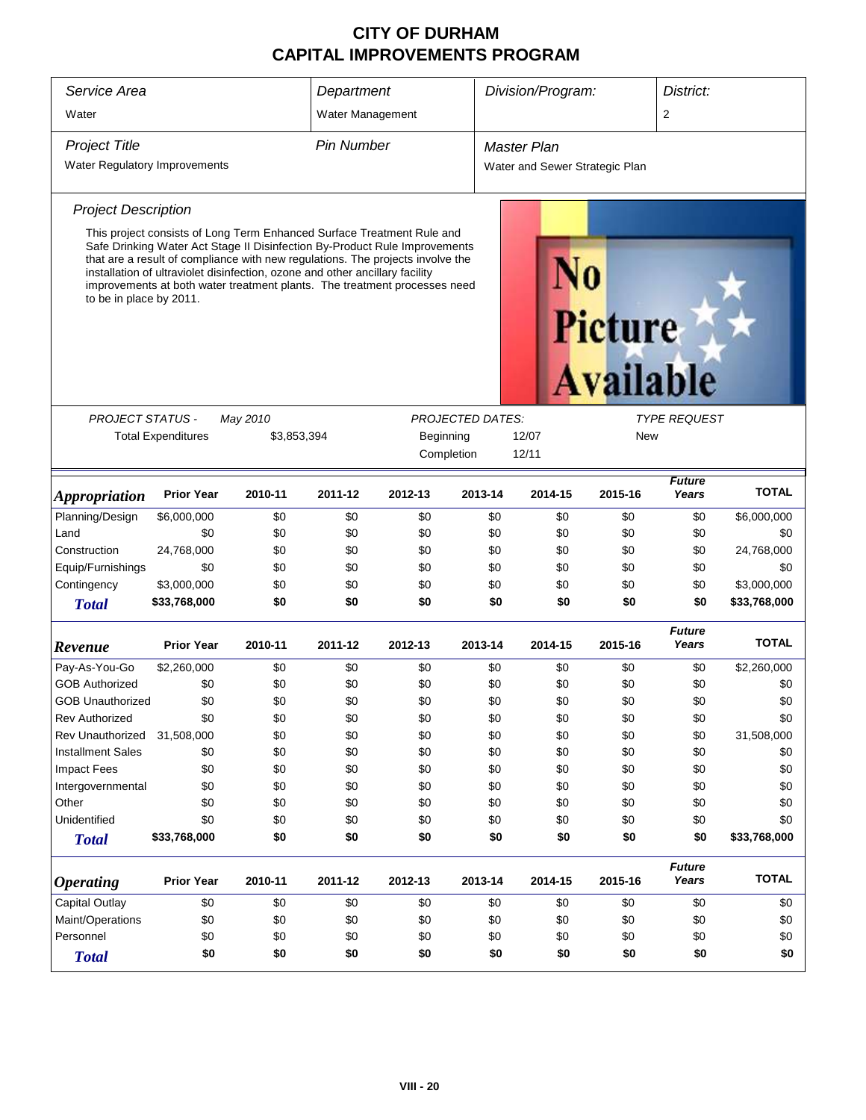| Service Area                                 |                                                                                                                                                                                                                                                                                                                                                                                                     |          | Department                                                      |         |            | Division/Program:              |                                    | District:              |              |
|----------------------------------------------|-----------------------------------------------------------------------------------------------------------------------------------------------------------------------------------------------------------------------------------------------------------------------------------------------------------------------------------------------------------------------------------------------------|----------|-----------------------------------------------------------------|---------|------------|--------------------------------|------------------------------------|------------------------|--------------|
| Water                                        |                                                                                                                                                                                                                                                                                                                                                                                                     |          | Water Management                                                |         |            |                                |                                    | $\overline{2}$         |              |
| <b>Project Title</b>                         |                                                                                                                                                                                                                                                                                                                                                                                                     |          | <b>Pin Number</b>                                               |         |            | <b>Master Plan</b>             |                                    |                        |              |
| <b>Water Regulatory Improvements</b>         |                                                                                                                                                                                                                                                                                                                                                                                                     |          |                                                                 |         |            | Water and Sewer Strategic Plan |                                    |                        |              |
| <b>Project Description</b>                   |                                                                                                                                                                                                                                                                                                                                                                                                     |          |                                                                 |         |            |                                |                                    |                        |              |
| to be in place by 2011.                      | This project consists of Long Term Enhanced Surface Treatment Rule and<br>Safe Drinking Water Act Stage II Disinfection By-Product Rule Improvements<br>that are a result of compliance with new regulations. The projects involve the<br>installation of ultraviolet disinfection, ozone and other ancillary facility<br>improvements at both water treatment plants. The treatment processes need |          |                                                                 |         |            |                                | <b>Picture</b><br><b>Available</b> |                        |              |
|                                              |                                                                                                                                                                                                                                                                                                                                                                                                     |          |                                                                 |         |            |                                |                                    |                        |              |
| <b>PROJECT STATUS -</b>                      |                                                                                                                                                                                                                                                                                                                                                                                                     | May 2010 | <b>PROJECTED DATES:</b><br><b>TYPE REQUEST</b>                  |         |            |                                |                                    |                        |              |
|                                              | <b>Total Expenditures</b>                                                                                                                                                                                                                                                                                                                                                                           |          | \$3,853,394<br>Beginning<br>12/07<br>New<br>Completion<br>12/11 |         |            |                                |                                    |                        |              |
| <b>Appropriation</b>                         | <b>Prior Year</b>                                                                                                                                                                                                                                                                                                                                                                                   | 2010-11  | 2011-12                                                         | 2012-13 | 2013-14    | 2014-15                        | 2015-16                            | <b>Future</b><br>Years | <b>TOTAL</b> |
| Planning/Design                              | \$6,000,000                                                                                                                                                                                                                                                                                                                                                                                         | \$0      | \$0                                                             | \$0     | \$0        | \$0                            | \$0                                | \$0                    | \$6,000,000  |
| Land                                         | \$0                                                                                                                                                                                                                                                                                                                                                                                                 | \$0      | \$0                                                             | \$0     | \$0        | \$0                            | \$0                                | \$0                    | \$0          |
| Construction                                 | 24,768,000                                                                                                                                                                                                                                                                                                                                                                                          | \$0      | \$0                                                             | \$0     | \$0        | \$0                            | \$0                                | \$0                    | 24,768,000   |
| Equip/Furnishings                            | \$0                                                                                                                                                                                                                                                                                                                                                                                                 | \$0      | \$0                                                             | \$0     | \$0        | \$0                            | \$0                                | \$0                    | \$0          |
| Contingency                                  | \$3,000,000                                                                                                                                                                                                                                                                                                                                                                                         | \$0      | \$0                                                             | \$0     | \$0        | \$0                            | \$0                                | \$0                    | \$3,000,000  |
| <b>Total</b>                                 | \$33,768,000                                                                                                                                                                                                                                                                                                                                                                                        | \$0      | \$0                                                             | \$0     | \$0        | \$0                            | \$0                                | \$0                    | \$33,768,000 |
| Revenue                                      | <b>Prior Year</b>                                                                                                                                                                                                                                                                                                                                                                                   | 2010-11  | 2011-12                                                         | 2012-13 | 2013-14    | 2014-15                        | 2015-16                            | <b>Future</b><br>Years | <b>TOTAL</b> |
| Pay-As-You-Go                                | \$2,260,000                                                                                                                                                                                                                                                                                                                                                                                         | \$0      | \$0                                                             | \$0     | \$0        | \$0                            | \$0                                | \$0                    | \$2,260,000  |
| <b>GOB Authorized</b>                        | \$0                                                                                                                                                                                                                                                                                                                                                                                                 | \$0      | \$0                                                             | \$0     | \$0        | \$0                            | \$0                                | \$0                    | \$0          |
| <b>GOB Unauthorized</b>                      | \$0                                                                                                                                                                                                                                                                                                                                                                                                 | \$0      | \$0                                                             | \$0     | \$0        | \$0                            | \$0                                | \$0                    | \$0          |
| <b>Rev Authorized</b>                        | \$0                                                                                                                                                                                                                                                                                                                                                                                                 | \$0      | \$0                                                             | \$0     | \$0        | \$0                            | \$0                                | \$0                    | \$0          |
| Rev Unauthorized                             | 31,508,000                                                                                                                                                                                                                                                                                                                                                                                          | \$0      | \$0                                                             | \$0     | \$0        | \$0                            | \$0                                | \$0                    | 31,508,000   |
| <b>Installment Sales</b>                     | \$0                                                                                                                                                                                                                                                                                                                                                                                                 | \$0      | \$0                                                             | \$0     | \$0        | \$0                            | \$0                                | \$0                    | \$0          |
| Impact Fees                                  | \$0                                                                                                                                                                                                                                                                                                                                                                                                 | \$0      | \$0                                                             | \$0     | \$0        | \$0                            | \$0                                | \$0                    | \$0          |
| Intergovernmental                            | \$0                                                                                                                                                                                                                                                                                                                                                                                                 | \$0      | \$0                                                             | \$0     | \$0        | \$0                            | \$0                                | \$0                    | \$0          |
| Other                                        | \$0                                                                                                                                                                                                                                                                                                                                                                                                 | \$0      | \$0                                                             | \$0     | \$0        | \$0                            | \$0                                | \$0                    | \$0          |
| Unidentified                                 | \$0                                                                                                                                                                                                                                                                                                                                                                                                 | \$0      | \$0                                                             | \$0     | \$0<br>\$0 | \$0<br>\$0                     | \$0                                | \$0                    | \$0          |
| <b>Total</b>                                 | \$0<br>\$33,768,000<br>\$0<br>\$0                                                                                                                                                                                                                                                                                                                                                                   |          |                                                                 |         |            |                                | \$0                                | \$0                    | \$33,768,000 |
| <i><b>Operating</b></i>                      | <b>Prior Year</b>                                                                                                                                                                                                                                                                                                                                                                                   | 2010-11  | 2011-12                                                         | 2012-13 | 2013-14    | 2014-15                        | 2015-16                            | <b>Future</b><br>Years | <b>TOTAL</b> |
| Capital Outlay                               | \$0                                                                                                                                                                                                                                                                                                                                                                                                 | \$0      | \$0                                                             | \$0     | \$0        | \$0                            | \$0                                | \$0                    | \$0          |
| Maint/Operations                             | \$0                                                                                                                                                                                                                                                                                                                                                                                                 | \$0      | \$0                                                             | \$0     | \$0        | \$0                            | \$0                                | \$0                    | \$0          |
| Personnel<br>\$0<br>\$0<br>\$0<br>\$0<br>\$0 |                                                                                                                                                                                                                                                                                                                                                                                                     |          |                                                                 |         |            |                                | \$0                                | \$0                    | \$0          |
| <b>Total</b>                                 | \$0                                                                                                                                                                                                                                                                                                                                                                                                 | \$0      | \$0                                                             | \$0     | \$0        | \$0                            | \$0                                | \$0                    | \$0          |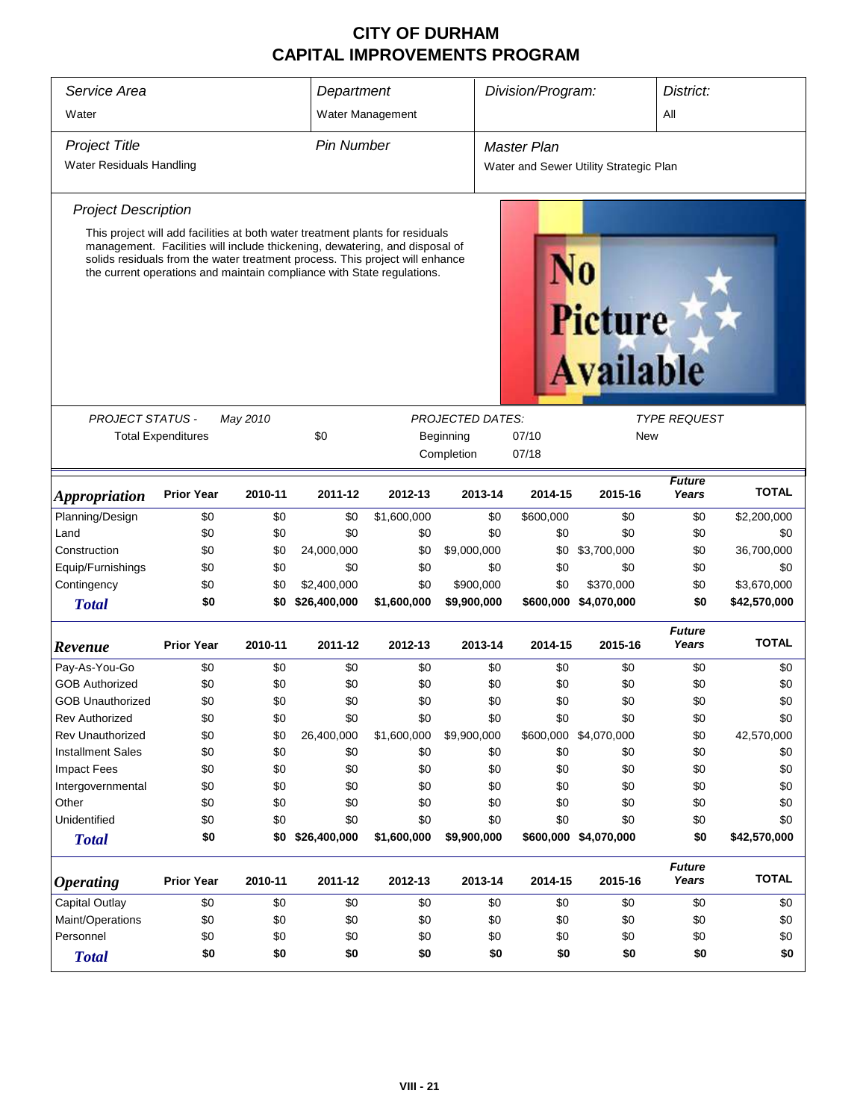| Service Area<br>Division/Program:<br>Department |                                                                                                                                                              |          |                   |                    |                         |                    | District:                              |                        |              |
|-------------------------------------------------|--------------------------------------------------------------------------------------------------------------------------------------------------------------|----------|-------------------|--------------------|-------------------------|--------------------|----------------------------------------|------------------------|--------------|
| Water                                           |                                                                                                                                                              |          |                   | Water Management   |                         |                    |                                        | All                    |              |
| <b>Project Title</b>                            |                                                                                                                                                              |          | <b>Pin Number</b> |                    |                         | <b>Master Plan</b> |                                        |                        |              |
| Water Residuals Handling                        |                                                                                                                                                              |          |                   |                    |                         |                    | Water and Sewer Utility Strategic Plan |                        |              |
|                                                 |                                                                                                                                                              |          |                   |                    |                         |                    |                                        |                        |              |
| <b>Project Description</b>                      |                                                                                                                                                              |          |                   |                    |                         |                    |                                        |                        |              |
|                                                 | This project will add facilities at both water treatment plants for residuals<br>management. Facilities will include thickening, dewatering, and disposal of |          |                   |                    |                         |                    |                                        |                        |              |
|                                                 | solids residuals from the water treatment process. This project will enhance<br>the current operations and maintain compliance with State regulations.       |          |                   |                    |                         |                    | <b>Picture</b>                         |                        |              |
|                                                 |                                                                                                                                                              |          |                   |                    |                         |                    | <b>Available</b>                       |                        |              |
| PROJECT STATUS -                                |                                                                                                                                                              | May 2010 |                   |                    | <b>PROJECTED DATES:</b> |                    |                                        | <b>TYPE REQUEST</b>    |              |
|                                                 | <b>Total Expenditures</b>                                                                                                                                    |          | \$0               | 07/10<br>Beginning |                         |                    |                                        |                        |              |
|                                                 |                                                                                                                                                              |          |                   |                    | Completion              | 07/18              |                                        |                        |              |
| <i><b>Appropriation</b></i>                     | <b>Prior Year</b>                                                                                                                                            | 2010-11  | 2011-12           | 2012-13            | 2013-14                 | 2014-15            | 2015-16                                | <b>Future</b><br>Years | <b>TOTAL</b> |
| Planning/Design                                 | \$0                                                                                                                                                          | \$0      | \$0               | \$1,600,000        | \$0                     | \$600,000          | \$0                                    | \$0                    | \$2,200,000  |
| Land                                            | \$0                                                                                                                                                          | \$0      | \$0               | \$0                | \$0                     | \$0                | \$0                                    | \$0                    | \$0          |
| Construction                                    | \$0                                                                                                                                                          | \$0      | 24,000,000        | \$0                | \$9,000,000             | \$0                | \$3,700,000                            | \$0                    | 36,700,000   |
| Equip/Furnishings                               | \$0                                                                                                                                                          | \$0      | \$0               | \$0                | \$0                     | \$0                | \$0                                    | \$0                    | \$0          |
| Contingency                                     | \$0                                                                                                                                                          | \$0      | \$2,400,000       | \$0                | \$900,000               | \$0                | \$370,000                              | \$0                    | \$3,670,000  |
| <b>Total</b>                                    | \$0                                                                                                                                                          | \$0      | \$26,400,000      | \$1,600,000        | \$9,900,000             |                    | \$600,000 \$4,070,000                  | \$0                    | \$42,570,000 |
| Revenue                                         | <b>Prior Year</b>                                                                                                                                            | 2010-11  | 2011-12           | 2012-13            | 2013-14                 | 2014-15            | 2015-16                                | <b>Future</b><br>Years | <b>TOTAL</b> |
| Pay-As-You-Go                                   | \$0                                                                                                                                                          | \$0      | \$0               | \$0                | \$0                     | \$0                | \$0                                    | \$0                    | \$0          |
| <b>GOB Authorized</b>                           | \$0                                                                                                                                                          | \$0      | \$0               | \$0                | \$0                     | \$0                | \$0                                    | \$0                    | \$0          |
| <b>GOB Unauthorized</b>                         | \$0                                                                                                                                                          | \$0      | \$0               | \$0                | \$0                     | \$0                | \$0                                    | \$0                    | \$0          |
| <b>Rev Authorized</b>                           | \$0                                                                                                                                                          | \$0      | \$0               | \$0                | \$0                     | \$0                | \$0                                    | \$0                    | \$0          |
| Rev Unauthorized                                | \$0                                                                                                                                                          | \$0      | 26,400,000        | \$1,600,000        | \$9,900,000             |                    | \$600,000 \$4,070,000                  | \$0                    | 42,570,000   |
| <b>Installment Sales</b>                        | \$0                                                                                                                                                          | \$0      | \$0               | \$0                | \$0                     | \$0                | \$0                                    | \$0                    | \$0          |
| Impact Fees                                     | \$0                                                                                                                                                          | \$0      | \$0               | \$0                | \$0                     | \$0                | \$0                                    | \$0                    | \$0          |
| Intergovernmental                               | \$0                                                                                                                                                          | \$0      | \$0               | \$0                | \$0                     | \$0                | \$0                                    | \$0                    | \$0          |
| Other                                           | \$0                                                                                                                                                          | \$0      | \$0               | \$0                | \$0                     | \$0                | \$0                                    | \$0                    | \$0          |
| Unidentified                                    | \$0                                                                                                                                                          | \$0      | \$0               | \$0                | \$0                     | \$0                | \$0                                    | \$0                    | \$0          |
| <b>Total</b>                                    | \$0                                                                                                                                                          | \$0      | \$26,400,000      | \$1,600,000        | \$9,900,000             |                    | \$600,000 \$4,070,000                  | \$0                    | \$42,570,000 |
| <b>Operating</b>                                | <b>Prior Year</b>                                                                                                                                            | 2010-11  | 2011-12           | 2012-13            | 2013-14                 | 2014-15            | 2015-16                                | <b>Future</b><br>Years | <b>TOTAL</b> |
| <b>Capital Outlay</b>                           | \$0                                                                                                                                                          | \$0      | \$0               | \$0                | \$0                     | \$0                | \$0                                    | \$0                    | \$0          |
| Maint/Operations                                | \$0                                                                                                                                                          | \$0      | \$0               | \$0                | \$0                     | \$0                | \$0                                    | \$0                    | \$0          |
| Personnel                                       | \$0                                                                                                                                                          | \$0      | \$0               | \$0                | \$0                     | \$0                | \$0                                    | \$0                    | \$0          |
| <b>Total</b>                                    | \$0                                                                                                                                                          | \$0      | \$0               | \$0                | \$0                     | \$0                | \$0                                    | \$0                    | \$0          |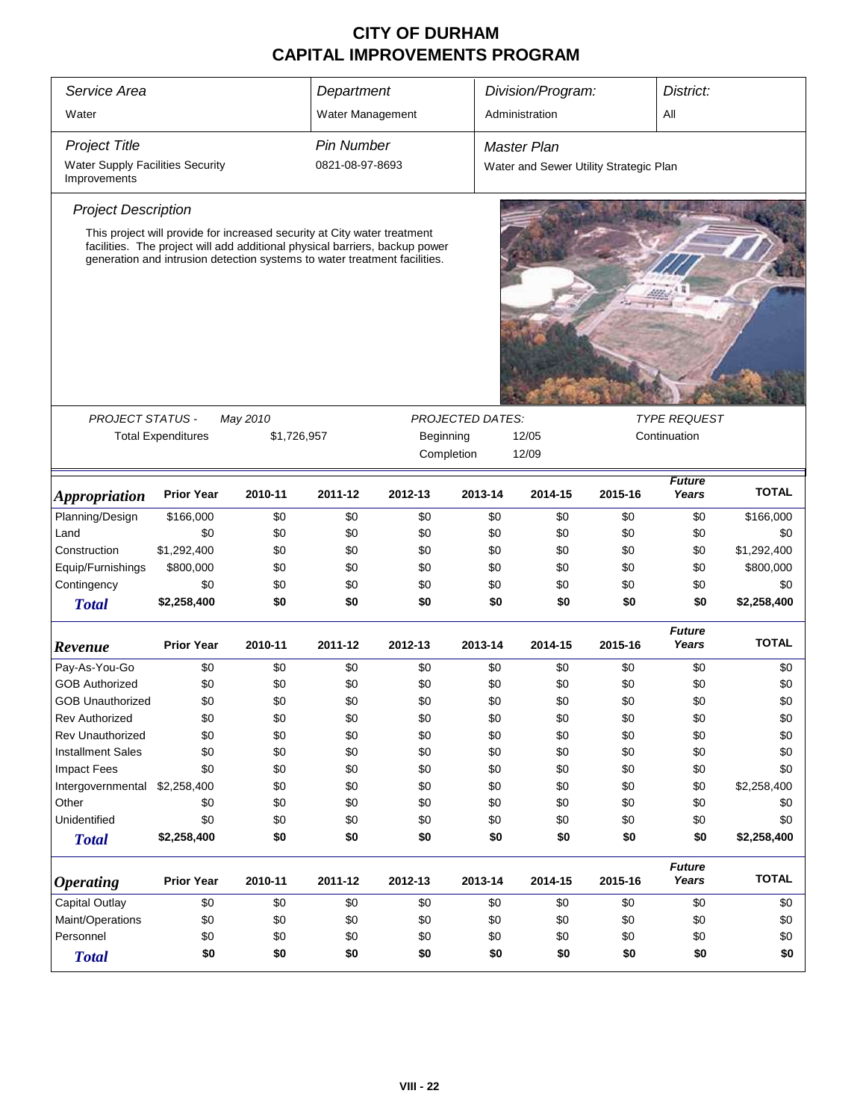| Service Area                                            |                                                                                                                                                                                                                                      |             | Department        |           |                         | Division/Program:                      |         | District:              |              |
|---------------------------------------------------------|--------------------------------------------------------------------------------------------------------------------------------------------------------------------------------------------------------------------------------------|-------------|-------------------|-----------|-------------------------|----------------------------------------|---------|------------------------|--------------|
| Water                                                   |                                                                                                                                                                                                                                      |             | Water Management  |           |                         | Administration                         |         | All                    |              |
| <b>Project Title</b>                                    |                                                                                                                                                                                                                                      |             | <b>Pin Number</b> |           |                         | <b>Master Plan</b>                     |         |                        |              |
| <b>Water Supply Facilities Security</b><br>Improvements |                                                                                                                                                                                                                                      |             | 0821-08-97-8693   |           |                         | Water and Sewer Utility Strategic Plan |         |                        |              |
| <b>Project Description</b>                              |                                                                                                                                                                                                                                      |             |                   |           |                         |                                        |         |                        |              |
|                                                         | This project will provide for increased security at City water treatment<br>facilities. The project will add additional physical barriers, backup power<br>generation and intrusion detection systems to water treatment facilities. |             |                   |           |                         |                                        |         |                        |              |
| <b>PROJECT STATUS -</b>                                 |                                                                                                                                                                                                                                      | May 2010    |                   |           | <b>PROJECTED DATES:</b> |                                        |         | <b>TYPE REQUEST</b>    |              |
|                                                         | <b>Total Expenditures</b>                                                                                                                                                                                                            | \$1,726,957 |                   | Beginning | Completion              | 12/05<br>12/09                         |         | Continuation           |              |
| <b>Appropriation</b>                                    | <b>Prior Year</b>                                                                                                                                                                                                                    | 2010-11     | 2011-12           | 2012-13   | 2013-14                 | 2014-15                                | 2015-16 | <b>Future</b><br>Years | <b>TOTAL</b> |
| Planning/Design                                         | \$166,000                                                                                                                                                                                                                            | \$0         | \$0               | \$0       | \$0                     | \$0                                    | \$0     | \$0                    | \$166,000    |
| Land                                                    | \$0                                                                                                                                                                                                                                  | \$0         | \$0               | \$0       | \$0                     | \$0                                    | \$0     | \$0                    | \$0          |
| Construction                                            | \$1,292,400                                                                                                                                                                                                                          | \$0         | \$0               | \$0       | \$0                     | \$0                                    | \$0     | \$0                    | \$1,292,400  |
| Equip/Furnishings                                       | \$800,000                                                                                                                                                                                                                            | \$0         | \$0               | \$0       | \$0                     | \$0                                    | \$0     | \$0                    | \$800,000    |
| Contingency                                             | \$0                                                                                                                                                                                                                                  | \$0         | \$0               | \$0       | \$0                     | \$0                                    | \$0     | \$0                    | \$0          |
| <b>Total</b>                                            | \$2,258,400                                                                                                                                                                                                                          | \$0         | \$0               | \$0       | \$0                     | \$0                                    | \$0     | \$0                    | \$2,258,400  |
| Revenue                                                 | <b>Prior Year</b>                                                                                                                                                                                                                    | 2010-11     | 2011-12           | 2012-13   | 2013-14                 | 2014-15                                | 2015-16 | <b>Future</b><br>Years | <b>TOTAL</b> |
| Pay-As-You-Go                                           | \$0                                                                                                                                                                                                                                  | \$0         | \$0               | \$0       | \$0                     | \$0                                    | \$0     | \$0                    | \$0          |
| <b>GOB Authorized</b>                                   | \$0                                                                                                                                                                                                                                  | \$0         | \$0               | \$0       | \$0                     | \$0                                    | \$0     | \$0                    | \$0          |
| <b>GOB Unauthorized</b>                                 | \$0                                                                                                                                                                                                                                  | \$0         | \$0               | \$0       | \$0                     | \$0                                    | \$0     | \$0                    | \$0          |
| <b>Rev Authorized</b>                                   | \$0                                                                                                                                                                                                                                  | \$0         | \$0               | \$0       | \$0                     | \$0                                    | \$0     | \$0                    | \$0          |
| Rev Unauthorized                                        | \$0                                                                                                                                                                                                                                  | \$0         | \$0               | \$0       | \$0                     | \$0                                    | \$0     | \$0                    | \$0          |
| <b>Installment Sales</b>                                | \$0                                                                                                                                                                                                                                  | \$0         | \$0               | \$0       | \$0                     | \$0                                    | \$0     | \$0                    | \$0          |
| <b>Impact Fees</b>                                      | \$0                                                                                                                                                                                                                                  | \$0         | \$0               | \$0       | \$0                     | \$0                                    | \$0     | \$0                    | \$0          |
| Intergovernmental                                       | \$2,258,400                                                                                                                                                                                                                          | \$0         | \$0               | \$0       | \$0                     | \$0                                    | \$0     | \$0                    | \$2,258,400  |
| Other                                                   | \$0                                                                                                                                                                                                                                  | \$0         | \$0               | \$0       | \$0                     | \$0                                    | \$0     | \$0                    | \$0          |
| Unidentified                                            | \$0                                                                                                                                                                                                                                  | \$0         | \$0               | \$0       | \$0                     | \$0                                    | \$0     | \$0                    | \$0          |
| <b>Total</b>                                            | \$2,258,400                                                                                                                                                                                                                          | \$0         | \$0               | \$0       | \$0                     | \$0                                    | \$0     | \$0                    | \$2,258,400  |
| <b>Operating</b>                                        | 2012-13                                                                                                                                                                                                                              | 2013-14     | 2014-15           | 2015-16   | <b>Future</b><br>Years  | <b>TOTAL</b>                           |         |                        |              |
| Capital Outlay                                          | \$0                                                                                                                                                                                                                                  | \$0         | \$0               | \$0       | \$0                     | \$0                                    | \$0     | \$0                    | \$0          |
| Maint/Operations<br>\$0<br>\$0<br>\$0<br>\$0<br>\$0     |                                                                                                                                                                                                                                      |             |                   |           |                         | \$0                                    | \$0     | \$0                    | \$0          |
| Personnel<br>\$0<br>\$0<br>\$0<br>\$0                   |                                                                                                                                                                                                                                      |             |                   |           |                         | \$0                                    | \$0     | \$0                    | \$0          |
| <b>Total</b>                                            | \$0                                                                                                                                                                                                                                  | \$0         | \$0               | \$0       | \$0                     | \$0                                    | \$0     | \$0                    | \$0          |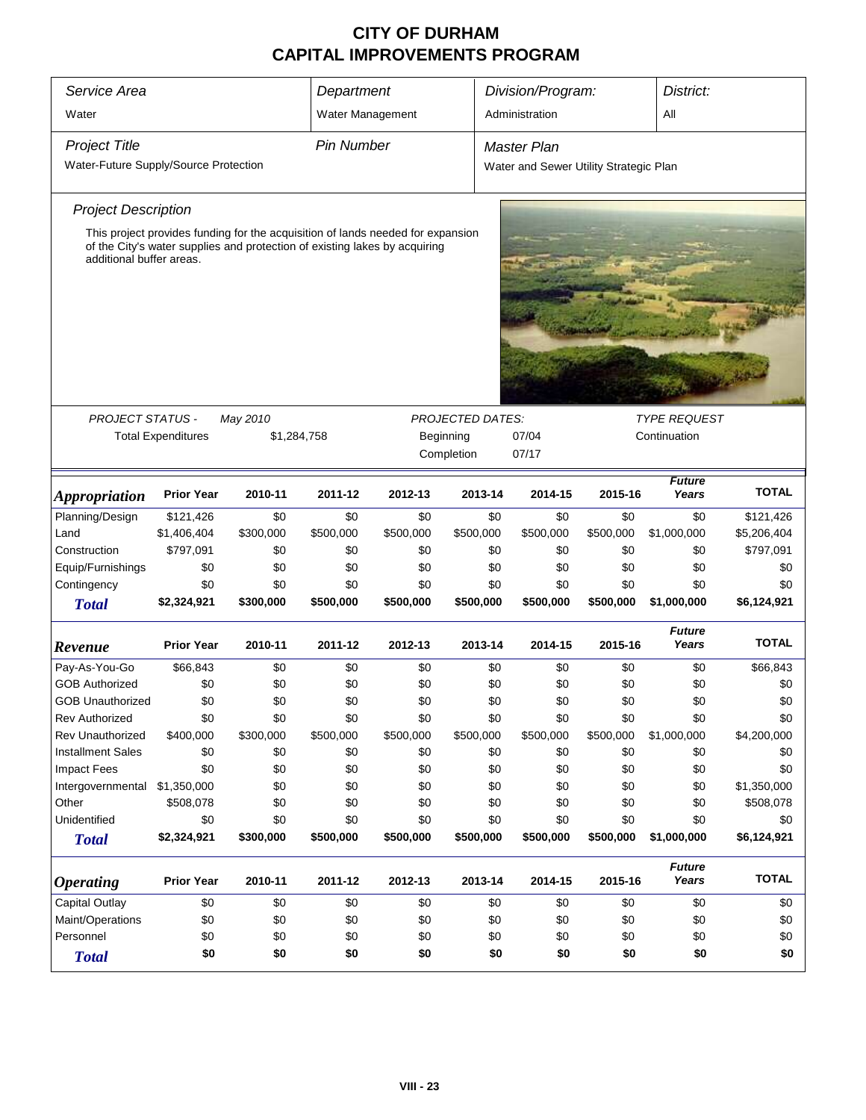| Service Area                          |                                                                    |                                                                                                                                                               | Department        |           |           | Division/Program:                      |           | District:              |              |  |
|---------------------------------------|--------------------------------------------------------------------|---------------------------------------------------------------------------------------------------------------------------------------------------------------|-------------------|-----------|-----------|----------------------------------------|-----------|------------------------|--------------|--|
| Water                                 |                                                                    |                                                                                                                                                               | Water Management  |           |           | Administration                         |           | All                    |              |  |
| <b>Project Title</b>                  |                                                                    |                                                                                                                                                               | <b>Pin Number</b> |           |           | <b>Master Plan</b>                     |           |                        |              |  |
| Water-Future Supply/Source Protection |                                                                    |                                                                                                                                                               |                   |           |           | Water and Sewer Utility Strategic Plan |           |                        |              |  |
| <b>Project Description</b>            |                                                                    |                                                                                                                                                               |                   |           |           |                                        |           |                        |              |  |
| additional buffer areas.              |                                                                    | This project provides funding for the acquisition of lands needed for expansion<br>of the City's water supplies and protection of existing lakes by acquiring |                   |           |           |                                        |           |                        |              |  |
| <b>PROJECT STATUS -</b>               |                                                                    |                                                                                                                                                               |                   |           |           |                                        |           |                        |              |  |
|                                       | <b>Total Expenditures</b>                                          | <b>PROJECTED DATES:</b><br>May 2010<br><b>TYPE REQUEST</b><br>\$1,284,758<br>07/04<br>Continuation<br>Beginning<br>Completion<br>07/17                        |                   |           |           |                                        |           |                        |              |  |
| <i><b>Appropriation</b></i>           | <b>Prior Year</b>                                                  | 2010-11                                                                                                                                                       | 2011-12           | 2012-13   | 2013-14   | 2014-15                                | 2015-16   | <b>Future</b><br>Years | <b>TOTAL</b> |  |
| Planning/Design                       | \$121,426                                                          | \$0                                                                                                                                                           | \$0               | \$0       | \$0       | \$0                                    | \$0       | \$0                    | \$121,426    |  |
| Land                                  | \$1,406,404                                                        | \$300,000                                                                                                                                                     | \$500,000         | \$500,000 | \$500,000 | \$500,000                              | \$500,000 | \$1,000,000            | \$5,206,404  |  |
| Construction                          | \$797,091                                                          | \$0                                                                                                                                                           | \$0               | \$0       | \$0       | \$0                                    | \$0       | \$0                    | \$797,091    |  |
| Equip/Furnishings                     | \$0                                                                | \$0                                                                                                                                                           | \$0               | \$0       | \$0       | \$0                                    | \$0       | \$0                    | \$0          |  |
| Contingency                           | \$0                                                                | \$0                                                                                                                                                           | \$0               | \$0       | \$0       | \$0                                    | \$0       | \$0                    | \$0          |  |
| <b>Total</b>                          | \$2,324,921                                                        | \$300,000                                                                                                                                                     | \$500,000         | \$500,000 | \$500,000 | \$500,000                              | \$500,000 | \$1,000,000            | \$6,124,921  |  |
| Revenue                               | <b>Prior Year</b>                                                  | 2010-11                                                                                                                                                       | 2011-12           | 2012-13   | 2013-14   | 2014-15                                | 2015-16   | <b>Future</b><br>Years | <b>TOTAL</b> |  |
| Pay-As-You-Go                         | \$66,843                                                           | \$0                                                                                                                                                           | \$0               | \$0       | \$0       | \$0                                    | \$0       | \$0                    | \$66,843     |  |
| <b>GOB Authorized</b>                 | \$0                                                                | \$0                                                                                                                                                           | \$0               | \$0       | \$0       | \$0                                    | \$0       | \$0                    | \$0          |  |
| <b>GOB Unauthorized</b>               | \$0                                                                | \$0                                                                                                                                                           | \$0               | \$0       | \$0       | \$0                                    | \$0       | \$0                    | \$0          |  |
| <b>Rev Authorized</b>                 | \$0                                                                | \$0                                                                                                                                                           | \$0               | \$0       | \$0       | \$0                                    | \$0       | \$0                    | \$0          |  |
| <b>Rev Unauthorized</b>               | \$400,000                                                          | \$300,000                                                                                                                                                     | \$500,000         | \$500,000 | \$500,000 | \$500,000                              | \$500,000 | \$1,000,000            | \$4,200,000  |  |
| <b>Installment Sales</b>              | \$0                                                                | \$0                                                                                                                                                           | \$0               | \$0       | \$0       | \$0                                    | \$0       | \$0                    | \$0          |  |
| <b>Impact Fees</b>                    | \$0                                                                | \$0                                                                                                                                                           | \$0               | \$0       | \$0       | \$0                                    | \$0       | \$0                    | \$0          |  |
| Intergovernmental                     | \$1,350,000                                                        | \$0                                                                                                                                                           | \$0               | \$0       | \$0       | \$0                                    | \$0       | \$0                    | \$1,350,000  |  |
| Other                                 | \$508,078                                                          | \$0                                                                                                                                                           | \$0               | \$0       | \$0       | \$0                                    | \$0       | \$0                    | \$508,078    |  |
| Unidentified                          | \$0<br>\$2,324,921                                                 | \$0                                                                                                                                                           | \$0               | \$0       | \$0       | \$0                                    | \$0       | \$0<br>\$1,000,000     | \$0          |  |
| <b>Total</b>                          |                                                                    | \$300,000                                                                                                                                                     | \$500,000         | \$500,000 | \$500,000 | \$500,000                              | \$500,000 |                        | \$6,124,921  |  |
| <i><b>Operating</b></i>               | <b>Prior Year</b>                                                  | 2010-11                                                                                                                                                       | 2011-12           | 2012-13   | 2013-14   | 2014-15                                | 2015-16   | <b>Future</b><br>Years | <b>TOTAL</b> |  |
| Capital Outlay                        | \$0                                                                | \$0                                                                                                                                                           | \$0               | \$0       | \$0       | \$0                                    | \$0       | \$0                    | \$0          |  |
| Maint/Operations                      | \$0                                                                | \$0                                                                                                                                                           | \$0               | \$0       | \$0       | \$0                                    | \$0       | \$0                    | \$0          |  |
| Personnel                             | \$0                                                                | \$0                                                                                                                                                           | \$0               | \$0       |           | \$0                                    | \$0       | \$0                    | \$0          |  |
| <b>Total</b>                          | \$0<br>\$0<br>\$0<br>\$0<br>\$0<br>\$0<br>\$0<br>\$0<br>\$0<br>\$0 |                                                                                                                                                               |                   |           |           |                                        |           |                        |              |  |